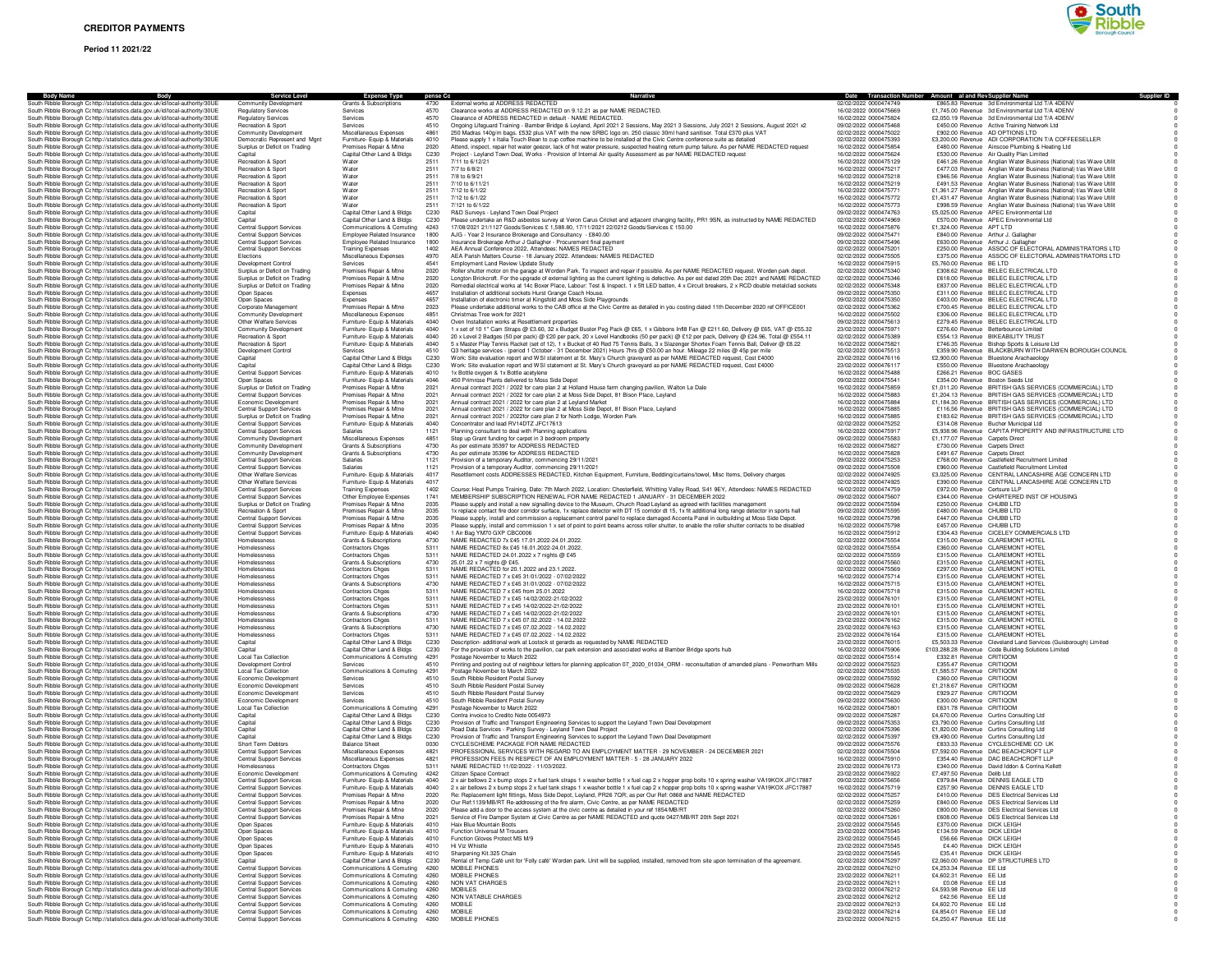# **Period 11 2021/22**



| <b>Body Name</b><br><b>Body</b><br>South Ribble Borough Cc http://statistics.data.gov.uk/id/local-authority/30UE                                               | <b>Service Level</b><br>Community Development                      | <b>Expense Type</b><br>Grants & Subscriptions                    | pense Cc<br>4730         | External works at ADDRESS REDACTED                                                                                                                                                                                                                                                           | Date Transaction Number Amount al and Rev Supplier Name<br>02/02/2022 0000474749 |                                                        | <b>Supplier ID</b><br>£865.83 Revenue 3d Environmental Ltd T/A 4DENV                                                                     |
|----------------------------------------------------------------------------------------------------------------------------------------------------------------|--------------------------------------------------------------------|------------------------------------------------------------------|--------------------------|----------------------------------------------------------------------------------------------------------------------------------------------------------------------------------------------------------------------------------------------------------------------------------------------|----------------------------------------------------------------------------------|--------------------------------------------------------|------------------------------------------------------------------------------------------------------------------------------------------|
| South Ribble Borough Cohttp://statistics.data.gov.uk/id/local-authority/30UE                                                                                   | Regulatory Services                                                | Services                                                         | 4570                     | Clearance works at ADDRESS REDACTED on 9.12.21 as per NAME REDACTED.                                                                                                                                                                                                                         | 16/02/2022 0000475669                                                            |                                                        | £1,745.00 Revenue 3d Environmental Ltd T/A 4DENV                                                                                         |
| South Ribble Borough Cc http://statistics.data.gov.uk/id/local-authority/30UE                                                                                  | <b>Regulatory Services</b>                                         | Services                                                         | 4570                     | Clearance of ADRESS REDACTED in default - NAME REDACTED                                                                                                                                                                                                                                      | 16/02/2022 0000475824                                                            |                                                        | £2,050.19 Revenue 3d Environmental Ltd T/A 4DENV                                                                                         |
| South Ribble Borough Cc http://statistics.data.gov.uk/id/local-authority/30UE                                                                                  | Recreation & Sport                                                 | Services                                                         | 4510                     | Ongoing Lifeguard Training - Bamber Bridge & Leyland, April 2021 2 Sessions, May 2021 3 Sessions, July 2021 2 Sessions, August 2021 x2                                                                                                                                                       | 09/02/2022 0000475468                                                            |                                                        | £450.00 Revenue Active Training Network Ltd                                                                                              |
| South Ribble Borough Cc http://statistics.data.gov.uk/id/local-authority/30UE<br>South Ribble Borough Cohttp://statistics.data.gov.uk/id/local-authority/30UE  | Community Development<br>Democratic Represent and Mont             | Miscellaneous Expenses<br>Furniture- Equip & Materials           | 4861<br>4010             | 250 Madras 140g/m bags. £532 plus VAT with the new SRBC logo on. 250 classic 30ml hand sanitiser. Total £370 plus VAT<br>Please supply 1 x Italia Touch Bean to cup coffee machine to be installed at the Civic Centre conference suite as detailed                                          | 02/02/2022 0000475022<br>02/02/2022 0000475393                                   |                                                        | £902.00 Revenue AD OPTIONS LTD<br>£3,200.00 Revenue ADI CORPORATION T/A COFFEESELLER                                                     |
| South Ribble Borough Cc http://statistics.data.gov.uk/id/local-authority/30UE                                                                                  | Surplus or Deficit on Trading                                      | Premises Repair & Mtne                                           | 2020                     | Attend, inspect, repair hot water geezer, lack of hot water pressure, suspected heating return pump failure. As per NAME REDACTED request                                                                                                                                                    | 16/02/2022 0000475854                                                            |                                                        | £480.00 Revenue Ainscoe Plumbing & Heating Ltd                                                                                           |
| South Ribble Borough Cc http://statistics.data.gov.uk/id/local-authority/30UE                                                                                  | Capital                                                            | Capital Other Land & Bldgs                                       | C230                     | Project - Leyland Town Deal, Works - Provision of Internal Air quality Assessment as per NAME REDACTED request                                                                                                                                                                               | 16/02/2022 0000475624                                                            |                                                        | £530.00 Revenue Air Quality Plan Limited                                                                                                 |
| South Ribble Borough Cohttp://statistics.data.gov.uk/id/local-authority/30UE                                                                                   | <b>Becreation &amp; Sport</b>                                      | Water                                                            | 2511                     | 7/11 to 6/12/21                                                                                                                                                                                                                                                                              | 16/02/2022 0000475129                                                            |                                                        | £461.26 Revenue Anglian Water Business (National) t/as Wave Utilit                                                                       |
| South Ribble Borough Cc http://statistics.data.gov.uk/id/local-authority/30UE<br>South Ribble Borough Cc http://statistics.data.gov.uk/id/local-authority/30UE | Recreation & Sport<br>Recreation & Sport                           | Water<br>Water                                                   | 2511<br>2511             | 7/7 to 6/8/21<br>7/8 to 6/9/21                                                                                                                                                                                                                                                               | 16/02/2022 0000475217<br>16/02/2022 0000475218                                   |                                                        | £477.03 Revenue Anglian Water Business (National) t/as Wave Utilit<br>£946.56 Revenue Anglian Water Business (National) t/as Wave Utilit |
| South Ribble Borough Cc http://statistics.data.gov.uk/id/local-authority/30UE                                                                                  | Recreation & Spor                                                  | Water                                                            | 2511                     | 7/10 to 6/11/21                                                                                                                                                                                                                                                                              | 16/02/2022 0000475219                                                            |                                                        | £491.53 Revenue Anglian Water Business (National) t/as Wave Utilit                                                                       |
| South Ribble Borough Cc http://statistics.data.gov.uk/id/local-authority/30UE                                                                                  | Recreation & Sport                                                 | Water                                                            | 2511                     | 7/12 to 6/1/22                                                                                                                                                                                                                                                                               | 16/02/2022 0000475771                                                            |                                                        | £1,361.27 Revenue Anglian Water Business (National) t/as Wave Utilit                                                                     |
| South Ribble Borough Cc http://statistics.data.gov.uk/id/local-authority/30UE                                                                                  | Recreation & Sport                                                 | Water                                                            | 2511                     | 7/12 to 6/1/22                                                                                                                                                                                                                                                                               | 16/02/2022 0000475772                                                            |                                                        | £1,431.47 Revenue Anglian Water Business (National) t/as Wave Utilit                                                                     |
| South Ribble Borough Cc http://statistics.data.gov.uk/id/local-authority/30UE                                                                                  | Recreation & Sport                                                 | Water                                                            | 2511                     | 7/121 to 6/1/22                                                                                                                                                                                                                                                                              | 16/02/2022 0000475773                                                            |                                                        | £998.59 Revenue Anglian Water Business (National) t/as Wave Utilit                                                                       |
| South Ribble Borough Cc http://statistics.data.gov.uk/id/local-authority/30UE<br>South Ribble Borough Cc http://statistics.data.gov.uk/id/local-authority/30UE | Capital<br>Capital                                                 | Capital Other Land & Bldgs<br>Capital Other Land & Bldgs         | C <sub>230</sub><br>C230 | R&D Surveys - Leyland Town Deal Proiect<br>Please undertake an R&D asbestos survey at Veron Carus Cricket and adjacent changing facility, PR1 9SN, as instructed by NAME REDACTED                                                                                                            | 09/02/2022 0000474763<br>02/02/2022 0000474969                                   |                                                        | £5,025,00 Revenue APEC Environmental Ltd<br>£570.00 Revenue APEC Environmental Ltd                                                       |
| South Ribble Borough Cc http://statistics.data.gov.uk/id/local-authority/30UE                                                                                  | Central Support Services                                           | Communications & Comuting                                        | 4243                     | 17/08/2021 21/1127 Goods/Services £ 1,588.80, 17/11/2021 22/0212 Goods/Services £ 150.00                                                                                                                                                                                                     | 16/02/2022 0000475876                                                            | £1,324.00 Revenue APT LTD                              |                                                                                                                                          |
| South Ribble Borough Cc http://statistics.data.gov.uk/id/local-authority/30UE                                                                                  | <b>Central Support Services</b>                                    | Employee Related Insurance                                       | 1800                     | AJG - Year 2 Insurance Brokerage and Consultancy - £840.00                                                                                                                                                                                                                                   | 09/02/2022 0000475471                                                            |                                                        | £840.00 Revenue Arthur J. Gallagher                                                                                                      |
| South Ribble Borough Cohttp://statistics.data.gov.uk/id/local-authority/30UE                                                                                   | <b>Central Support Services</b>                                    | Employee Related Insurance                                       | 1800                     | Insurance Brokerage Arthur J Gallagher - Procurement final paymen                                                                                                                                                                                                                            | 09/02/2022 0000475496                                                            |                                                        | £630.00 Revenue Arthur J. Gallagher                                                                                                      |
| South Ribble Borough Cc http://statistics.data.gov.uk/id/local-authority/30UE<br>South Ribble Borough Cc http://statistics.data.gov.uk/id/local-authority/30UE | <b>Central Support Services</b><br>Elections                       | <b>Training Expenses</b>                                         | 1402<br>4970             | AEA Annual Conference 2022, Attendees: NAMES REDACTED<br>AEA Parish Matters Course - 18 January 2022. Attendees: NAMES REDACTED                                                                                                                                                              | 02/02/2022 0000475201<br>02/02/2022 0000475505                                   |                                                        | £250.00 Revenue ASSOC OF ELECTORAL ADMINISTRATORS LTD                                                                                    |
| South Ribble Borough Cohttp://statistics.data.gov.uk/id/local-authority/30UE                                                                                   | Development Control                                                | Miscellaneous Expenses<br>Services                               | 4541                     | Employment Land Review Undate Study                                                                                                                                                                                                                                                          | 16/02/2022 0000475915                                                            | £5,760.00 Revenue BE LTD                               | £375.00 Revenue ASSOC OF ELECTORAL ADMINISTRATORS LTD                                                                                    |
| South Ribble Borough Cohttp://statistics.data.gov.uk/id/local-authority/30UE                                                                                   | Surplus or Deficit on Trading                                      | Premises Repair & Mtne                                           | 2020                     | Roller shutter motor on the garage at Worden Park. To inspect and repair if possible. As per NAME REDACTED request. Worden park depot.                                                                                                                                                       | 02/02/2022 0000475340                                                            |                                                        | £308.62 Revenue BELEC ELECTRICAL LTD                                                                                                     |
| South Ribble Borough Cohttp://statistics.data.gov.uk/id/local-authority/30UE                                                                                   | Surplus or Deficit on Trading                                      | Premises Repair & Mtne                                           | 2020                     | Longton Brickcroft. For the upgrade of external lighting as the current lighting is defective. As per est dated 20th Dec 2021 and NAME REDACTED                                                                                                                                              | 02/02/2022 0000475346                                                            |                                                        | £618.00 Revenue BELEC ELECTRICAL LTD                                                                                                     |
| South Ribble Borough Cc http://statistics.data.gov.uk/id/local-authority/30UE                                                                                  | Surplus or Deficit on Trading                                      | Premises Repair & Mtne                                           | 2020                     | Remedial electrical works at 14c Boxer Place, Labour: Test & Inspect. 1 x 5ft LED batten, 4 x Circuit breakers, 2 x RCD double metalclad sockets                                                                                                                                             | 02/02/2022 0000475348                                                            |                                                        | £837.00 Revenue BELEC ELECTRICAL LTD                                                                                                     |
| South Ribble Borough Cohttp://statistics.data.gov.uk/id/local-authority/30UE                                                                                   | Open Spaces<br>Open Spaces                                         | Expenses<br>Expenses                                             | 4657<br>4657             | Installation of additional sockets Hurst Grange Coach House.<br>Installation of electronic timer at Kingsfold and Moss Side Playgrounds                                                                                                                                                      | 09/02/2022 0000475350<br>09/02/2022 0000475350                                   |                                                        | £311.00 Revenue BELEC ELECTRICAL LTD<br>£403.00 Revenue BELEC ELECTRICAL LTD                                                             |
| South Ribble Borough Cc http://statistics.data.gov.uk/id/local-authority/30UE<br>South Ribble Borough Cc http://statistics.data.gov.uk/id/local-authority/30UE | Corporate Management                                               | Premises Repair & Mtne                                           | 2023                     | Please undertake additional works to the CAB office at the Civic Centre as detailed in you costing dated 11th December 2020 ref OFFICE001                                                                                                                                                    | 02/02/2022 0000475362                                                            |                                                        | £700.45 Revenue BELEC ELECTRICAL LTD                                                                                                     |
| South Ribble Borough Cc http://statistics.data.gov.uk/id/local-authority/30UE                                                                                  | Community Development                                              | Miscellaneous Expenses                                           | 4851                     | Christmas Tree work for 2021                                                                                                                                                                                                                                                                 | 16/02/2022 0000475502                                                            |                                                        | £306.00 Revenue BELEC ELECTRICAL LTD                                                                                                     |
| South Ribble Borough Cohttp://statistics.data.gov.uk/id/local-authority/30UE                                                                                   | Other Welfare Services                                             | Furniture- Equip & Materials                                     | 4040                     | Oven Installation works at Resettlement properties                                                                                                                                                                                                                                           | 09/02/2022 0000475613                                                            |                                                        | £279.45 Revenue BELEC ELECTRICAL LTD                                                                                                     |
| South Ribble Borough Cc http://statistics.data.gov.uk/id/local-authority/30UE                                                                                  | Community Development                                              | Furniture- Equip & Materials                                     | 4040<br>4040             | 1 x set of 10 1" Cam Straps @ £3.60, 32 x Budget Buster Peg Pack @ £65, 1 x Gibbons InflB Fan @ £211.60, Delivery @ £65, VAT @ £55.32                                                                                                                                                        | 23/02/2022 0000475971<br>02/02/2022 0000475389                                   |                                                        | £276.60 Revenue Betterbounce Limited<br>£554.13 Revenue BIKEABILITY TRUST                                                                |
| South Ribble Borough Cohttp://statistics.data.gov.uk/id/local-authority/30UE<br>South Ribble Borough Cc http://statistics.data.gov.uk/id/local-authority/30UE  | Recreation & Sport<br>Recreation & Sport                           | Furniture- Equip & Materials<br>Furniture- Equip & Materials     | 4040                     | 20 x Level 2 Badges (50 per pack) @ £20 per pack, 20 x Level Handbooks (50 per pack) @ £12 per pack, Delivery @ £24.96, Total @ £554.11<br>5 x Master Play Tennis Racket (set of 12), 1 x Bucket of 40 Red 75 Tennis Balls, 3 x Slazenger Shortex Foam Tennis Ball, Deliver @ £8.22          | 16/02/2022 0000475821                                                            |                                                        | £746.35 Revenue Bishop Sports & Leisure Ltd                                                                                              |
| South Ribble Borough Cc http://statistics.data.gov.uk/id/local-authority/30UE                                                                                  | Development Control                                                | Services                                                         | 4510                     | Q3 heritage services - (period 1 October - 31 December 2021) Hours 7hrs @ £50.00 an hour. Mileage 22 miles @ 45p per mile                                                                                                                                                                    | 02/02/2022 0000475513                                                            |                                                        | £359.90 Revenue BLACKBURN WITH DARWEN BOROUGH COUNCIL                                                                                    |
| South Ribble Borough Cc http://statistics.data.gov.uk/id/local-authority/30UE                                                                                  | Capital                                                            | Capital Other Land & Bldgs                                       | C230                     | Work: Site evaluation report and WSI statement at St. Mary's Church graveyard as per NAME REDACTED request, Cost £4000                                                                                                                                                                       | 23/02/2022 0000476116                                                            |                                                        | £2,900.00 Revenue Bluestone Arachaeology                                                                                                 |
| South Ribble Borough Cc http://statistics.data.gov.uk/id/local-authority/30UE                                                                                  | Capital                                                            | Capital Other Land & Bldgs                                       | C230                     | Work: Site evaluation report and WSI statement at St. Mary's Church graveyard as per NAME REDACTED request, Cost £4000                                                                                                                                                                       | 23/02/2022 0000476117                                                            |                                                        | £550.00 Revenue Bluestone Arachaeology                                                                                                   |
| South Ribble Borough Cc http://statistics.data.gov.uk/id/local-authority/30UE                                                                                  | <b>Central Support Services</b>                                    | Furniture- Equip & Materials                                     | 4010<br>4046             | 1x Bottle oxygen & 1x Bottle acetylene                                                                                                                                                                                                                                                       | 16/02/2022 0000475488                                                            | £266.21 Revenue BOC GASES                              |                                                                                                                                          |
| South Ribble Borough Cc http://statistics.data.gov.uk/id/local-authority/30UE<br>South Ribble Borough Cohttp://statistics.data.gov.uk/id/local-authority/30UE  | Open Spaces<br>Surplus or Deficit on Trading                       | Furniture- Equip & Materials<br>Premises Repair & Mtne           | 2021                     | 450 Primrose Plants delivered to Moss Side Depot<br>Annual contract 2021 / 2022 for care plan 2 at Holland House farm changing payilion. Walton Le Dale                                                                                                                                      | 09/02/2022 0000475541<br>16/02/2022 0000475859                                   |                                                        | £354.00 Revenue Boston Seeds Ltd<br>£1,011.20 Revenue BRITISH GAS SERVICES (COMMERCIAL) LTD                                              |
| South Ribble Borough Cohttp://statistics.data.gov.uk/id/local-authority/30UE                                                                                   | Central Support Services                                           | Premises Repair & Mtne                                           | 2021                     | Annual contract 2021 / 2022 for care plan 2 at Moss Side Depot, 81 Bison Place, Leyland                                                                                                                                                                                                      | 16/02/2022 0000475883                                                            |                                                        | £1,204.13 Revenue BRITISH GAS SERVICES (COMMERCIAL) LTD                                                                                  |
| South Ribble Borough Cc http://statistics.data.gov.uk/id/local-authority/30UE                                                                                  | Economic Development                                               | Premises Repair & Mtne                                           | 2021                     | Annual contract 2021 / 2022 for care plan 2 at Leyland Market                                                                                                                                                                                                                                | 16/02/2022 0000475884                                                            |                                                        | £1,184.30 Revenue BRITISH GAS SERVICES (COMMERCIAL) I TD                                                                                 |
| South Ribble Borough Cc http://statistics.data.gov.uk/id/local-authority/30UE                                                                                  | <b>Central Support Services</b>                                    | Premises Repair & Mtne                                           | 2021                     | Annual contract 2021 / 2022 for care plan 2 at Moss Side Depot, 81 Bison Place, Leyland                                                                                                                                                                                                      | 16/02/2022 0000475885                                                            |                                                        | £116.56 Revenue BRITISH GAS SERVICES (COMMERCIAL) LTD                                                                                    |
| South Ribble Borough Cc http://statistics.data.gov.uk/id/local-authority/30UE                                                                                  | Surplus or Deficit on Trading                                      | Premises Repair & Mtne                                           | 2021                     | Annual contract 2021 / 2022for care plan 2 for North Lodge, Worden Park                                                                                                                                                                                                                      | 16/02/2022 0000475885                                                            |                                                        | £183.62 Revenue BRITISH GAS SERVICES (COMMERCIAL) LTD                                                                                    |
| South Ribble Borough Cc http://statistics.data.gov.uk/id/local-authority/30UE<br>South Ribble Borough Cc http://statistics.data.gov.uk/id/local-authority/30UE | <b>Central Support Services</b><br>Central Support Services        | Furniture- Equip & Materials<br>Salaries                         | 4040<br>1121             | Concentrator and lead RV14DTZ JFC17613<br>Planning consultant to deal with Planning applications                                                                                                                                                                                             | 02/02/2022 0000475252<br>16/02/2022 0000475917                                   |                                                        | £314.08 Revenue Bucher Municipal Ltd<br>£5,938.96 Revenue CAPITA PROPERTY AND INFRASTRUCTURE LTD                                         |
| South Ribble Borough Cc http://statistics.data.gov.uk/id/local-authority/30UE                                                                                  | Community Development                                              | Miscellaneous Expenses                                           | 4851                     | Step up Grant funding for carpet in 3 bedroom property                                                                                                                                                                                                                                       | 09/02/2022 0000475583                                                            | £1,177.07 Revenue Carpets Direct                       |                                                                                                                                          |
| South Ribble Borough Cohttp://statistics.data.gov.uk/id/local-authority/30UE                                                                                   | Community Development                                              | Grants & Subscriptions                                           | 4730                     | As per estimate 35397 for ADDRESS REDACTED                                                                                                                                                                                                                                                   | 16/02/2022 0000475827                                                            | £730.00 Revenue Carpets Direct                         |                                                                                                                                          |
| South Ribble Borough Cc http://statistics.data.gov.uk/id/local-authority/30UE                                                                                  | Community Development                                              | Grants & Subscriptions                                           | 4730                     | As per estimate 35396 for ADDRESS REDACTED                                                                                                                                                                                                                                                   | 16/02/2022 0000475828                                                            | £491.67 Revenue Carnets Direct                         |                                                                                                                                          |
| South Ribble Borough Cohttp://statistics.data.gov.uk/id/local-authority/30UE                                                                                   | <b>Central Support Services</b>                                    | Salaries                                                         | 1121                     | Provision of a temporary Auditor, commencing 29/11/2021                                                                                                                                                                                                                                      | 09/02/2022 0000475253                                                            |                                                        | £768.00 Revenue Castlefield Recruitment Limited                                                                                          |
| South Ribble Borough Cc http://statistics.data.gov.uk/id/local-authority/30UE<br>South Ribble Borough Cohttp://statistics.data.gov.uk/id/local-authority/30UE  | Central Support Services<br>Other Welfare Services                 | Salaries<br>Furniture- Equip & Materials                         | 1121<br>4017             | Provision of a temporary Auditor, commencing 29/11/2021<br>Resettlement costs ADDRESSES REDACTED, Kitchen Equipment, Furniture, Bedding/curtains/towel, Misc Items, Delivery charges                                                                                                         | 09/02/2022 0000475508<br>02/02/2022 0000474925                                   |                                                        | £960.00 Revenue Castlefield Recruitment Limited<br>£3,025.00 Revenue CENTRAL LANCASHIRE AGE CONCERN LTD                                  |
| South Ribble Borough Cohttp://statistics.data.gov.uk/id/local-authority/30UE                                                                                   | Other Welfare Services                                             | Furniture- Equip & Materials                                     | 4017                     |                                                                                                                                                                                                                                                                                              | 02/02/2022 0000474925                                                            |                                                        | £390.00 Revenue CENTRAL LANCASHIRE AGE CONCERN LTD                                                                                       |
| South Ribble Borough Cc http://statistics.data.gov.uk/id/local-authority/30UE                                                                                  | <b>Central Support Services</b>                                    | <b>Training Expenses</b>                                         | 1402                     | Course: Heat Pumps Training, Date: 7th March 2022, Location: Chesterfield, Whitting Valley Road, S41 9EY, Attendees: NAMES REDACTED                                                                                                                                                          | 16/02/2022 0000474759                                                            | £972.00 Revenue Certsure LLP                           |                                                                                                                                          |
| South Ribble Borough Cc http://statistics.data.gov.uk/id/local-authority/30UE                                                                                  | <b>Central Support Services</b>                                    | Other Employee Expenses                                          | 1741                     | MEMBERSHIP SUBSCRIPTION RENEWAL FOR NAME REDACTED 1 JANUARY - 31 DECEMBER 2022                                                                                                                                                                                                               | 09/02/2022 0000475607                                                            |                                                        | £344.00 Revenue CHARTERED INST OF HOUSING                                                                                                |
| South Ribble Borough Cr http://statistics.data.gov.uk/id/local-authority/30UE<br>South Ribble Borough Cc http://statistics.data.gov.uk/id/local-authority/30UE | Surplus or Deficit on Trading                                      | Premises Repair & Mtne<br>Premises Repair & Mtne                 | 2035<br>2035             | Please supply and install a new signalling device to the Museum. Church Road Levland as agreed with facilities management                                                                                                                                                                    | 09/02/2022 0000475594<br>09/02/2022 0000475595                                   | £250.00 Revenue CHUBB LTD<br>£480.00 Revenue CHUBB LTD |                                                                                                                                          |
| South Ribble Borough C; http://statistics.data.gov.uk/id/local-authority/30UE                                                                                  | Recreation & Sport<br>Central Support Services                     | Premises Repair & Mtne                                           | 2035                     | 1x replace contact fire door corridor surface, 1x replace detector with DT 15 corridor dt 15, 1x fit additional long range detector in sports hall<br>Please supply, install and commission a replacement control panel to replace damaged Accenta Panel in outbuilding at Moss Side Depot.  | 16/02/2022 0000475798                                                            | £447.00 Revenue CHUBB LTD                              |                                                                                                                                          |
| South Ribble Borough Cohttp://statistics.data.gov.uk/id/local-authority/30UE                                                                                   | <b>Central Support Services</b>                                    | Premises Repair & Mtne                                           | 2035                     | Please supply, install and commission 1 x set of point to point beams across roller shutter, to enable the roller shutter contacts to be disabled                                                                                                                                            | 16/02/2022 0000475798                                                            | £457.00 Revenue CHUBB LTD                              |                                                                                                                                          |
| South Ribble Borough Cc http://statistics.data.gov.uk/id/local-authority/30UE                                                                                  | <b>Central Support Services</b>                                    | Furniture- Equip & Materials                                     | 4040                     | 1 Air Bag YM70 GXP CBC0006                                                                                                                                                                                                                                                                   | 16/02/2022 0000475912                                                            |                                                        | £304.43 Revenue CICELEY COMMERCIALS LTD                                                                                                  |
| South Ribble Borough Cohttp://statistics.data.gov.uk/id/local-authority/30UE                                                                                   | Homelessness                                                       | Grants & Subscriptions                                           | 4730                     | NAME REDACTED 7x £45 17.01.2022-24.01.2022.                                                                                                                                                                                                                                                  | 02/02/2022 0000475554                                                            |                                                        | £315.00 Revenue CLAREMONT HOTEL                                                                                                          |
| South Ribble Borough Cc http://statistics.data.gov.uk/id/local-authority/30UE<br>South Ribble Borough Cc http://statistics.data.gov.uk/id/local-authority/30UE | Homelessness<br>Homelessness                                       | <b>Contractors Chges</b><br>Contractors Chges                    | 5311<br>5311             | NAME REDACTED 8x £45 16.01.2022-24.01.2022<br>NAME REDACTED 24.01.2022 x 7 nights @ £45                                                                                                                                                                                                      | 02/02/2022 0000475554<br>02/02/2022 0000475559                                   |                                                        | £360.00 Revenue CLAREMONT HOTEL<br>£315.00 Revenue CLAREMONT HOTEL                                                                       |
| South Ribble Borough Cc http://statistics.data.gov.uk/id/local-authority/30UE                                                                                  | Homelessness                                                       | Grants & Subscriptions                                           | 4730                     | 25.01.22 x 7 nights @ £45.                                                                                                                                                                                                                                                                   | 02/02/2022 0000475560                                                            |                                                        | £315.00 Revenue CLAREMONT HOTEL                                                                                                          |
| South Ribble Borough Cc http://statistics.data.gov.uk/id/local-authority/30UE                                                                                  | Homelessness                                                       | <b>Contractors Chaes</b>                                         | 5311                     | NAME REDACTED for 20.1.2022 and 23.1.2022.                                                                                                                                                                                                                                                   | 02/02/2022 0000475569                                                            |                                                        | £297.00 Revenue CLAREMONT HOTEL                                                                                                          |
| South Ribble Borough Cohttp://statistics.data.gov.uk/id/local-authority/30UE                                                                                   | Homelessness                                                       | <b>Contractors Chges</b>                                         | 5311                     | NAME REDACTED 7 x £45 31/01/2022 - 07/02/2022                                                                                                                                                                                                                                                | 16/02/2022 0000475714                                                            |                                                        | £315.00 Revenue CLAREMONT HOTEL                                                                                                          |
| South Ribble Borough Cc http://statistics.data.gov.uk/id/local-authority/30UE                                                                                  | Homelessness<br>Homelessness                                       | Grants & Subscriptions                                           | 4730<br>5311             | NAME REDACTED 7 x £45 31/01/2022 - 07/02/2022<br>NAME REDACTED 7 x £45 from 25.01.2022                                                                                                                                                                                                       | 16/02/2022 0000475715<br>16/02/2022 0000475718                                   |                                                        | £315.00 Revenue CLAREMONT HOTFI<br>£315.00 Revenue CLAREMONT HOTEL                                                                       |
| South Ribble Borough Cc http://statistics.data.gov.uk/id/local-authority/30UE<br>South Ribble Borough Cc http://statistics.data.gov.uk/id/local-authority/30UE | Homelessness                                                       | <b>Contractors Chges</b><br><b>Contractors Chges</b>             | 5311                     | NAME REDACTED 7 x £45 14/02/2022-21/02/2022                                                                                                                                                                                                                                                  | 23/02/2022 0000476101                                                            |                                                        | £315.00 Revenue CLAREMONT HOTEL                                                                                                          |
| South Ribble Borough Cohttp://statistics.data.gov.uk/id/local-authority/30UE                                                                                   | Homelessness                                                       | <b>Contractors Chges</b>                                         | 5311                     | NAME REDACTED 7 x £45 14/02/2022-21/02/2022                                                                                                                                                                                                                                                  | 23/02/2022 0000476101                                                            |                                                        | £315.00 Revenue CLAREMONT HOTEL                                                                                                          |
| South Ribble Borough Cc http://statistics.data.gov.uk/id/local-authority/30UE                                                                                  | Homelessness                                                       | Grants & Subscriptions                                           | 4730                     | NAME REDACTED 7 x £45 14/02/2022-21/02/2022                                                                                                                                                                                                                                                  | 23/02/2022 0000476101                                                            |                                                        | £315.00 Revenue CLAREMONT HOTEL                                                                                                          |
| South Ribble Borough Cc http://statistics.data.gov.uk/id/local-authority/30UE                                                                                  | Homelessness                                                       | <b>Contractors Chges</b><br>Grants & Subscriptions               | 5311<br>4730             | NAME REDACTED 7 x £45 07.02.2022 - 14.02.2022<br>NAME REDACTED 7 x £45 07.02.2022 - 14.02.2022                                                                                                                                                                                               | 23/02/2022 0000476162<br>23/02/2022 0000476163                                   |                                                        | £315.00 Revenue CLAREMONT HOTEL<br>£315.00 Revenue CLAREMONT HOTEL                                                                       |
| South Ribble Borough Cohttp://statistics.data.gov.uk/id/local-authority/30UE<br>South Ribble Borough Cohttp://statistics.data.gov.uk/id/local-authority/30UE   | Homelessness<br>Homelessness                                       | <b>Contractors Choes</b>                                         | 5311                     | NAME REDACTED 7 x £45 07.02.2022 - 14.02.2022                                                                                                                                                                                                                                                | 23/02/2022 0000476164                                                            |                                                        | £315.00 Revenue CLAREMONT HOTEL                                                                                                          |
| South Ribble Borough Cc http://statistics.data.gov.uk/id/local-authority/30UE                                                                                  | Capital                                                            | Capital Other Land & Bldgs                                       | C <sub>230</sub>         | Description- additional work at Lostock st gerards as requested by NAME REDACTED                                                                                                                                                                                                             | 23/02/2022 0000476015                                                            |                                                        | £5,503.33 Revenue Cleveland Land Services (Guisborough) Limited                                                                          |
| South Ribble Borough Cc http://statistics.data.gov.uk/id/local-authority/30UE                                                                                  | Capital                                                            | Capital Other Land & Bldgs                                       | C <sub>230</sub>         | For the provision of works to the pavilion, car park extension and associated works at Bamber Bridge sports hub                                                                                                                                                                              | 16/02/2022 0000475906                                                            |                                                        | £103,288.28 Revenue Code Building Solutions Limited                                                                                      |
| South Ribble Borough Cohttp://statistics.data.gov.uk/id/local-authority/30UE                                                                                   | <b>Local Tax Collection</b>                                        | Communications & Comuting                                        | 4291                     | Postage November to March 2022                                                                                                                                                                                                                                                               | 02/02/2022 0000475514                                                            | £332.81 Revenue CRITIQOM                               |                                                                                                                                          |
| South Ribble Borough Cc http://statistics.data.gov.uk/id/local-authority/30UE<br>South Ribble Borough Cc http://statistics.data.gov.uk/id/local-authority/30UE | Development Control<br><b>Local Tax Collection</b>                 | Services<br>Communications & Comuting                            | 4510<br>4291             | Printing and posting out of neighbour letters for planning application 07_2020_01034_ORM - reconsultation of amended plans - Penwortham Mills<br>Postage November to March 2022                                                                                                              | 02/02/2022 0000475523<br>02/02/2022 0000475535                                   | £355.47 Revenue CRITIQOM<br>£1,585.57 Revenue CRITIQOM |                                                                                                                                          |
| South Ribble Borough Cc http://statistics.data.gov.uk/id/local-authority/30UE                                                                                  | Economic Development                                               | Services                                                         | 4510                     | South Ribble Resident Postal Survey                                                                                                                                                                                                                                                          | 09/02/2022 0000475592                                                            | £360.00 Revenue CRITIQOM                               |                                                                                                                                          |
| South Ribble Borough Cohttp://statistics.data.gov.uk/id/local-authority/30UE                                                                                   | Economic Development                                               | Services                                                         | 4510                     | South Ribble Resident Postal Survey                                                                                                                                                                                                                                                          | 09/02/2022 0000475628                                                            | £1,218.67 Revenue CRITIQOM                             |                                                                                                                                          |
| South Ribble Borough Cc http://statistics.data.gov.uk/id/local-authority/30UE                                                                                  | Economic Development                                               | Services                                                         | 4510                     | South Ribble Resident Postal Survey                                                                                                                                                                                                                                                          | 09/02/2022 0000475629                                                            | £929.27 Revenue CRITIQOM                               |                                                                                                                                          |
| South Ribble Borough C: http://statistics.data.gov.uk/id/local-authority/30UE<br>South Ribble Borough Cc http://statistics.data.gov.uk/id/local-authority/30UE | Fronomic Development<br><b>Local Tax Collection</b>                | Services                                                         | 4510<br>4291             | South Ribble Resident Postal Survey<br>Postage November to March 2022                                                                                                                                                                                                                        | 09/02/2022 0000475630<br>16/02/2022 0000475801                                   | £300.00 Revenue CRITIQOM<br>£631.78 Revenue CRITIQOM   |                                                                                                                                          |
| South Ribble Borough Cc http://statistics.data.gov.uk/id/local-authority/30UE                                                                                  | Capital                                                            | Communications & Comuting<br>Capital Other Land & Bldgs          | C <sub>230</sub>         | Contra invoice to Credito Note 0054973                                                                                                                                                                                                                                                       | 09/02/2022 0000475287                                                            |                                                        | £4,670.00 Revenue Curtins Consulting Ltd                                                                                                 |
| South Ribble Borough Cohttp://statistics.data.gov.uk/id/local-authority/30UE                                                                                   | Capital                                                            | Capital Other Land & Bldgs                                       | C230                     | Provision of Traffic and Transport Engineering Services to support the Leyland Town Deal Development                                                                                                                                                                                         | 09/02/2022 0000475353                                                            |                                                        | £3,790.00 Revenue Curtins Consulting Ltd                                                                                                 |
| South Ribble Borough Cc http://statistics.data.gov.uk/id/local-authority/30UE                                                                                  | Capital                                                            | Capital Other Land & Bldgs                                       | C230                     | Road Data Services - Parking Survey - Leyland Town Deal Project                                                                                                                                                                                                                              | 02/02/2022 0000475396                                                            |                                                        | £1,820.00 Revenue Curtins Consulting Ltd                                                                                                 |
| South Ribble Borough Cc http://statistics.data.gov.uk/id/local-authority/30UE<br>South Ribble Borough Cc http://statistics.data.gov.uk/id/local-authority/30UE | Capital<br>Short Term Debtors                                      | Capital Other Land & Bldgs<br><b>Balance Sheet</b>               | C230<br>0030             | Provision of Traffic and Transport Engineering Services to support the Leyland Town Deal Development<br>CYCLESCHEME PACKAGE FOR NAME REDACTED.                                                                                                                                               | 02/02/2022 0000475397<br>09/02/2022 0000475576                                   |                                                        | £9,490.00 Revenue Curtins Consulting Ltd<br>£833.33 Revenue CYCLESCHEME CO UK                                                            |
| South Ribble Borough Cohttp://statistics.data.gov.uk/id/local-authority/30UE                                                                                   | Central Support Services                                           | Miscellaneous Expenses                                           | 4821                     | PROFESSIONAL SERVICES WITH REGARD TO AN EMPLOYMENT MATTER - 29 NOVEMBER - 24 DECEMBER 2021                                                                                                                                                                                                   | 02/02/2022 0000475504                                                            |                                                        | £7,592.00 Revenue DAC BEACHCROFT LLP                                                                                                     |
| South Ribble Borough Cohttp://statistics.data.gov.uk/id/local-authority/30UE                                                                                   | <b>Central Support Services</b>                                    | Miscellaneous Expenses                                           | 4821                     | PROFESSION FEES IN RESPECT OF AN EMPLOYMENT MATTER - 5 - 28 JANUARY 2022                                                                                                                                                                                                                     | 16/02/2022 0000475910                                                            |                                                        | £354.40 Revenue DAC BEACHCROFT LLP                                                                                                       |
| South Ribble Borough Cc http://statistics.data.gov.uk/id/local-authority/30UE                                                                                  | Homelessness                                                       | <b>Contractors Chges</b>                                         | 5311                     | NAME REDACTED 11/02/2022 - 11/03/2022                                                                                                                                                                                                                                                        | 23/02/2022 0000476173                                                            |                                                        | £340.00 Revenue David Iddon & Corrina Kellett                                                                                            |
| South Ribble Borough Cc http://statistics.data.gov.uk/id/local-authority/30UE                                                                                  | Economic Development                                               | Communications & Comuting 4242                                   |                          | Citizen Space Contract                                                                                                                                                                                                                                                                       | 23/02/2022 0000475922                                                            | £7,497.50 Revenue Delib Ltd                            |                                                                                                                                          |
| South Ribble Borough Cohttp://statistics.data.gov.uk/id/local-authority/30UE<br>South Ribble Borough Cc http://statistics.data.gov.uk/id/local-authority/30UE  | <b>Central Support Services</b><br><b>Central Support Services</b> | Furniture- Equip & Materials<br>Furniture- Equip & Materials     | 4040<br>4040             | 2 x air bellows 2 x bump stops 2 x fuel tank straps 1 x washer bottle 1 x fuel cap 2 x hopper prop bolts 10 x spring washer VA19KOX JFC17887<br>2 x air bellows 2 x bump stops 2 x fuel tank straps 1 x washer bottle 1 x fuel cap 2 x hopper prop bolts 10 x spring washer VA19KOX JFC17887 | 09/02/2022 0000475656<br>16/02/2022 0000475719                                   |                                                        | £979.84 Revenue DENNIS EAGLE LTD<br>£257.90 Revenue DENNIS EAGLE LTD                                                                     |
| South Ribble Borough Cc http://statistics.data.gov.uk/id/local-authority/30UE                                                                                  | <b>Central Support Services</b>                                    | Premises Repair & Mtne                                           | 2020                     | Re: Replacement light fittings, Moss Side Depot, Leyland, PR26 7QR; as per Our Ref: 0868 and NAME REDACTED                                                                                                                                                                                   | 02/02/2022 0000475257                                                            |                                                        | £410.00 Revenue DES Electrical Services Ltd                                                                                              |
| South Ribble Borough Cc http://statistics.data.gov.uk/id/local-authority/30UE                                                                                  | <b>Central Support Services</b>                                    | Premises Repair & Mtne                                           | 2020                     | Our Ref:1139/MB/RT Re-addressing of the fire alarm, Civic Centre, as per NAME REDACTED                                                                                                                                                                                                       | 02/02/2022 0000475259                                                            |                                                        | £840.00 Revenue DES Electrical Services Ltd                                                                                              |
| South Ribble Borough Cohttp://statistics.data.gov.uk/id/local-authority/30UE                                                                                   | Central Support Services                                           | Premises Repair & Mtne                                           | 2020                     | Please add a door to the access system at the civic centre as detailed in your ref 1854/MB/RT                                                                                                                                                                                                | 02/02/2022 0000475260                                                            |                                                        | £800.00 Revenue DES Electrical Services Ltd                                                                                              |
| South Ribble Borough Cc http://statistics.data.gov.uk/id/local-authority/30UE<br>South Ribble Borough Cohttp://statistics.data.gov.uk/id/local-authority/30UE  | <b>Central Support Services</b><br>Open Spaces                     | Premises Repair & Mtne<br>Furniture- Equip & Materials           | 2021<br>4010             | Service of Fire Damper System at Civic Centre as per NAME REDACTED and quote 0427/MB/RT 20th Sept 2021<br>Haix Blue Mountain Boots                                                                                                                                                           | 02/02/2022 0000475261<br>23/02/2022 0000475545                                   | £370.00 Revenue DICK LEIGH                             | £608.00 Revenue DES Electrical Services Ltd                                                                                              |
| South Ribble Borough Cc http://statistics.data.gov.uk/id/local-authority/30UE                                                                                  | Open Spaces                                                        | Furniture- Equip & Materials                                     | 4010                     | Function Universal M Trousers                                                                                                                                                                                                                                                                | 23/02/2022 0000475545                                                            | £134.59 Bevenue DICK LEIGH                             |                                                                                                                                          |
| South Ribble Borough Cc http://statistics.data.gov.uk/id/local-authority/30UE                                                                                  | Open Spaces                                                        | Furniture- Equip & Materials                                     | 4010                     | Function Gloves Protect MS M/9                                                                                                                                                                                                                                                               | 23/02/2022 0000475545                                                            | £56.66 Revenue DICK LEIGH                              |                                                                                                                                          |
| South Ribble Borough Cc http://statistics.data.gov.uk/id/local-authority/30UE                                                                                  | Open Spaces                                                        | Furniture- Equip & Materials                                     | 4010                     | Hi Viz Whistle                                                                                                                                                                                                                                                                               | 23/02/2022 0000475545                                                            | £4.40 Revenue DICK LEIGH                               |                                                                                                                                          |
| South Ribble Borough Cc http://statistics.data.gov.uk/id/local-authority/30UE<br>South Ribble Borough Cc http://statistics.data.gov.uk/id/local-authority/30UE | Open Spaces<br>Capital                                             | Furniture- Equip & Materials                                     | 4010<br>C230             | Sharpening Kit.325 Chain                                                                                                                                                                                                                                                                     | 23/02/2022 0000475545<br>02/02/2022 0000475297                                   | £35.41 Revenue DICK LEIGH                              | £2,060.00 Revenue DP STRUCTURES LTD                                                                                                      |
| South Ribble Borough Cohttp://statistics.data.gov.uk/id/local-authority/30UE                                                                                   | Central Sunnort Services                                           | Capital Other Land & Bldgs<br>Communications & Comuting 4260     |                          | Rental of Temp Café unit for 'Folly café' Worden park. Unit will be supplied, installed, removed from site upon termination of the agreement.<br>MOBILE PHONES                                                                                                                               | 23/02/2022 0000476210                                                            | £4,253.34 Revenue EE Ltd                               |                                                                                                                                          |
| South Ribble Borough Cc http://statistics.data.gov.uk/id/local-authority/30UE                                                                                  | <b>Central Support Services</b>                                    | Communications & Comuting 4260                                   |                          | MOBILE PHONES                                                                                                                                                                                                                                                                                | 23/02/2022 0000476211                                                            | £4,602.31 Revenue EE Ltd                               |                                                                                                                                          |
| South Ribble Borough Cr http://statistics.data.gov.uk/id/local-authority/30UE                                                                                  | Central Support Services                                           | Communications & Comuting 4260                                   |                          | NON VAT CHARGES                                                                                                                                                                                                                                                                              | 23/02/2022 0000476211                                                            | £0.08 Revenue EE Ltd                                   |                                                                                                                                          |
| South Ribble Borough Cc http://statistics.data.gov.uk/id/local-authority/30UE                                                                                  | <b>Central Support Services</b>                                    | Communications & Comuting 4260                                   |                          | MOBILES                                                                                                                                                                                                                                                                                      | 23/02/2022 0000476212                                                            | £4,593,98 Revenue EE Ltd                               |                                                                                                                                          |
| South Ribble Borough Cc http://statistics.data.gov.uk/id/local-authority/30UE<br>South Ribble Borough Cohttp://statistics.data.gov.uk/id/local-authority/30UE  | Central Support Services<br><b>Central Support Services</b>        | Communications & Comuting 4260<br>Communications & Comuting 4260 |                          | NON VATABLE CHARGES<br><b>MOBILE</b>                                                                                                                                                                                                                                                         | 23/02/2022 0000476212<br>23/02/2022 0000476213                                   | £42.56 Revenue EE Ltd<br>£4,602.70 Revenue EE Ltd      |                                                                                                                                          |
| South Ribble Borough Cc http://statistics.data.gov.uk/id/local-authority/30UE                                                                                  | <b>Central Support Services</b>                                    | Communications & Comuting 4260                                   |                          | <b>MOBILE</b>                                                                                                                                                                                                                                                                                | 23/02/2022 0000476214                                                            | £4,854.01 Revenue EE Ltd                               |                                                                                                                                          |
| South Ribble Borough Cc http://statistics.data.gov.uk/id/local-authority/30UE                                                                                  | <b>Central Support Services</b>                                    | Communications & Comuting 4260                                   |                          | MOBILE PHONES                                                                                                                                                                                                                                                                                | 23/02/2022 0000476215                                                            | £4,250.47 Revenue EE Ltd                               |                                                                                                                                          |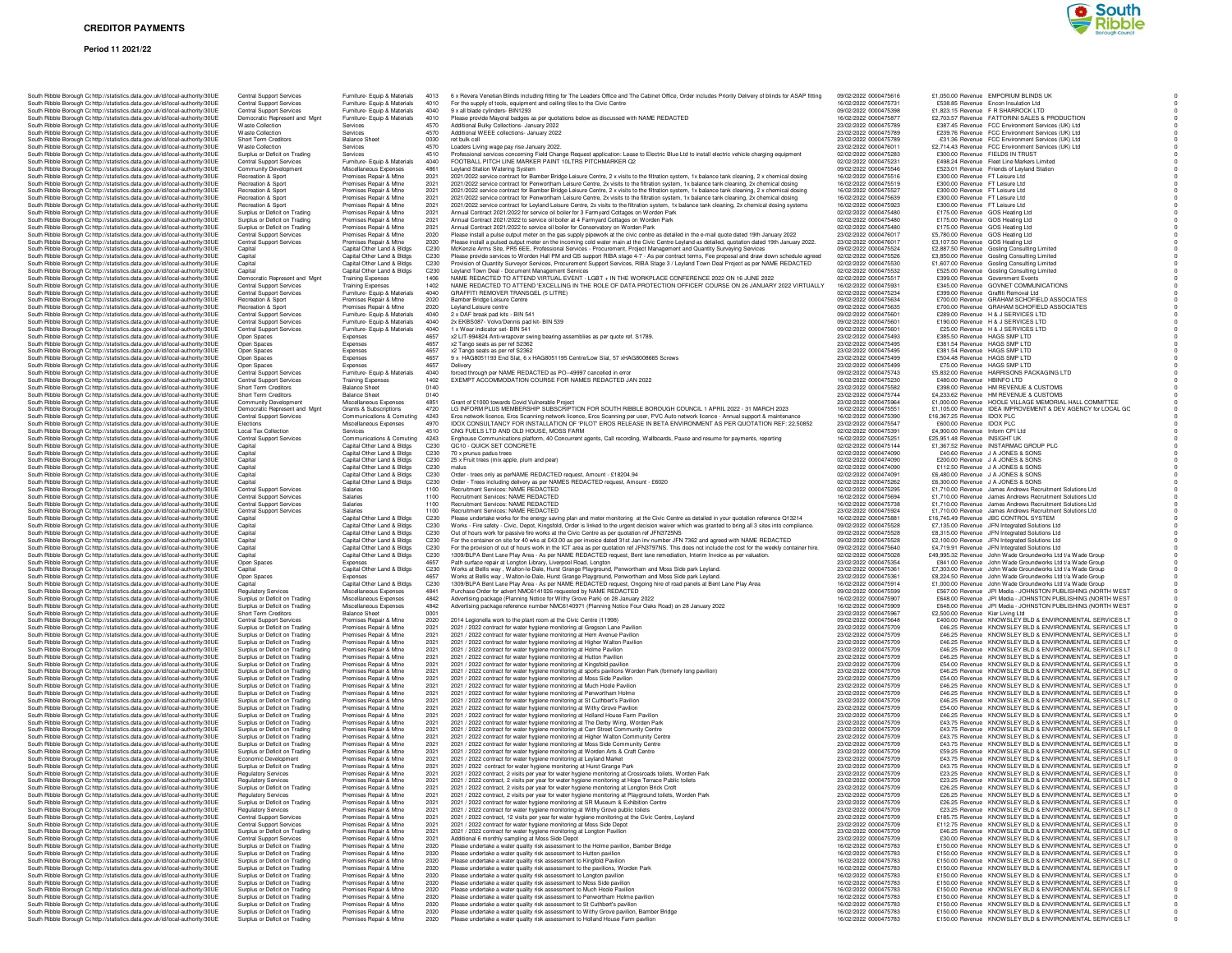#### **Period 11 2021/22**



|  | South Ribble Borough Cc http://statistics.data.gov.uk/id/local-authority/30UE                                                                                                                                                                  | <b>Central Support Services</b>                                    | Furniture- Equip & Materials                                 | 4013         | 6 x Revera Venetian Blinds including fitting for The Leaders Office and The Cabinet Office                                                                                                   |
|--|------------------------------------------------------------------------------------------------------------------------------------------------------------------------------------------------------------------------------------------------|--------------------------------------------------------------------|--------------------------------------------------------------|--------------|----------------------------------------------------------------------------------------------------------------------------------------------------------------------------------------------|
|  | South Ribble Borough Cc http://statistics.data.gov.uk/id/local-authority/30UE<br>South Ribble Borough Cc http://statistics.data.gov.uk/id/local-authority/30UE                                                                                 | <b>Central Support Services</b><br><b>Central Support Services</b> | Furniture- Equip & Materials<br>Furniture- Equip & Materials | 4010<br>4040 | For the supply of tools, equipment and ceiling tiles to the Civic Centre<br>9 x all blade cylinders- BIN1293                                                                                 |
|  | South Ribble Borough Cohttp://statistics.data.gov.uk/id/local-authority/30UE                                                                                                                                                                   | Democratic Represent and Mgnt                                      | Furniture- Equip & Materials                                 | 4010         | Please provide Mayoral badges as per quotations below as discussed with NAME REDAC                                                                                                           |
|  | South Ribble Borough Cc http://statistics.data.gov.uk/id/local-authority/30UE<br>South Ribble Borough Cc http://statistics.data.gov.uk/id/local-authority/30UE                                                                                 | <b>Waste Collection</b><br><b>Waste Collection</b>                 | Services<br>Services                                         | 4570<br>4570 | Additional Bulky Collections- January 2022<br>Additional WEEE collections- January 2022                                                                                                      |
|  | South Ribble Borough C: http://statistics.data.gov.uk/id/local-authority/30UE                                                                                                                                                                  | Short Term Creditors                                               | <b>Balance Sheet</b>                                         | 0030         | ret bulk coll                                                                                                                                                                                |
|  | South Ribble Borough Cr http://statistics.data.gov.uk/id/local-authority/30UE                                                                                                                                                                  | <b>Waste Collection</b>                                            | Services                                                     | 4570         | Loaders Living wage pay rise January 2022.                                                                                                                                                   |
|  | South Ribble Borough C: http://statistics.data.gov.uk/id/local-authority/30UE<br>South Ribble Borough Cc http://statistics.data.gov.uk/id/local-authority/30UE                                                                                 | Surplus or Deficit on Trading<br><b>Central Support Services</b>   | Services<br>Furniture- Equip & Materials                     | 4510<br>4040 | Professional services concerning Field Change Request application: Lease to Electric Blu<br>FOOTBALL PITCH LINE MARKER PAINT 10LTRS PITCHMARKER Q2                                           |
|  | South Ribble Borough Cc http://statistics.data.gov.uk/id/local-authority/30UE                                                                                                                                                                  | Community Development                                              | Miscellaneous Expenses                                       | 4861         | Leyland Station Watering System                                                                                                                                                              |
|  | South Ribble Borough Cc http://statistics.data.gov.uk/id/local-authority/30UE                                                                                                                                                                  | Recreation & Sport                                                 | Premises Repair & Mtne                                       | 2021         | 2021/2022 service contract for Bamber Bridge Leisure Centre, 2 x visits to the filtration sy-                                                                                                |
|  | South Ribble Borough Cohttp://statistics.data.gov.uk/id/local-authority/30UE<br>South Ribble Borough Cc http://statistics.data.gov.uk/id/local-authority/30UE                                                                                  | Recreation & Sport<br>Recreation & Sport                           | Premises Repair & Mtne<br>Premises Repair & Mtne             | 2021<br>2021 | 2021/2022 service contract for Penwortham Leisure Centre. 2x visits to the filtration syster<br>2021/2022 service contract for Bamber Bridge Leisure Centre, 2 x visits to the filtration sy |
|  | South Ribble Borough Cc http://statistics.data.gov.uk/id/local-authority/30UE                                                                                                                                                                  | Recreation & Sport                                                 | Premises Repair & Mtne                                       | 2021         | 2021/2022 service contract for Penwortham Leisure Centre, 2x visits to the filtration syste                                                                                                  |
|  | South Ribble Borough C: http://statistics.data.gov.uk/id/local-authority/30UE                                                                                                                                                                  | Recreation & Sport                                                 | Premises Repair & Mtne                                       | 2021         | 2021/2022 service contract for Leyland Leisure Centre, 2x visits to the filtration system, 1>                                                                                                |
|  | South Ribble Borough C: http://statistics.data.gov.uk/id/local-authority/30UE<br>South Ribble Borough Cc http://statistics.data.gov.uk/id/local-authority/30UE                                                                                 | Surplus or Deficit on Trading<br>Surplus or Deficit on Trading     | Premises Repair & Mtne<br>Premises Repair & Mtne             | 2021<br>2021 | Annual Contract 2021/2022 for service oil boiler for 3 Farmyard Cottages on Worden Park<br>Annual Contract 2021/2022 to service oil boiler at 4 Farmyard Cottages on Worden Park             |
|  | South Ribble Borough Cc http://statistics.data.gov.uk/id/local-authority/30UE                                                                                                                                                                  | Surplus or Deficit on Trading                                      | Premises Repair & Mtne                                       | 2021         | Annual Contract 2021/2022 to service oil boiler for Conservatory on Worden Park                                                                                                              |
|  | South Ribble Borough Cc http://statistics.data.gov.uk/id/local-authority/30UE                                                                                                                                                                  | Central Support Services                                           | Premises Repair & Mtne                                       | 2020         | Please install a pulse output meter on the gas supply pipework at the civic centre as detai                                                                                                  |
|  | South Ribble Borough Cc http://statistics.data.gov.uk/id/local-authority/30UE<br>South Ribble Borough Cc http://statistics.data.gov.uk/id/local-authority/30UE                                                                                 | Central Support Services<br>Capital                                | Premises Repair & Mtne<br>Capital Other Land & Bldgs         | 2020<br>C230 | Please install a pulsed output meter on the incoming cold water main at the Civic Centre I<br>McKenzie Arms Site, PR5 6EE, Professional Services - Procurement, Project Manageme             |
|  | South Ribble Borough Cc http://statistics.data.gov.uk/id/local-authority/30UE                                                                                                                                                                  | Capital                                                            | Capital Other Land & Bldgs                                   | C230         | Please provide services to Worden Hall PM and QS support RIBA stage 4-7 - As per cont                                                                                                        |
|  | South Ribble Borough Cr http://statistics.data.gov.uk/id/local-authority/30UE                                                                                                                                                                  | Capital                                                            | Capital Other Land & Bldgs                                   | C230         | Provision of Quantity Surveyor Services, Procurement Support Services, RIBA Stage 3 / I                                                                                                      |
|  | South Ribble Borough Cr http://statistics.data.gov.uk/id/local-authority/30UE<br>South Ribble Borough Cc http://statistics.data.gov.uk/id/local-authority/30UE                                                                                 | Capital<br>Democratic Represent and Mgnt                           | Capital Other Land & Bldgs<br><b>Training Expenses</b>       | C230<br>1406 | Leyland Town Deal - Document Management Services<br>NAME REDACTED TO ATTEND VIRTUAL EVENT - LGBT + IN THE WORKPLACE CO                                                                       |
|  | South Ribble Borough Cc http://statistics.data.gov.uk/id/local-authority/30UE                                                                                                                                                                  | Central Support Services                                           | <b>Training Expenses</b>                                     | 1402         | NAME REDACTED TO ATTEND 'EXCELLING IN THE ROLE OF DATA PROTECTION                                                                                                                            |
|  | South Ribble Borough Cc http://statistics.data.gov.uk/id/local-authority/30UE                                                                                                                                                                  | <b>Central Support Services</b>                                    | Furniture- Equip & Materials                                 | 4040         | GRAFFITI REMOVER TRANSGEL (5 LITRE)<br>Bamber Bridge Leisure Centre                                                                                                                          |
|  | South Ribble Borough Cc http://statistics.data.gov.uk/id/local-authority/30UE<br>South Ribble Borough Cc http://statistics.data.gov.uk/id/local-authority/30UE                                                                                 | Recreation & Sport<br>Recreation & Sport                           | Premises Repair & Mtne<br>Premises Repair & Mtne             | 2020<br>2020 | Leyland Leisure centre                                                                                                                                                                       |
|  | South Ribble Borough Cc http://statistics.data.gov.uk/id/local-authority/30UE                                                                                                                                                                  | <b>Central Support Services</b>                                    | Furniture- Equip & Materials                                 | 4040         | 2 x DAF break pad kits - BIN 541                                                                                                                                                             |
|  | South Ribble Borough C: http://statistics.data.gov.uk/id/local-authority/30UE                                                                                                                                                                  | Central Support Services                                           | Furniture- Equip & Materials                                 | 4040         | 2x EKBS087- Volvo/Dennis pad kit- BIN 539                                                                                                                                                    |
|  | South Ribble Borough Cr http://statistics.data.gov.uk/id/local-authority/30UE<br>South Ribble Borough Cr http://statistics.data.gov.uk/id/local-authority/30UE                                                                                 | <b>Central Support Services</b><br>Open Spaces                     | Furniture- Equip & Materials<br>Expenses                     | 4040<br>4657 | 1 x Wear indicator set- BIN 541<br>x2 LIT-994824 Anti-wrapover swing bearing assemblies as per quote ref. S1789.                                                                             |
|  | South Ribble Borough Cc http://statistics.data.gov.uk/id/local-authority/30UE                                                                                                                                                                  | Open Spaces                                                        | Expenses                                                     | 4657         | x2 Tango seats as per ref S2362                                                                                                                                                              |
|  | South Ribble Borough Cc http://statistics.data.gov.uk/id/local-authority/30UE<br>South Ribble Borough Cc http://statistics.data.gov.uk/id/local-authority/30UE                                                                                 | Open Spaces                                                        | Expenses<br>Expenses                                         | 4657<br>4657 | x2 Tango seats as per ref S2362<br>9 x HAG8051193 End Slat, 6 x HAG8051195 Centre/Low Slat, 57 xHAG8008665 Screw                                                                             |
|  | South Ribble Borough Cc http://statistics.data.gov.uk/id/local-authority/30UE                                                                                                                                                                  | Open Spaces<br>Open Spaces                                         | Expenses                                                     | 4657         | Delivery                                                                                                                                                                                     |
|  | South Ribble Borough Cc http://statistics.data.gov.uk/id/local-authority/30UE                                                                                                                                                                  | Central Support Services                                           | Furniture- Equip & Materials                                 | 4040         | forced through per NAME REDACTED as PO--49997 cancelled in error                                                                                                                             |
|  | South Ribble Borough Cc http://statistics.data.gov.uk/id/local-authority/30UE                                                                                                                                                                  | <b>Central Support Services</b><br><b>Short Term Creditors</b>     | <b>Training Expenses</b><br><b>Balance Sheet</b>             | 1402<br>0140 | EXEMPT ACCOMMODATION COURSE FOR NAMES REDACTED JAN 2022                                                                                                                                      |
|  | South Ribble Borough C: http://statistics.data.gov.uk/id/local-authority/30UE<br>South Ribble Borough Cc http://statistics.data.gov.uk/id/local-authority/30UE                                                                                 | <b>Short Term Creditors</b>                                        | <b>Balance Sheet</b>                                         | 0140         |                                                                                                                                                                                              |
|  | South Ribble Borough Cc http://statistics.data.gov.uk/id/local-authority/30UE                                                                                                                                                                  | Community Development                                              | Miscellaneous Expenses                                       | 4851         | Grant of £1000 towards Covid Vulnerable Project                                                                                                                                              |
|  | South Ribble Borough Cc http://statistics.data.gov.uk/id/local-authority/30UE<br>South Ribble Borough Cc http://statistics.data.gov.uk/id/local-authority/30UE                                                                                 | Democratic Represent and Mgnt<br>Central Support Services          | Grants & Subscriptions<br>Communications & Comuting          | 4720<br>4243 | LG INFORM PLUS MEMBERSHIP SUBSCRIPTION FOR SOUTH RIBBLE BOROUGH<br>Eros network licence, Eros Scanning network licence, Eros Scanning per user, PVC Auto                                     |
|  | South Ribble Borough Cohttp://statistics.data.gov.uk/id/local-authority/30UE                                                                                                                                                                   | <b>Flections</b>                                                   | Miscellaneous Expenses                                       | 4970         | IDOX CONSULTANCY FOR INSTALLATION OF 'PILOT' EROS RELEASE IN BETA EM                                                                                                                         |
|  | South Ribble Borough Cc http://statistics.data.gov.uk/id/local-authority/30UE                                                                                                                                                                  | Local Tax Collection                                               | Services                                                     | 4510         | CNG FUELS LTD AND OLD HOUSE. MOSS FARM                                                                                                                                                       |
|  | South Ribble Borough Cc http://statistics.data.gov.uk/id/local-authority/30UE<br>South Ribble Borough Cr http://statistics.data.gov.uk/id/local-authority/30UE                                                                                 | <b>Central Support Services</b><br>Capital                         | Communications & Comuting<br>Capital Other Land & Bldgs      | 4243<br>C230 | Enghouse Communications platform, 40 Concurrent agents, Call recording, Wallboards, F<br>QC10 - QUICK SET CONCRETE                                                                           |
|  | South Ribble Borough Cr http://statistics.data.gov.uk/id/local-authority/30UE                                                                                                                                                                  | Capital                                                            | Capital Other Land & Bldgs                                   | C230         | 70 x prunus padus trees                                                                                                                                                                      |
|  | South Ribble Borough Cc http://statistics.data.gov.uk/id/local-authority/30UE                                                                                                                                                                  | Capital                                                            | Capital Other Land & Bldgs                                   | C230         | 25 x Fruit trees (mix apple, plum and pear)                                                                                                                                                  |
|  | South Ribble Borough Cc http://statistics.data.gov.uk/id/local-authority/30UE<br>South Ribble Borough Cc http://statistics.data.gov.uk/id/local-authority/30UE                                                                                 | Capital<br>Capital                                                 | Capital Other Land & Bldgs<br>Capital Other Land & Bldgs     | C230<br>C230 | malus<br>Order - trees only as perNAME REDACTED request, Amount - £18204.94                                                                                                                  |
|  | South Ribble Borough Cohttp://statistics.data.gov.uk/id/local-authority/30UE                                                                                                                                                                   | Capital                                                            | Capital Other Land & Bldgs                                   | C230         | Order - Trees including delivery as per NAMES REDACTED request, Amount - £6020                                                                                                               |
|  | South Ribble Borough Cc http://statistics.data.gov.uk/id/local-authority/30UE                                                                                                                                                                  | <b>Central Support Services</b>                                    | Salaries                                                     | 1100         | Recruitment Services: NAME REDACTED                                                                                                                                                          |
|  | South Ribble Borough Cc http://statistics.data.gov.uk/id/local-authority/30UE<br>South Ribble Borough Cr http://statistics.data.gov.uk/id/local-authority/30UE                                                                                 | <b>Central Support Services</b><br>Central Support Services        | Salaries<br>Salaries                                         | 1100<br>1100 | Recruitment Services: NAME REDACTED<br>Recruitment Services: NAME REDACTED                                                                                                                   |
|  | South Ribble Borough Cr http://statistics.data.gov.uk/id/local-authority/30UE                                                                                                                                                                  | <b>Central Support Services</b>                                    | Salaries                                                     | 1100         | Recruitment Services: NAME REDACTED                                                                                                                                                          |
|  | South Ribble Borough C: http://statistics.data.gov.uk/id/local-authority/30UE                                                                                                                                                                  | Capital                                                            | Capital Other Land & Bldgs                                   | C230         | Please undertake works for the energy saving plan and meter monitoring at the Civic Cen                                                                                                      |
|  | South Ribble Borough Cc http://statistics.data.gov.uk/id/local-authority/30UE<br>South Ribble Borough Cc http://statistics.data.gov.uk/id/local-authority/30UE                                                                                 | Capital<br>Capital                                                 | Capital Other Land & Bldgs<br>Capital Other Land & Bldgs     | C230<br>C230 | Works - Fire safety - Civic, Depot, Kingsfold, Order is linked to the urgent decision waiver<br>Out of hours work for passive fire works at the Civic Centre as per quotation ref JFN3725M   |
|  | South Ribble Borough Cc http://statistics.data.gov.uk/id/local-authority/30UE                                                                                                                                                                  | Capital                                                            | Capital Other Land & Bldgs                                   | C230         | For the container on site for 40 wks at £43.00 as per invoice dated 31st Jan inv number JI                                                                                                   |
|  | South Ribble Borough Cohttp://statistics.data.gov.uk/id/local-authority/30UE                                                                                                                                                                   | Capital                                                            | Capital Other Land & Bldgs                                   | C230         | For the provision of out of hours work in the ICT area as per quotation ref JFN3797NS. Th                                                                                                    |
|  | South Ribble Borough Cc http://statistics.data.gov.uk/id/local-authority/30UE<br>South Ribble Borough Cc http://statistics.data.gov.uk/id/local-authority/30UE                                                                                 | Capital<br>Open Spaces                                             | Capital Other Land & Bldgs<br>Expenses                       | C230<br>4657 | 1309/BLPA Bent Lane Play Area - As per NAME REDACTED request, Bent lane remedia<br>Path surface repair at Longton Library, Liverpool Road, Longton                                           |
|  | South Ribble Borough C: http://statistics.data.gov.uk/id/local-authority/30UE                                                                                                                                                                  | Capital                                                            | Capital Other Land & Bldgs                                   | C230         | Works at Bellis way, Walton-le-Dale, Hurst Grange Playground, Penwortham and Moss S                                                                                                          |
|  | South Ribble Borough C: http://statistics.data.gov.uk/id/local-authority/30UE                                                                                                                                                                  | Open Spaces                                                        | Expenses                                                     | 4657         | Works at Bellis way, Walton-le-Dale, Hurst Grange Playground, Penwortham and Moss S                                                                                                          |
|  | South Ribble Borough Cc http://statistics.data.gov.uk/id/local-authority/30UE<br>South Ribble Borough Cc http://statistics.data.gov.uk/id/local-authority/30UE                                                                                 | Capital<br><b>Regulatory Services</b>                              | Capital Other Land & Bldgs<br>Miscellaneous Expenses         | C230<br>4841 | 1309/BLPA Bent Lane Play Area - As per NAME REDACTED request, Ongoing hire of ro<br>Purchase Order for advert NMC6141026 requested by NAME REDACTED                                          |
|  | South Ribble Borough Cohttp://statistics.data.gov.uk/id/local-authority/30UE                                                                                                                                                                   | Surplus or Deficit on Trading                                      | Miscellaneous Expenses                                       | 4842         | Advertising package (Planning Notice for Withy Grove Park) on 28 January 2022                                                                                                                |
|  | South Ribble Borough Cohttp://statistics.data.gov.uk/id/local-authority/30UE                                                                                                                                                                   | Surplus or Deficit on Trading                                      | Miscellaneous Expenses                                       | 4842         | Advertising package reference number NMC6140971 (Planning Notice Four Oaks Road) o                                                                                                           |
|  | South Ribble Borough Cc http://statistics.data.gov.uk/id/local-authority/30UE<br>South Ribble Borough Cc http://statistics.data.gov.uk/id/local-authority/30UE                                                                                 | Short Term Creditors<br><b>Central Support Services</b>            | <b>Balance Sheet</b><br>Premises Repair & Mtne               | 0001<br>2020 | 2014 Legionella work to the plant room at the Civic Centre (11998)                                                                                                                           |
|  | South Ribble Borough C: http://statistics.data.gov.uk/id/local-authority/30UE                                                                                                                                                                  | Surplus or Deficit on Trading                                      | Premises Repair & Mtne                                       | 2021         | 2021 / 2022 contract for water hygiene monitoring at Gregson Lane Pavilion                                                                                                                   |
|  | South Ribble Borough Cr http://statistics.data.gov.uk/id/local-authority/30UE                                                                                                                                                                  | Surplus or Deficit on Trading                                      | Premises Repair & Mtne                                       | 2021         | 2021 / 2022 contract for water hygiene monitoring at Hern Avenue Pavilion                                                                                                                    |
|  | South Ribble Borough Cc http://statistics.data.gov.uk/id/local-authority/30UE<br>South Ribble Borough Cc http://statistics.data.gov.uk/id/local-authority/30UE                                                                                 | Surplus or Deficit on Trading<br>Surplus or Deficit on Trading     | Premises Repair & Mtne<br>Premises Repair & Mtne             | 2021<br>2021 | 2021 / 2022 contract for water hygiene monitoring at Higher Walton Pavilion<br>2021 / 2022 contract for water hygiene monitoring at Holme Pavilion                                           |
|  | South Ribble Borough Cc http://statistics.data.gov.uk/id/local-authority/30UE                                                                                                                                                                  | Surplus or Deficit on Trading                                      | Premises Repair & Mtne                                       | 2021         | 2021 / 2022 contract for water hygiene monitoring at Hutton Pavilion                                                                                                                         |
|  | South Ribble Borough Cc http://statistics.data.gov.uk/id/local-authority/30UE                                                                                                                                                                  | Surplus or Deficit on Trading                                      | Premises Repair & Mtne                                       | 2021         | 2021 / 2022 contract for water hygiene monitoring at Kingsfold pavilion                                                                                                                      |
|  | South Ribble Borough Cc http://statistics.data.gov.uk/id/local-authority/30UE<br>South Ribble Borough Cc http://statistics.data.gov.uk/id/local-authority/30UE                                                                                 | Surplus or Deficit on Trading<br>Surplus or Deficit on Trading     | Premises Repair & Mtne<br>Premises Repair & Mtne             | 2021<br>2021 | 2021 / 2022 contract for water hygiene monitoring at sports pavilions Worden Park (forme<br>2021 / 2022 contract for water hygiene monitoring at Moss Side Pavilion                          |
|  | South Ribble Borough C: http://statistics.data.gov.uk/id/local-authority/30UE                                                                                                                                                                  | Surplus or Deficit on Trading                                      | Premises Repair & Mtne                                       | 2021         | 2021 / 2022 contract for water hygiene monitoring at Much Hoole Pavilion                                                                                                                     |
|  | South Ribble Borough Cr http://statistics.data.gov.uk/id/local-authority/30UE<br>South Ribble Borough C: http://statistics.data.gov.uk/id/local-authority/30UE                                                                                 | Surplus or Deficit on Trading<br>Surplus or Deficit on Trading     | Premises Repair & Mtne<br>Premises Repair & Mtne             | 2021<br>2021 | 2021 / 2022 contract for water hygiene monitoring at Penwortham Holme<br>2021 / 2022 contract for water hygiene monitoring at St Cuthbert's Pavilion                                         |
|  | South Ribble Borough Cc http://statistics.data.gov.uk/id/local-authority/30UE                                                                                                                                                                  | Surplus or Deficit on Trading                                      | Premises Repair & Mtne                                       | 2021         | 2021 / 2022 contract for water hygiene monitoring at Withy Grove Pavilion                                                                                                                    |
|  | South Ribble Borough Cc http://statistics.data.gov.uk/id/local-authority/30UE                                                                                                                                                                  | Surplus or Deficit on Trading                                      | Premises Repair & Mtne                                       | 2021         | 2021 / 2022 contract for water hygiene monitoring at Holland House Farm Pavilion                                                                                                             |
|  | South Ribble Borough Cohttp://statistics.data.gov.uk/id/local-authority/30UE<br>South Ribble Borough Cc http://statistics.data.gov.uk/id/local-authority/30UE                                                                                  | Surplus or Deficit on Trading<br>Surplus or Deficit on Trading     | Premises Benair & Mtne<br>Premises Repair & Mtne             | 2021<br>2021 | 2021 / 2022 contract for water hygiene monitoring at The Derby Wing, Worden Park<br>2021 / 2022 contract for water hygiene monitoring at Carr Street Community Centre                        |
|  | South Ribble Borough Cc http://statistics.data.gov.uk/id/local-authority/30UE                                                                                                                                                                  | Surplus or Deficit on Trading                                      | Premises Repair & Mtne                                       | 2021         | 2021 / 2022 contract for water hygiene monitoring at Higher Walton Community Centre                                                                                                          |
|  | South Ribble Borough Cc http://statistics.data.gov.uk/id/local-authority/30UE                                                                                                                                                                  | Surplus or Deficit on Trading                                      | Premises Repair & Mtne                                       | 2021         | 2021 / 2022 contract for water hygiene monitoring at Moss Side Community Centre                                                                                                              |
|  | South Ribble Borough C: http://statistics.data.gov.uk/id/local-authority/30UE<br>South Ribble Borough Cr http://statistics.data.gov.uk/id/local-authority/30UE                                                                                 | Surplus or Deficit on Trading<br>Economic Development              | Premises Repair & Mtne<br>Premises Repair & Mtne             | 2021<br>2021 | 2021 / 2022 contract for water hygiene monitoring at Worden Arts & Craft Centre<br>2021 / 2022 contract for water hygiene monitoring at Leyland Markel                                       |
|  | South Ribble Borough Cc http://statistics.data.gov.uk/id/local-authority/30UE                                                                                                                                                                  | Surplus or Deficit on Trading                                      | Premises Repair & Mtne                                       | 2021         | 2021 / 2022 contract for water hygiene monitoring at Hurst Grange Park                                                                                                                       |
|  | South Ribble Borough Cc http://statistics.data.gov.uk/id/local-authority/30UE                                                                                                                                                                  | <b>Regulatory Services</b>                                         | Premises Repair & Mtne                                       | 2021         | 2021 / 2022 contract, 2 visits per year for water hygiene monitoring at Crossroads toilets,                                                                                                  |
|  | South Ribble Borough Cc http://statistics.data.gov.uk/id/local-authority/30UE<br>South Ribble Borough Cc http://statistics.data.gov.uk/id/local-authority/30UE                                                                                 | <b>Regulatory Services</b><br>Surplus or Deficit on Trading        | Premises Repair & Mtne<br>Premises Benair & Mtne             | 2021<br>2021 | 2021 / 2022 contract, 2 visits per year for water hygiene monitoring at Hope Terrace Publi<br>2021 / 2022 contract. 2 visits per vear for water hygiene monitoring at Longton Brick Croft    |
|  | South Ribble Borough Cc http://statistics.data.gov.uk/id/local-authority/30UE                                                                                                                                                                  | <b>Regulatory Services</b>                                         | Premises Repair & Mtne                                       | 2021         | 2021 / 2022 contract, 2 visits per year for water hygiene monitoring at Playground toilets,                                                                                                  |
|  | South Ribble Borough Cc http://statistics.data.gov.uk/id/local-authority/30UE                                                                                                                                                                  | Surplus or Deficit on Trading                                      | Premises Repair & Mtne                                       | 2021         | 2021 / 2022 contract for water hygiene monitoring at SR Museum & Exhibition Centre                                                                                                           |
|  | South Ribble Borough Cc http://statistics.data.gov.uk/id/local-authority/30UE<br>South Ribble Borough Cr http://statistics.data.gov.uk/id/local-authority/30UE                                                                                 | <b>Regulatory Services</b><br><b>Central Support Services</b>      | Premises Repair & Mtne<br>Premises Repair & Mtne             | 2021<br>2021 | 2021 / 2022 contract for water hygiene monitoring at Withy Grove public toilets<br>2021 / 2022 contract, 12 visits per year for water hygiene monitoring at the Civic Centre, I              |
|  | South Ribble Borough Cc http://statistics.data.gov.uk/id/local-authority/30UE                                                                                                                                                                  | <b>Central Support Services</b>                                    | Premises Repair & Mtne                                       | 2021         | 2021 / 2022 contract for water hygiene monitoring at Moss Side Depot                                                                                                                         |
|  | South Ribble Borough Cc http://statistics.data.gov.uk/id/local-authority/30UE                                                                                                                                                                  | Surplus or Deficit on Trading                                      | Premises Repair & Mtne                                       | 2021         | 2021 / 2022 contract for water hygiene monitoring at Longton Pavilion                                                                                                                        |
|  | South Ribble Borough Cohttp://statistics.data.gov.uk/id/local-authority/30UE<br>South Ribble Borough Cc http://statistics.data.gov.uk/id/local-authority/30UE                                                                                  | Central Support Services<br>Surplus or Deficit on Trading          | Premises Repair & Mtne<br>Premises Repair & Mtne             | 2021<br>2020 | Additional 6 monthly sampling at Moss Side Depot<br>Please undertake a water quality risk assessment to the Holme pavilion, Bamber Bridge                                                    |
|  | South Ribble Borough Cc http://statistics.data.gov.uk/id/local-authority/30UE                                                                                                                                                                  | Surplus or Deficit on Trading                                      | Premises Repair & Mtne                                       | 2020         | Please undertake a water quality risk assessment to Hutton pavilion                                                                                                                          |
|  |                                                                                                                                                                                                                                                |                                                                    |                                                              |              |                                                                                                                                                                                              |
|  | South Ribble Borough Cc http://statistics.data.gov.uk/id/local-authority/30UE                                                                                                                                                                  | Surplus or Deficit on Trading                                      | Premises Repair & Mtne                                       | 2020         | Please undertake a water quality risk assessment to Kingfold Pavilion                                                                                                                        |
|  | South Ribble Borough C: http://statistics.data.gov.uk/id/local-authority/30UE                                                                                                                                                                  | Surplus or Deficit on Trading                                      | Premises Repair & Mtne                                       | 2020         | Please undertake a water quality risk assessment to the pavilions, Worden Park                                                                                                               |
|  | South Ribble Borough Cc http://statistics.data.gov.uk/id/local-authority/30UE<br>South Ribble Borough Cr http://statistics.data.gov.uk/id/local-authority/30UE                                                                                 | Surplus or Deficit on Trading<br>Surplus or Deficit on Trading     | Premises Repair & Mtne<br>Premises Repair & Mtne             | 2020<br>2020 | Please undertake a water quality risk assessment to Longton pavilion<br>Please undertake a water quality risk assessment to Moss Side pavilion                                               |
|  | South Ribble Borough Cc http://statistics.data.gov.uk/id/local-authority/30UE                                                                                                                                                                  | Surplus or Deficit on Trading                                      | Premises Repair & Mtne                                       | 2020         | Please undertake a water quality risk assessment to Much Hoole Pavilion                                                                                                                      |
|  | South Ribble Borough Cc http://statistics.data.gov.uk/id/local-authority/30UE                                                                                                                                                                  | Surplus or Deficit on Trading                                      | Premises Repair & Mtne                                       | 2020         | Please undertake a water quality risk assessment to Penwortham Holme pavilion                                                                                                                |
|  | South Ribble Borough Cc http://statistics.data.gov.uk/id/local-authority/30UE<br>South Ribble Borough Cc http://statistics.data.gov.uk/id/local-authority/30UE<br>South Dibble Demuah Critto://etatieties.data.gov.uk/id/loeal.gutbority/2011E | Surplus or Deficit on Trading<br>Surplus or Deficit on Trading     | Premises Repair & Mtne<br>Premises Repair & Mtne             | 2020<br>2020 | Please undertake a water quality risk assessment to St Cuthbert's pavilion<br>Please undertake a water quality risk assessment to Withy Grove pavilion, Bamber Bridge                        |

| South Ribble Borough Cr http://statistics.data.gov.uk/id/local-authority/30UE                                                                                                                                                                                                                                                                                                                                     | <b>Central Support Services</b>                                  | Furniture- Equip & Materials                                 | 4013             | 6 x Revera Venetian Blinds including fitting for The Leaders Office and The Cabinet Office, Order includes Priority Delivery of blinds for ASAP fitting                                                                                    | 09/02/2022 0000475616                          | £1,050.00 Revenue EMPORIUM BLINDS UK                                                                                 |
|-------------------------------------------------------------------------------------------------------------------------------------------------------------------------------------------------------------------------------------------------------------------------------------------------------------------------------------------------------------------------------------------------------------------|------------------------------------------------------------------|--------------------------------------------------------------|------------------|--------------------------------------------------------------------------------------------------------------------------------------------------------------------------------------------------------------------------------------------|------------------------------------------------|----------------------------------------------------------------------------------------------------------------------|
| South Ribble Borough Cr http://statistics.data.gov.uk/id/local-authority/30UE                                                                                                                                                                                                                                                                                                                                     | Central Support Services                                         | Furniture- Equip & Materials                                 | 4010<br>4040     | For the supply of tools, equipment and ceiling tiles to the Civic Centre                                                                                                                                                                   | 16/02/2022 0000475731                          | £538.85 Revenue Encon Insulation Ltd                                                                                 |
| South Ribble Borough Cc http://statistics.data.gov.uk/id/local-authority/30UE<br>South Ribble Borough Cc http://statistics.data.gov.uk/id/local-authority/30UE                                                                                                                                                                                                                                                    | <b>Central Support Services</b><br>Democratic Represent and Mgnt | Furniture- Equip & Materials<br>Furniture- Equip & Materials | 4010             | 9 x all blade cylinders- BIN1293<br>Please provide Mayoral badges as per quotations below as discussed with NAME REDACTED                                                                                                                  | 09/02/2022 0000475398<br>16/02/2022 0000475877 | £1,823.15 Revenue F R SHARROCK LTD<br>£2,703.57 Revenue FATTORINI SALES & PRODUCTION                                 |
| South Ribble Borough Cohttp://statistics.data.gov.uk/id/local-authority/30UE                                                                                                                                                                                                                                                                                                                                      | <b>Waste Collection</b>                                          | Services                                                     | 4570             | Additional Bulky Collections- January 2022                                                                                                                                                                                                 | 23/02/2022 0000475789                          | £387.45 Revenue FCC Environment Services (UK) Ltd                                                                    |
| South Ribble Borough Cc http://statistics.data.gov.uk/id/local-authority/30UE                                                                                                                                                                                                                                                                                                                                     | <b>Waste Collection</b>                                          | Services                                                     | 4570             | Additional WEEE collections- January 2022                                                                                                                                                                                                  | 23/02/2022 0000475789                          | £239.76 Revenue FCC Environment Services (UK) Ltd                                                                    |
|                                                                                                                                                                                                                                                                                                                                                                                                                   | Short Term Creditors                                             | <b>Balance Sheet</b>                                         | 0030             | ret bulk coll                                                                                                                                                                                                                              | 23/02/2022 0000475789                          | -£31.36 Revenue FCC Environment Services (UK) Ltd                                                                    |
| South Ribble Borough Cc http://statistics.data.gov.uk/id/local-authority/30UE<br>South Ribble Borough Cc http://statistics.data.gov.uk/id/local-authority/30UE                                                                                                                                                                                                                                                    | <b>Waste Collection</b>                                          | Services                                                     | 4570             | Loaders Living wage pay rise January 2022.                                                                                                                                                                                                 | 23/02/2022 0000476011                          | £2,714.43 Revenue FCC Environment Services (UK) Ltd                                                                  |
| South Ribble Borough Cc http://statistics.data.gov.uk/id/local-authority/30UE                                                                                                                                                                                                                                                                                                                                     | Surplus or Deficit on Trading                                    | Services                                                     | 4510             | Professional services concerning Field Change Request application: Lease to Electric Blue Ltd to install electric vehicle charging equipment                                                                                               | 02/02/2022 0000475283                          | £300.00 Revenue FIELDS IN TRUST                                                                                      |
| South Ribble Borough Cr http://statistics.data.gov.uk/id/local-authority/30UE                                                                                                                                                                                                                                                                                                                                     | <b>Central Support Services</b>                                  | Furniture- Equip & Materials                                 | 4040             | FOOTBALL PITCH LINE MARKER PAINT 10LTRS PITCHMARKER Q2                                                                                                                                                                                     | 02/02/2022 0000475231                          | £498.24 Revenue Fleet Line Markers Limited                                                                           |
| South Ribble Borough C: http://statistics.data.gov.uk/id/local-authority/30UE                                                                                                                                                                                                                                                                                                                                     | Community Development                                            | Miscellaneous Expenses                                       | 4861             | Leyland Station Watering System                                                                                                                                                                                                            | 09/02/2022 0000475546                          | £523.01 Revenue Friends of Leyland Station                                                                           |
| South Ribble Borough Cc http://statistics.data.gov.uk/id/local-authority/30UE                                                                                                                                                                                                                                                                                                                                     | Recreation & Sport                                               | Premises Repair & Mtne                                       | 2021             | 2021/2022 service contract for Bamber Bridge Leisure Centre, 2 x visits to the filtration system, 1x balance tank cleaning, 2 x chemical dosing                                                                                            | 16/02/2022 0000475516                          | £300.00 Revenue FT Leisure Ltd                                                                                       |
| South Ribble Borough Cc http://statistics.data.gov.uk/id/local-authority/30UE                                                                                                                                                                                                                                                                                                                                     | Recreation & Sport                                               | Premises Repair & Mtne                                       | 2021             | 2021/2022 service contract for Penwortham Leisure Centre, 2x visits to the filtration system, 1x balance tank cleaning, 2x chemical dosing                                                                                                 | 16/02/2022 0000475519                          | £300.00 Revenue FT Leisure Ltd                                                                                       |
| South Ribble Borough Cc http://statistics.data.gov.uk/id/local-authority/30UE                                                                                                                                                                                                                                                                                                                                     | Recreation & Sport                                               | Premises Repair & Mtne                                       | 2021             | 2021/2022 service contract for Bamber Bridge Leisure Centre, 2 x visits to the filtration system, 1x balance tank cleaning, 2 x chemical dosing                                                                                            | 16/02/2022 0000475527                          | £300.00 Revenue FT Leisure Ltd                                                                                       |
| South Ribble Borough Cc http://statistics.data.gov.uk/id/local-authority/30UE                                                                                                                                                                                                                                                                                                                                     | <b>Becreation &amp; Sport</b>                                    | Premises Repair & Mtne                                       | 2021             | 2021/2022 service contract for Penwortham Leisure Centre, 2x visits to the filtration system, 1x balance tank cleaning, 2x chemical dosing                                                                                                 | 16/02/2022 0000475639                          | £300.00 Revenue FT Leisure Ltd                                                                                       |
|                                                                                                                                                                                                                                                                                                                                                                                                                   | Recreation & Sport                                               | Premises Repair & Mtne                                       | 2021             |                                                                                                                                                                                                                                            | 16/02/2022 0000475923                          | £300.00 Revenue FT Leisure Ltd                                                                                       |
| South Ribble Borough Cc http://statistics.data.gov.uk/id/local-authority/30UE<br>South Ribble Borough Cc http://statistics.data.gov.uk/id/local-authority/30UE                                                                                                                                                                                                                                                    | Surplus or Deficit on Trading                                    | Premises Repair & Mtne                                       | 2021             | 2021/2022 service contract for Leyland Leisure Centre, 2x visits to the filtration system, 1x balance tank cleaning, 2x chemical dosing systems<br>Annual Contract 2021/2022 for service oil boiler for 3 Farmyard Cottages on Worden Park | 02/02/2022 0000475480                          | £175.00 Revenue GOS Heating Ltd                                                                                      |
|                                                                                                                                                                                                                                                                                                                                                                                                                   | Surplus or Deficit on Trading                                    | Premises Repair & Mtne                                       | 2021             |                                                                                                                                                                                                                                            | 02/02/2022 0000475480                          | £175.00 Revenue GOS Heating Ltd                                                                                      |
| South Ribble Borough Cr http://statistics.data.gov.uk/id/local-authority/30UE<br>South Ribble Borough C: http://statistics.data.gov.uk/id/local-authority/30UE                                                                                                                                                                                                                                                    | Surplus or Deficit on Trading                                    | Premises Repair & Mtne                                       | 2021             | Annual Contract 2021/2022 to service oil boiler at 4 Farmyard Cottages on Worden Park<br>Annual Contract 2021/2022 to service oil boiler for Conservatory on Worden Park                                                                   | 02/02/2022 0000475480                          | £175.00 Revenue GOS Heating Ltd                                                                                      |
| South Ribble Borough Cc http://statistics.data.gov.uk/id/local-authority/30UE                                                                                                                                                                                                                                                                                                                                     | Central Support Services                                         | Premises Repair & Mtne                                       | 2020             | Please install a pulse output meter on the gas supply pipework at the civic centre as detailed in the e-mail quote dated 19th January 2022                                                                                                 | 23/02/2022 0000476017                          | £5,780.00 Revenue GOS Heating Ltd                                                                                    |
| South Ribble Borough Cc http://statistics.data.gov.uk/id/local-authority/30UE                                                                                                                                                                                                                                                                                                                                     | <b>Central Support Services</b>                                  | Premises Repair & Mtne                                       | 2020             | Please install a pulsed output meter on the incoming cold water main at the Civic Centre Leyland as detailed, quotation dated 19th January 2022.                                                                                           | 23/02/2022 0000476017                          | £3,107.50 Revenue GOS Heating Ltd                                                                                    |
| South Ribble Borough Cc http://statistics.data.gov.uk/id/local-authority/30UE                                                                                                                                                                                                                                                                                                                                     | Capital                                                          | Capital Other Land & Bldgs                                   | C <sub>230</sub> | McKenzie Arms Site, PR5 6EE, Professional Services - Procurement, Project Management and Quantity Surveying Services                                                                                                                       | 09/02/2022 0000475524                          | £2,887.50 Revenue Gosling Consulting Limited                                                                         |
|                                                                                                                                                                                                                                                                                                                                                                                                                   | Capital                                                          | Capital Other Land & Bldgs                                   | C230             | Please provide services to Worden Hall PM and QS support RIBA stage 4-7 - As per contract terms, Fee proposal and draw down schedule agreed                                                                                                | 02/02/2022 0000475526                          | £3,850.00 Revenue Gosling Consulting Limited                                                                         |
| South Ribble Borough Cc http://statistics.data.gov.uk/id/local-authority/30UE                                                                                                                                                                                                                                                                                                                                     | Capital                                                          | Capital Other Land & Bldgs                                   | C230             |                                                                                                                                                                                                                                            | 02/02/2022 0000475530                          |                                                                                                                      |
| South Ribble Borough Cc http://statistics.data.gov.uk/id/local-authority/30UE<br>South Ribble Borough Cc http://statistics.data.gov.uk/id/local-authority/30UE                                                                                                                                                                                                                                                    | Capital                                                          | Capital Other Land & Bldgs                                   | C230             | Provision of Quantity Surveyor Services, Procurement Support Services, RIBA Stage 3 / Leyland Town Deal Project as per NAME REDACTED<br>Leyland Town Deal - Document Management Services                                                   | 02/02/2022 0000475532                          | £1,607.00 Revenue Gosling Consulting Limited<br>£525.00 Revenue Gosling Consulting Limited                           |
| South Ribble Borough Cr http://statistics.data.gov.uk/id/local-authority/30UE                                                                                                                                                                                                                                                                                                                                     | Democratic Represent and Mgnt                                    | <b>Training Expenses</b>                                     | 1406             | NAME REDACTED TO ATTEND VIRTUAL EVENT - LGBT + IN THE WORKPLACE CONFERENCE 2022 ON 16 JUNE 2022                                                                                                                                            | 02/02/2022 0000475517                          | £399.00 Revenue Government Events                                                                                    |
| South Ribble Borough Cc http://statistics.data.gov.uk/id/local-authority/30UE                                                                                                                                                                                                                                                                                                                                     | <b>Central Support Services</b>                                  | <b>Training Expenses</b>                                     | 1402             | NAME REDACTED TO ATTEND 'EXCELLING IN THE ROLE OF DATA PROTECTION OFFICER' COURSE ON 26 JANUARY 2022 VIRTUALLY                                                                                                                             | 16/02/2022 0000475931                          | £345.00 Revenue GOVNET COMMUNICATIONS                                                                                |
| South Ribble Borough Cc http://statistics.data.gov.uk/id/local-authority/30UE                                                                                                                                                                                                                                                                                                                                     | <b>Central Support Services</b>                                  | Furniture- Equip & Materials                                 | 4040             | GRAFFITI REMOVER TRANSGEL (5 LITRE)                                                                                                                                                                                                        | 02/02/2022 0000475234                          | £399.00 Revenue Graffiti Removal Ltd                                                                                 |
| South Ribble Borough Cc http://statistics.data.gov.uk/id/local-authority/30UE                                                                                                                                                                                                                                                                                                                                     | Recreation & Sport                                               | Premises Repair & Mtne                                       | 2020             | Bamber Bridge Leisure Centre                                                                                                                                                                                                               | 09/02/2022 0000475634                          | £700.00 Revenue GRAHAM SCHOFIELD ASSOCIATES                                                                          |
| South Ribble Borough Cc http://statistics.data.gov.uk/id/local-authority/30UE                                                                                                                                                                                                                                                                                                                                     | Recreation & Sport                                               | Premises Repair & Mtne                                       | 2020             | Leyland Leisure centre                                                                                                                                                                                                                     | 09/02/2022 0000475635                          | £700.00 Revenue GRAHAM SCHOFIELD ASSOCIATES                                                                          |
| South Ribble Borough Cc http://statistics.data.gov.uk/id/local-authority/30UE                                                                                                                                                                                                                                                                                                                                     | <b>Central Support Services</b>                                  | Furniture- Equip & Materials                                 | 4040             | 2 x DAF break pad kits - BIN 541                                                                                                                                                                                                           | 09/02/2022 0000475601                          | £289.00 Bevenue H & J SERVICES LTD                                                                                   |
| South Ribble Borough Cc http://statistics.data.gov.uk/id/local-authority/30UE                                                                                                                                                                                                                                                                                                                                     | <b>Central Support Services</b>                                  | Furniture- Equip & Materials                                 | 4040             | 2x EKBS087- Volvo/Dennis pad kit- BIN 539                                                                                                                                                                                                  | 09/02/2022 0000475601                          | £190.00 Revenue H & J SERVICES LTD                                                                                   |
| South Ribble Borough Cc http://statistics.data.gov.uk/id/local-authority/30UE                                                                                                                                                                                                                                                                                                                                     | <b>Central Support Services</b>                                  | Furniture- Equip & Materials                                 | 4040             | 1 x Wear indicator set- BIN 541                                                                                                                                                                                                            | 09/02/2022 0000475601                          | £25.00 Revenue H & J SERVICES LTD                                                                                    |
| South Ribble Borough Cc http://statistics.data.gov.uk/id/local-authority/30UE                                                                                                                                                                                                                                                                                                                                     | Open Spaces                                                      | Expenses                                                     | 4657             | x2 LIT-994824 Anti-wrapover swing bearing assemblies as per quote ref. S1789.                                                                                                                                                              | 23/02/2022 0000475493                          | £385.50 Revenue HAGS SMP LTD                                                                                         |
| South Ribble Borough C: http://statistics.data.gov.uk/id/local-authority/30UE                                                                                                                                                                                                                                                                                                                                     | Open Spaces                                                      | Expenses                                                     | 4657             | x2 Tango seats as per ref S2362                                                                                                                                                                                                            | 23/02/2022 0000475495                          | £381.54 Revenue HAGS SMP LTD                                                                                         |
| South Ribble Borough Cc http://statistics.data.gov.uk/id/local-authority/30UE                                                                                                                                                                                                                                                                                                                                     | Open Spaces                                                      | Expenses                                                     | 4657             | x2 Tango seats as per ref S2362                                                                                                                                                                                                            | 23/02/2022 0000475495                          | £381.54 Revenue HAGS SMP LTD                                                                                         |
| South Ribble Borough Cc http://statistics.data.gov.uk/id/local-authority/30UE                                                                                                                                                                                                                                                                                                                                     | Open Spaces                                                      | Expenses                                                     | 4657             | 9 x HAG8051193 End Slat, 6 x HAG8051195 Centre/Low Slat, 57 xHAG8008665 Screws                                                                                                                                                             | 23/02/2022 0000475499                          | £504.48 Revenue HAGS SMP LTD                                                                                         |
| South Ribble Borough Cc http://statistics.data.gov.uk/id/local-authority/30UE                                                                                                                                                                                                                                                                                                                                     | Open Spaces                                                      | Expenses                                                     | 4657             | Delivery                                                                                                                                                                                                                                   | 23/02/2022 0000475499                          | £75.00 Revenue HAGS SMP LTD                                                                                          |
| South Ribble Borough Cc http://statistics.data.gov.uk/id/local-authority/30UE                                                                                                                                                                                                                                                                                                                                     | <b>Central Support Services</b>                                  | Furniture- Equip & Materials                                 | 4040             | forced through per NAME REDACTED as PO--49997 cancelled in error                                                                                                                                                                           | 09/02/2022 0000475743                          | £5,832.00 Revenue HARRISONS PACKAGING LTD                                                                            |
| South Ribble Borough Cc http://statistics.data.gov.uk/id/local-authority/30UE                                                                                                                                                                                                                                                                                                                                     | <b>Central Support Services</b>                                  | <b>Training Expenses</b>                                     | 1402             | EXEMPT ACCOMMODATION COURSE FOR NAMES REDACTED JAN 2022                                                                                                                                                                                    | 16/02/2022 0000475230                          | £480.00 Revenue HBINFO LTD                                                                                           |
|                                                                                                                                                                                                                                                                                                                                                                                                                   | Short Term Creditors                                             | <b>Balance Sheet</b>                                         | 0140             |                                                                                                                                                                                                                                            | 23/02/2022 0000475582                          | £398.00 Revenue HM REVENUE & CUSTOMS                                                                                 |
| South Ribble Borough Cc http://statistics.data.gov.uk/id/local-authority/30UE                                                                                                                                                                                                                                                                                                                                     | Short Term Creditors                                             | <b>Balance Sheet</b>                                         | 0140             |                                                                                                                                                                                                                                            | 23/02/2022 0000475744                          | £4,233.62 Revenue HM REVENUE & CUSTOMS                                                                               |
| South Ribble Borough Cc http://statistics.data.gov.uk/id/local-authority/30UE                                                                                                                                                                                                                                                                                                                                     | Community Development                                            | Miscellaneous Expenses                                       | 4851             | Grant of £1000 towards Covid Vulnerable Project                                                                                                                                                                                            | 23/02/2022 0000475964                          | £1,000.00 Revenue HOOLE VILLAGE MEMORIAL HALL COMMITTEE                                                              |
| South Ribble Borough C: http://statistics.data.gov.uk/id/local-authority/30UE<br>South Ribble Borough C: http://statistics.data.gov.uk/id/local-authority/30UE                                                                                                                                                                                                                                                    | Democratic Represent and Mgnt                                    | Grants & Subscriptions                                       | 4720             | LG INFORM PLUS MEMBERSHIP SUBSCRIPTION FOR SOUTH RIBBLE BOROUGH COUNCIL 1 APRIL 2022 - 31 MARCH 2023                                                                                                                                       | 16/02/2022 0000475551                          | £1,105.00 Revenue IDEA IMPROVEMENT & DEV AGENCY for LOCAL GC                                                         |
| South Ribble Borough Cc http://statistics.data.gov.uk/id/local-authority/30UE                                                                                                                                                                                                                                                                                                                                     | Central Support Services                                         | Communications & Comuting                                    | 4243             | Eros network licence, Eros Scanning network licence, Eros Scanning per user, PVC Auto network licence - Annual support & maintenance                                                                                                       | 16/02/2022 0000475390                          | £16,367.25 Revenue IDOX PLC                                                                                          |
| South Ribble Borough Cc http://statistics.data.gov.uk/id/local-authority/30UE                                                                                                                                                                                                                                                                                                                                     | Elections                                                        | Miscellaneous Expenses                                       | 4970             | IDOX CONSULTANCY FOR INSTALLATION OF 'PILOT' EROS RELEASE IN BETA ENVIRONMENT AS PER QUOTATION REF: 22.50852                                                                                                                               | 23/02/2022 0000475547                          | £600.00 Revenue IDOX PLC                                                                                             |
| South Ribble Borough Cr http://statistics.data.gov.uk/id/local-authority/30UE                                                                                                                                                                                                                                                                                                                                     | <b>Local Tax Collection</b>                                      | Services                                                     | 4510             | CNG FUELS LTD AND OLD HOUSE. MOSS FARM                                                                                                                                                                                                     | 02/02/2022 0000475391                          | £4,900.00 Revenue Inform CPI Ltd                                                                                     |
|                                                                                                                                                                                                                                                                                                                                                                                                                   | <b>Central Support Services</b>                                  | Communications & Comuting                                    | 4243             | Enghouse Communications platform, 40 Concurrent agents, Call recording, Wallboards, Pause and resume for payments, reporting                                                                                                               | 16/02/2022 0000475251                          | £25.951.48 Revenue INSIGHT UK                                                                                        |
| South Ribble Borough Cc http://statistics.data.gov.uk/id/local-authority/30UE                                                                                                                                                                                                                                                                                                                                     |                                                                  |                                                              | C230             | QC10 - QUICK SET CONCRETE                                                                                                                                                                                                                  | 02/02/2022 0000475144                          | £1,367.52 Revenue INSTARMAC GROUP PLC                                                                                |
| South Ribble Borough Cc http://statistics.data.gov.uk/id/local-authority/30UE<br>South Ribble Borough Cc http://statistics.data.gov.uk/id/local-authority/30UE                                                                                                                                                                                                                                                    | Capital<br>Capital                                               | Capital Other Land & Bldgs<br>Capital Other Land & Bldgs     | C230             | 70 x prunus padus trees                                                                                                                                                                                                                    | 02/02/2022 0000474090                          | £40.60 Revenue J A JONES & SONS                                                                                      |
| South Ribble Borough Cc http://statistics.data.gov.uk/id/local-authority/30UE                                                                                                                                                                                                                                                                                                                                     | Capital                                                          | Capital Other Land & Bldgs                                   | C230             | 25 x Fruit trees (mix apple, plum and pear)                                                                                                                                                                                                | 02/02/2022 0000474090                          | £200.00 Revenue J A JONES & SONS                                                                                     |
| South Ribble Borough Cr http://statistics.data.gov.uk/id/local-authority/30UE                                                                                                                                                                                                                                                                                                                                     | Capital                                                          | Capital Other Land & Bldgs                                   | C230             |                                                                                                                                                                                                                                            | 02/02/2022 0000474090                          | £112.50 Revenue J A JONES & SONS                                                                                     |
| South Ribble Borough Cc http://statistics.data.gov.uk/id/local-authority/30UE                                                                                                                                                                                                                                                                                                                                     | Capital                                                          | Capital Other Land & Bldgs                                   | C230             | Order - trees only as perNAME REDACTED request, Amount - £18204.94                                                                                                                                                                         | 02/02/2022 0000474091                          | £6,480.00 Revenue J A JONES & SONS                                                                                   |
| South Ribble Borough Cc http://statistics.data.gov.uk/id/local-authority/30UE                                                                                                                                                                                                                                                                                                                                     | Capital                                                          | Capital Other Land & Bldgs                                   | C230             | Order - Trees including delivery as per NAMES REDACTED request, Amount - £6020                                                                                                                                                             | 02/02/2022 0000475262                          | £6,300.00 Revenue J A JONES & SONS                                                                                   |
| South Ribble Borough Cc http://statistics.data.gov.uk/id/local-authority/30UE                                                                                                                                                                                                                                                                                                                                     | <b>Central Support Services</b>                                  | Salaries                                                     | 1100             | Recruitment Services: NAME REDACTED                                                                                                                                                                                                        | 02/02/2022 0000475295                          | £1,710.00 Revenue James Andrews Recruitment Solutions Ltd                                                            |
| South Ribble Borough Cohttp://statistics.data.gov.uk/id/local-authority/30UE                                                                                                                                                                                                                                                                                                                                      | <b>Central Support Services</b>                                  | Salaries                                                     | 1100             | <b>Becruitment Services: NAME REDACTED</b>                                                                                                                                                                                                 | 16/02/2022 0000475694                          | £1,710.00 Revenue James Andrews Recruitment Solutions Ltd                                                            |
|                                                                                                                                                                                                                                                                                                                                                                                                                   | <b>Central Support Services</b>                                  | Salaries                                                     | 1100             | Recruitment Services: NAME REDACTED                                                                                                                                                                                                        | 16/02/2022 0000475738                          | £1,710.00 Revenue James Andrews Recruitment Solutions Ltd                                                            |
| South Ribble Borough Cc http://statistics.data.gov.uk/id/local-authority/30UE<br>South Ribble Borough Cc http://statistics.data.gov.uk/id/local-authority/30UE                                                                                                                                                                                                                                                    | <b>Central Support Services</b>                                  | Salaries                                                     | 1100             | Recruitment Services: NAME REDACTED                                                                                                                                                                                                        | 23/02/2022 0000475924                          | £1,710.00 Revenue James Andrews Recruitment Solutions Ltd                                                            |
| South Ribble Borough Cc http://statistics.data.gov.uk/id/local-authority/30UE                                                                                                                                                                                                                                                                                                                                     | Capital                                                          | Capital Other Land & Bldgs                                   | C230             | Please undertake works for the energy saving plan and meter monitoring at the Civic Centre as detailed in your quotation reference Q13214                                                                                                  | 16/02/2022 0000475881                          | £16,745.49 Revenue JBC CONTROL SYSTEM                                                                                |
| South Ribble Borough Cc http://statistics.data.gov.uk/id/local-authority/30UE                                                                                                                                                                                                                                                                                                                                     | Capital                                                          | Capital Other Land & Bldgs                                   | C230             | Works - Fire safety - Civic, Depot, Kingsfold, Order is linked to the urgent decision waiver which was granted to bring all 3 sites into compliance.                                                                                       | 09/02/2022 0000475528                          | £7,135.00 Revenue JFN Integrated Solutions Ltd                                                                       |
| South Ribble Borough C: http://statistics.data.gov.uk/id/local-authority/30UE                                                                                                                                                                                                                                                                                                                                     | Capital                                                          | Capital Other Land & Bldgs                                   | C230             | Out of hours work for passive fire works at the Civic Centre as per quotation ref JFN3725NS                                                                                                                                                | 09/02/2022 0000475528                          | £8,315.00 Revenue JFN Integrated Solutions Ltd                                                                       |
| South Ribble Borough Cc http://statistics.data.gov.uk/id/local-authority/30UE                                                                                                                                                                                                                                                                                                                                     | Capital                                                          | Capital Other Land & Bldgs                                   | C230             | For the container on site for 40 wks at £43.00 as per invoice dated 31st Jan inv number JFN 7362 and agreed with NAME REDACTED                                                                                                             | 09/02/2022 0000475528                          | £2,100.00 Revenue JFN Integrated Solutions Ltd                                                                       |
| South Ribble Borough Cc http://statistics.data.gov.uk/id/local-authority/30UE                                                                                                                                                                                                                                                                                                                                     | Capital                                                          | Capital Other Land & Bldgs                                   | C230             | For the provision of out of hours work in the ICT area as per quotation ref JFN3797NS. This does not include the cost for the weekly container hire.                                                                                       | 09/02/2022 0000475640                          | £4,719.91 Revenue JFN Integrated Solutions Ltd                                                                       |
| South Ribble Borough Cc http://statistics.data.gov.uk/id/local-authority/30UE                                                                                                                                                                                                                                                                                                                                     | Capital                                                          | Capital Other Land & Bldgs                                   | C230             | 1309/BLPA Bent Lane Play Area - As per NAME REDACTED request, Bent lane remediation, Interim Invoice as per valuation.                                                                                                                     | 02/02/2022 0000475028                          | £49,995.32 Revenue John Wade Groundworks Ltd t/a Wade Group                                                          |
| South Ribble Borough Cc http://statistics.data.gov.uk/id/local-authority/30UE                                                                                                                                                                                                                                                                                                                                     | Open Spaces                                                      | Expenses                                                     | 4657             | Path surface repair at Longton Library, Liverpool Road, Longton                                                                                                                                                                            | 23/02/2022 0000475354                          | £841.00 Revenue John Wade Groundworks Ltd t/a Wade Group                                                             |
| South Ribble Borough Cc http://statistics.data.gov.uk/id/local-authority/30UE                                                                                                                                                                                                                                                                                                                                     | Capital                                                          | Capital Other Land & Bldgs                                   | C230             | Works at Bellis way, Walton-le-Dale, Hurst Grange Playground, Penwortham and Moss Side park Leyland.                                                                                                                                       | 23/02/2022 0000475361                          | £7,303.00 Revenue John Wade Groundworks Ltd t/a Wade Group                                                           |
| South Ribble Borough Cc http://statistics.data.gov.uk/id/local-authority/30UE                                                                                                                                                                                                                                                                                                                                     | Open Spaces                                                      | Expenses                                                     | 4657             | Works at Bellis way , Walton-le-Dale, Hurst Grange Playground, Penwortham and Moss Side park Leyland.                                                                                                                                      | 23/02/2022 0000475361                          | £8,224.50 Revenue John Wade Groundworks Ltd t/a Wade Group                                                           |
| South Ribble Borough C: http://statistics.data.gov.uk/id/local-authority/30UE                                                                                                                                                                                                                                                                                                                                     | Capital                                                          | Capital Other Land & Bldgs                                   | C230             | 1309/BLPA Bent Lane Play Area - As per NAME REDACTED request, Ongoing hire of road panels at Bent Lane Play Area                                                                                                                           | 16/02/2022 0000475914                          | £1,000.00 Revenue John Wade Groundworks Ltd t/a Wade Group                                                           |
| South Ribble Borough Ct http://statistics.data.gov.uk/id/local-authority/30UE                                                                                                                                                                                                                                                                                                                                     | <b>Regulatory Services</b>                                       | Miscellaneous Expenses                                       | 4841             | Purchase Order for advert NMC6141026 requested by NAME REDACTED                                                                                                                                                                            | 09/02/2022 0000475599                          | £567.00 Revenue JPI Media - JOHNSTON PUBLISHING (NORTH WEST                                                          |
| South Ribble Borough Cc http://statistics.data.gov.uk/id/local-authority/30UE                                                                                                                                                                                                                                                                                                                                     | Surplus or Deficit on Trading                                    | Miscellaneous Expenses                                       | 4842             | Advertising package (Planning Notice for Withy Grove Park) on 28 January 2022                                                                                                                                                              | 16/02/2022 0000475907                          | £648.00 Revenue JPI Media - JOHNSTON PUBLISHING (NORTH WEST                                                          |
| South Ribble Borough Cc http://statistics.data.gov.uk/id/local-authority/30UE                                                                                                                                                                                                                                                                                                                                     | Surplus or Deficit on Trading                                    | Miscellaneous Expenses                                       | 4842             | Advertising package reference number NMC6140971 (Planning Notice Four Oaks Road) on 28 January 2022                                                                                                                                        | 16/02/2022 0000475909                          | £648.00 Revenue JPI Media - JOHNSTON PUBLISHING (NORTH WEST                                                          |
| South Ribble Borough Cc http://statistics.data.gov.uk/id/local-authority/30UE                                                                                                                                                                                                                                                                                                                                     | Short Term Creditors                                             | <b>Balance Sheet</b>                                         | 0001             |                                                                                                                                                                                                                                            | 23/02/2022 0000475967                          | £2.500.00 Revenue Kier Living Ltd                                                                                    |
| South Ribble Borough Cc http://statistics.data.gov.uk/id/local-authority/30UE                                                                                                                                                                                                                                                                                                                                     | <b>Central Support Services</b>                                  | Premises Repair & Mtne                                       | 2020             | 2014 Legionella work to the plant room at the Civic Centre (11998)                                                                                                                                                                         | 09/02/2022 0000475648                          | £400.00 Revenue KNOWSLEY BLD & ENVIRONMENTAL SERVICES LT                                                             |
| South Ribble Borough Cc http://statistics.data.gov.uk/id/local-authority/30UE                                                                                                                                                                                                                                                                                                                                     | Surplus or Deficit on Trading                                    | Premises Repair & Mtne                                       | 2021             | 2021 / 2022 contract for water hygiene monitoring at Gregson Lane Pavilion                                                                                                                                                                 | 23/02/2022 0000475709                          | £46.25 Revenue KNOWSLEY BLD & ENVIRONMENTAL SERVICES LT                                                              |
| South Ribble Borough Cc http://statistics.data.gov.uk/id/local-authority/30UE                                                                                                                                                                                                                                                                                                                                     | Surplus or Deficit on Trading                                    | Premises Repair & Mtne                                       | 2021             | 2021 / 2022 contract for water hygiene monitoring at Hern Avenue Pavilion                                                                                                                                                                  | 23/02/2022 0000475709                          | £46.25 Revenue KNOWSLEY BLD & ENVIRONMENTAL SERVICES LT                                                              |
| South Ribble Borough C: http://statistics.data.gov.uk/id/local-authority/30UE                                                                                                                                                                                                                                                                                                                                     | Surplus or Deficit on Trading                                    | Premises Repair & Mtne                                       | 2021             | 2021 / 2022 contract for water hygiene monitoring at Higher Walton Pavilion                                                                                                                                                                | 23/02/2022 0000475709                          | £46.25 Revenue KNOWSLEY BLD & ENVIRONMENTAL SERVICES LT                                                              |
| South Ribble Borough Cc http://statistics.data.gov.uk/id/local-authority/30UE                                                                                                                                                                                                                                                                                                                                     | Surplus or Deficit on Trading                                    | Premises Repair & Mtne                                       | 2021             | 2021 / 2022 contract for water hygiene monitoring at Holme Pavilion                                                                                                                                                                        | 23/02/2022 0000475709                          | £46.25 Revenue KNOWSLEY BLD & ENVIRONMENTAL SERVICES LT                                                              |
| South Ribble Borough Cc http://statistics.data.gov.uk/id/local-authority/30UE                                                                                                                                                                                                                                                                                                                                     | Surplus or Deficit on Trading                                    | Premises Repair & Mtne                                       | 2021             | 2021 / 2022 contract for water hygiene monitoring at Hutton Pavilion                                                                                                                                                                       | 23/02/2022 0000475709                          | £46.25 Revenue KNOWSLEY BLD & ENVIRONMENTAL SERVICES LT                                                              |
| South Ribble Borough Cc http://statistics.data.gov.uk/id/local-authority/30UE                                                                                                                                                                                                                                                                                                                                     | Surplus or Deficit on Trading                                    | Premises Repair & Mtne                                       | 2021             | 2021 / 2022 contract for water hygiene monitoring at Kingsfold pavilion                                                                                                                                                                    | 23/02/2022 0000475709                          | £54.00 Revenue KNOWSLEY BLD & ENVIRONMENTAL SERVICES LT                                                              |
| South Ribble Borough Cc http://statistics.data.gov.uk/id/local-authority/30UE                                                                                                                                                                                                                                                                                                                                     | Surplus or Deficit on Trading                                    | Premises Repair & Mtne                                       | 2021             | 2021 / 2022 contract for water hygiene monitoring at sports pavilions Worden Park (formerly long pavilion)                                                                                                                                 | 23/02/2022 0000475709                          | £46.25 Revenue KNOWSLEY BLD & ENVIRONMENTAL SERVICES LT                                                              |
| South Ribble Borough Cc http://statistics.data.gov.uk/id/local-authority/30UE                                                                                                                                                                                                                                                                                                                                     | Surplus or Deficit on Trading                                    | Premises Repair & Mtne                                       | 2021             | 2021 / 2022 contract for water hygiene monitoring at Moss Side Pavilion                                                                                                                                                                    | 23/02/2022 0000475709                          | £54.00 Revenue KNOWSLEY BLD & ENVIRONMENTAL SERVICES LT                                                              |
| South Ribble Borough Cc http://statistics.data.gov.uk/id/local-authority/30UE                                                                                                                                                                                                                                                                                                                                     | Surplus or Deficit on Trading                                    | Premises Repair & Mtne                                       | 2021             | 2021 / 2022 contract for water hygiene monitoring at Much Hoole Pavilion                                                                                                                                                                   | 23/02/2022 0000475709                          | £46.25 Revenue KNOWSLEY BLD & ENVIRONMENTAL SERVICES LT                                                              |
| South Ribble Borough Cc http://statistics.data.gov.uk/id/local-authority/30UE                                                                                                                                                                                                                                                                                                                                     | Surplus or Deficit on Trading                                    | Premises Repair & Mtne                                       | 2021             | 2021 / 2022 contract for water hygiene monitoring at Penwortham Holme                                                                                                                                                                      | 23/02/2022 0000475709                          | £46.25 Revenue KNOWSLEY BLD & ENVIRONMENTAL SERVICES LT                                                              |
| South Ribble Borough Cc http://statistics.data.gov.uk/id/local-authority/30UE                                                                                                                                                                                                                                                                                                                                     | Surplus or Deficit on Trading                                    | Premises Repair & Mtne                                       | 2021             | 2021 / 2022 contract for water hygiene monitoring at St Cuthbert's Pavilion                                                                                                                                                                | 23/02/2022 0000475709                          | £46.25 Revenue KNOWSLEY BLD & ENVIRONMENTAL SERVICES LT                                                              |
| South Ribble Borough C: http://statistics.data.gov.uk/id/local-authority/30UE                                                                                                                                                                                                                                                                                                                                     | Surplus or Deficit on Trading                                    | Premises Repair & Mtne                                       | 2021             | 2021 / 2022 contract for water hygiene monitoring at Withy Grove Pavilion                                                                                                                                                                  | 23/02/2022 0000475709                          | £54.00 Revenue KNOWSLEY BLD & ENVIRONMENTAL SERVICES LT                                                              |
| South Ribble Borough Cc http://statistics.data.gov.uk/id/local-authority/30UE                                                                                                                                                                                                                                                                                                                                     | Surplus or Deficit on Trading                                    | Premises Repair & Mtne                                       | 2021             | 2021 / 2022 contract for water hygiene monitoring at Holland House Farm Pavilion                                                                                                                                                           | 23/02/2022 0000475709                          | £46.25 Revenue KNOWSLEY BLD & ENVIRONMENTAL SERVICES LT                                                              |
| South Ribble Borough Cc http://statistics.data.gov.uk/id/local-authority/30UE                                                                                                                                                                                                                                                                                                                                     | Surplus or Deficit on Trading                                    | Premises Repair & Mtne                                       | 2021             | 2021 / 2022 contract for water hygiene monitoring at The Derby Wing, Worden Park                                                                                                                                                           | 23/02/2022 0000475709                          | £43.75 Revenue KNOWSLEY BLD & ENVIRONMENTAL SERVICES LT                                                              |
| South Ribble Borough Cc http://statistics.data.gov.uk/id/local-authority/30UE                                                                                                                                                                                                                                                                                                                                     | Surplus or Deficit on Trading                                    | Premises Repair & Mtne                                       | 2021             | 2021 / 2022 contract for water hygiene monitoring at Carr Street Community Centre                                                                                                                                                          | 23/02/2022 0000475709                          | £43.75 Revenue KNOWSLEY BLD & ENVIRONMENTAL SERVICES LT                                                              |
| South Ribble Borough Cc http://statistics.data.gov.uk/id/local-authority/30UE                                                                                                                                                                                                                                                                                                                                     | Surplus or Deficit on Trading                                    | Premises Repair & Mtne                                       | 2021             | 2021 / 2022 contract for water hygiene monitoring at Higher Walton Community Centre                                                                                                                                                        | 23/02/2022 0000475709                          | £43.75 Revenue KNOWSLEY BLD & ENVIRONMENTAL SERVICES LT                                                              |
| South Ribble Borough Cc http://statistics.data.gov.uk/id/local-authority/30UE                                                                                                                                                                                                                                                                                                                                     | Surplus or Deficit on Trading                                    | Premises Repair & Mtne                                       | 2021             | 2021 / 2022 contract for water hygiene monitoring at Moss Side Community Centre                                                                                                                                                            | 23/02/2022 0000475709                          | £43.75 Bevenue KNOWSLEY BLD & ENVIRONMENTAL SERVICES LT                                                              |
| South Ribble Borough Cc http://statistics.data.gov.uk/id/local-authority/30UE                                                                                                                                                                                                                                                                                                                                     | Surplus or Deficit on Trading                                    | Premises Repair & Mtne                                       | 2021             | 2021 / 2022 contract for water hygiene monitoring at Worden Arts & Craft Centre                                                                                                                                                            | 23/02/2022 0000475709                          | £59.25 Revenue KNOWSLEY BLD & ENVIRONMENTAL SERVICES LT                                                              |
| South Ribble Borough Cc http://statistics.data.gov.uk/id/local-authority/30UE                                                                                                                                                                                                                                                                                                                                     | Economic Development                                             | Premises Repair & Mtne                                       | 2021             | 2021 / 2022 contract for water hygiene monitoring at Leyland Market                                                                                                                                                                        | 23/02/2022 0000475709                          | £43.75 Revenue KNOWSLEY BLD & ENVIRONMENTAL SERVICES LT                                                              |
| South Ribble Borough Cc http://statistics.data.gov.uk/id/local-authority/30UE                                                                                                                                                                                                                                                                                                                                     | Surplus or Deficit on Trading                                    | Premises Repair & Mtne                                       | 2021             | 2021 / 2022 contract for water hygiene monitoring at Hurst Grange Park                                                                                                                                                                     | 23/02/2022 0000475709                          | £43.75 Revenue KNOWSLEY BLD & ENVIRONMENTAL SERVICES LT                                                              |
| South Ribble Borough Ct http://statistics.data.gov.uk/id/local-authority/30UE                                                                                                                                                                                                                                                                                                                                     | <b>Regulatory Services</b>                                       | Premises Repair & Mtne                                       | 2021             | 2021 / 2022 contract, 2 visits per year for water hygiene monitoring at Crossroads toilets, Worden Park                                                                                                                                    | 23/02/2022 0000475709                          | £23.25 Revenue KNOWSLEY BLD & ENVIRONMENTAL SERVICES LT                                                              |
| South Ribble Borough Cc http://statistics.data.gov.uk/id/local-authority/30UE                                                                                                                                                                                                                                                                                                                                     | <b>Regulatory Services</b>                                       | Premises Repair & Mtne                                       | 2021             | 2021 / 2022 contract, 2 visits per year for water hygiene monitoring at Hope Terrace Public toilets                                                                                                                                        | 23/02/2022 0000475709                          | £23.25 Revenue KNOWSLEY BLD & ENVIRONMENTAL SERVICES LT                                                              |
| South Ribble Borough Cr http://statistics.data.gov.uk/id/local-authority/30UE                                                                                                                                                                                                                                                                                                                                     | Surplus or Deficit on Trading                                    | Premises Benair & Mtne                                       | 2021             | 2021 / 2022 contract 2 visits per year for water hygiene monitoring at Longton Brick Croft                                                                                                                                                 | 23/02/2022 0000475709                          | £26.25 Revenue KNOWSLEY BLD & ENVIRONMENTAL SERVICES LT                                                              |
| South Bibble Borough Cr http://statistics.data.gov.uk/id/local-authority/30UE                                                                                                                                                                                                                                                                                                                                     |                                                                  |                                                              | 2021             | 2021 / 2022 contract, 2 visits per year for water hygiene monitoring at Playground toilets, Worden Park                                                                                                                                    | 23/02/2022 0000475709                          | £26.25 Revenue KNOWSLEY BLD & ENVIRONMENTAL SERVICES LT                                                              |
|                                                                                                                                                                                                                                                                                                                                                                                                                   | <b>Regulatory Services</b>                                       |                                                              |                  |                                                                                                                                                                                                                                            |                                                |                                                                                                                      |
| South Ribble Borough Cc http://statistics.data.gov.uk/id/local-authority/30UE                                                                                                                                                                                                                                                                                                                                     | Surplus or Deficit on Trading                                    | Premises Repair & Mtne<br>Premises Repair & Mtne             | 2021             |                                                                                                                                                                                                                                            | 23/02/2022 0000475709                          | £26.25 Revenue KNOWSLEY BLD & ENVIRONMENTAL SERVICES LT                                                              |
| South Ribble Borough Cohttp://statistics.data.gov.uk/id/local-authority/30UE                                                                                                                                                                                                                                                                                                                                      |                                                                  | Premises Repair & Mtne                                       | 2021             | 2021 / 2022 contract for water hygiene monitoring at SR Museum & Exhibition Centre                                                                                                                                                         | 23/02/2022 0000475709                          | £23.25 Revenue KNOWSLEY BLD & ENVIRONMENTAL SERVICES LT                                                              |
|                                                                                                                                                                                                                                                                                                                                                                                                                   | <b>Regulatory Services</b>                                       |                                                              | 2021             | 2021 / 2022 contract for water hygiene monitoring at Withy Grove public toilets                                                                                                                                                            | 23/02/2022 0000475709                          |                                                                                                                      |
|                                                                                                                                                                                                                                                                                                                                                                                                                   | <b>Central Support Services</b>                                  | Premises Repair & Mtne                                       |                  | 2021 / 2022 contract, 12 visits per year for water hygiene monitoring at the Civic Centre, Leyland                                                                                                                                         |                                                | £185.75 Revenue KNOWSLEY BLD & ENVIRONMENTAL SERVICES LT                                                             |
|                                                                                                                                                                                                                                                                                                                                                                                                                   | <b>Central Support Services</b>                                  | Premises Repair & Mtne                                       | 2021<br>2021     | 2021 / 2022 contract for water hygiene monitoring at Moss Side Depot                                                                                                                                                                       | 23/02/2022 0000475709                          | £112.75 Revenue KNOWSLEY BLD & ENVIRONMENTAL SERVICES LT<br>£46.25 Revenue KNOWSLEY BLD & ENVIRONMENTAL SERVICES LT  |
|                                                                                                                                                                                                                                                                                                                                                                                                                   | Surplus or Deficit on Trading                                    | Premises Repair & Mtne                                       | 2021             | 2021 / 2022 contract for water hygiene monitoring at Longton Pavilion                                                                                                                                                                      | 23/02/2022 0000475709<br>23/02/2022 0000475709 |                                                                                                                      |
|                                                                                                                                                                                                                                                                                                                                                                                                                   | <b>Central Support Services</b><br>Surplus or Deficit on Trading | Premises Repair & Mtne                                       | 2020             | Additional 6 monthly sampling at Moss Side Depot<br>Please undertake a water quality risk assessment to the Holme pavilion, Bamber Bridge                                                                                                  | 16/02/2022 0000475783                          | £30.00 Revenue KNOWSLEY BLD & ENVIRONMENTAL SERVICES LT                                                              |
| South Ribble Borough Cc http://statistics.data.gov.uk/id/local-authority/30UE<br>South Ribble Borough Cc http://statistics.data.gov.uk/id/local-authority/30UE<br>South Ribble Borough Cc http://statistics.data.gov.uk/id/local-authority/30UE<br>South Ribble Borough Cc http://statistics.data.gov.uk/id/local-authority/30UE<br>South Ribble Borough Cc http://statistics.data.gov.uk/id/local-authority/30UE | Surplus or Deficit on Trading                                    | Premises Repair & Mtne                                       | 2020             | Please undertake a water quality risk assessment to Hutton payilion                                                                                                                                                                        |                                                | £150.00 Revenue KNOWSLEY BLD & ENVIRONMENTAL SERVICES LT                                                             |
| South Ribble Borough Cc http://statistics.data.gov.uk/id/local-authority/30UE                                                                                                                                                                                                                                                                                                                                     | Surplus or Deficit on Trading                                    | Premises Repair & Mtne                                       | 2020             | Please undertake a water quality risk assessment to Kingfold Pavilion                                                                                                                                                                      | 16/02/2022 0000475783                          | £150.00 Revenue KNOWSLEY BLD & ENVIRONMENTAL SERVICES LT<br>£150.00 Revenue KNOWSLEY BLD & ENVIRONMENTAL SERVICES LT |
| South Ribble Borough Cc http://statistics.data.gov.uk/id/local-authority/30UE                                                                                                                                                                                                                                                                                                                                     |                                                                  | Premises Repair & Mtne<br>Premises Repair & Mtne             | 2020             |                                                                                                                                                                                                                                            | 16/02/2022 0000475783<br>16/02/2022 0000475783 |                                                                                                                      |
| South Ribble Borough Cc http://statistics.data.gov.uk/id/local-authority/30UE                                                                                                                                                                                                                                                                                                                                     | Surplus or Deficit on Trading                                    |                                                              | 2020             | Please undertake a water quality risk assessment to the pavilions, Worden Park                                                                                                                                                             | 16/02/2022 0000475783                          | £150.00 Revenue KNOWSLEY BLD & ENVIRONMENTAL SERVICES LT                                                             |
| South Ribble Borough Cc http://statistics.data.gov.uk/id/local-authority/30UE                                                                                                                                                                                                                                                                                                                                     | Surplus or Deficit on Trading                                    | Premises Repair & Mtne                                       | 2020             | Please undertake a water quality risk assessment to Longton pavilion                                                                                                                                                                       | 16/02/2022 0000475783                          | £150.00 Revenue KNOWSLEY BLD & ENVIRONMENTAL SERVICES LT                                                             |
| South Ribble Borough Cc http://statistics.data.gov.uk/id/local-authority/30UE                                                                                                                                                                                                                                                                                                                                     | Surplus or Deficit on Trading                                    | Premises Repair & Mtne                                       | 2020             | Please undertake a water quality risk assessment to Moss Side pavilion                                                                                                                                                                     |                                                | £150.00 Revenue KNOWSLEY BLD & ENVIRONMENTAL SERVICES LT                                                             |
| South Ribble Borough Cc http://statistics.data.gov.uk/id/local-authority/30UE                                                                                                                                                                                                                                                                                                                                     | Surplus or Deficit on Trading                                    | Premises Repair & Mtne<br>Premises Repair & Mtne             | 2020             | Please undertake a water quality risk assessment to Much Hoole Pavilion<br>Please undertake a water quality risk assessment to Penwortham Holme pavilion                                                                                   | 16/02/2022 0000475783                          | £150.00 Revenue KNOWSLEY BLD & ENVIRONMENTAL SERVICES LT                                                             |
| South Ribble Borough Cc http://statistics.data.gov.uk/id/local-authority/30UE<br>South Ribble Borough Cc http://statistics.data.gov.uk/id/local-authority/30UE                                                                                                                                                                                                                                                    | Surplus or Deficit on Trading<br>Surplus or Deficit on Trading   | Premises Repair & Mtne                                       | 2020             | Please undertake a water quality risk assessment to St Cuthbert's pavilion                                                                                                                                                                 | 16/02/2022 0000475783<br>16/02/2022 0000475783 | £150.00 Revenue KNOWSLEY BLD & ENVIRONMENTAL SERVICES LT<br>£150.00 Revenue KNOWSLEY BLD & ENVIRONMENTAL SERVICES LT |

| ig for The Leaders Office and The Cabinet Office, Order includes Priority Delivery of blinds for ASAP fitting<br>iling tiles to the Civic Centre                                                                | 09/02/2022 0000475616<br>16/02/2022 0000475731 |                             |                 | £1,050.00 Revenue EMPORIUM BLINDS UK<br>£538.85 Revenue Encon Insulation Ltd                                               |                            |
|-----------------------------------------------------------------------------------------------------------------------------------------------------------------------------------------------------------------|------------------------------------------------|-----------------------------|-----------------|----------------------------------------------------------------------------------------------------------------------------|----------------------------|
|                                                                                                                                                                                                                 | 09/02/2022 0000475398                          |                             |                 | £1,823.15 Revenue F R SHARROCK LTD                                                                                         | $\mathbf 0$                |
| otations below as discussed with NAME REDACTED                                                                                                                                                                  | 16/02/2022 0000475877                          |                             |                 | £2,703.57 Revenue FATTORINI SALES & PRODUCTION                                                                             | $\bf{0}$                   |
|                                                                                                                                                                                                                 | 23/02/2022 0000475789                          |                             |                 | £387.45 Revenue FCC Environment Services (UK) Ltd                                                                          | $\circ$                    |
| 22                                                                                                                                                                                                              | 23/02/2022 0000475789<br>23/02/2022 0000475789 |                             |                 | £239.76 Revenue FCC Environment Services (UK) Ltd<br>-£31.36 Revenue FCC Environment Services (UK) Ltd                     | $^{\circ}$<br>$\circ$      |
| 22                                                                                                                                                                                                              | 23/02/2022 0000476011                          |                             |                 | £2,714.43 Revenue FCC Environment Services (UK) Ltd                                                                        | $\bf{0}$                   |
| ange Request application: Lease to Electric Blue Ltd to install electric vehicle charging equipment                                                                                                             | 02/02/2022 0000475283                          |                             |                 | £300.00 Revenue FIELDS IN TRUST                                                                                            | $\circ$                    |
| IT 10LTRS PITCHMARKER Q2                                                                                                                                                                                        | 02/02/2022 0000475231                          |                             |                 | £498.24 Revenue Fleet Line Markers Limited                                                                                 |                            |
|                                                                                                                                                                                                                 | 09/02/2022 0000475546                          |                             |                 | £523.01 Revenue Friends of Leyland Station                                                                                 |                            |
| ridge Leisure Centre, 2 x visits to the filtration system, 1x balance tank cleaning, 2 x chemical dosing<br>am Leisure Centre, 2x visits to the filtration system, 1x balance tank cleaning, 2x chemical dosing | 16/02/2022 0000475516<br>16/02/2022 0000475519 |                             |                 | £300.00 Revenue FT Leisure Ltd<br>£300.00 Revenue FT Leisure Ltd                                                           | $\circ$<br>$^{\circ}$      |
| ridge Leisure Centre, 2 x visits to the filtration system, 1x balance tank cleaning, 2 x chemical dosing                                                                                                        | 16/02/2022 0000475527                          |                             |                 | £300.00 Revenue FT Leisure Ltd                                                                                             | $^{\circ}$                 |
| am Leisure Centre, 2x visits to the filtration system, 1x balance tank cleaning, 2x chemical dosing                                                                                                             | 16/02/2022 0000475639                          |                             |                 | £300.00 Revenue FT Leisure Ltd                                                                                             | $^{\circ}$                 |
| eisure Centre, 2x visits to the filtration system, 1x balance tank cleaning, 2x chemical dosing systems                                                                                                         | 16/02/2022 0000475923                          |                             |                 | £300.00 Revenue FT Leisure Ltd                                                                                             | $\circ$                    |
| boiler for 3 Farmyard Cottages on Worden Park                                                                                                                                                                   | 02/02/2022 0000475480                          |                             |                 | £175.00 Revenue GOS Heating Ltd                                                                                            | $\circ$                    |
| boiler at 4 Farmyard Cottages on Worden Park                                                                                                                                                                    | 02/02/2022 0000475480                          |                             |                 | £175.00 Revenue GOS Heating Ltd                                                                                            |                            |
| boiler for Conservatory on Worden Park                                                                                                                                                                          | 02/02/2022 0000475480                          |                             |                 | £175.00 Revenue GOS Heating Ltd                                                                                            |                            |
| gas supply pipework at the civic centre as detailed in the e-mail quote dated 19th January 2022<br>e incoming cold water main at the Civic Centre Leyland as detailed, quotation dated 19th January 2022.       | 23/02/2022 0000476017<br>23/02/2022 0000476017 |                             |                 | £5,780.00 Revenue GOS Heating Ltd<br>£3,107.50 Revenue GOS Heating Ltd                                                     | $\circ$<br>$\mathbf 0$     |
|                                                                                                                                                                                                                 | 09/02/2022 0000475524                          |                             |                 | £2,887.50 Revenue Gosling Consulting Limited                                                                               | $^{\circ}$                 |
| xnal Services - Procurement, Project Management and Quantity Surveying Services<br>M and QS support RIBA stage 4-7 - As per contract terms, Fee proposal and draw down schedule agreed                          | 02/02/2022 0000475526                          |                             |                 | £3,850.00 Revenue Gosling Consulting Limited                                                                               | $^{\circ}$                 |
| Procurement Support Services, RIBA Stage 3 / Leyland Town Deal Project as per NAME REDACTED                                                                                                                     | 02/02/2022 0000475530                          |                             |                 | £1,607.00 Revenue Gosling Consulting Limited                                                                               | $^{\circ}$                 |
| nent Services                                                                                                                                                                                                   | 02/02/2022 0000475532                          |                             |                 | £525.00 Revenue Gosling Consulting Limited                                                                                 | $\bf{0}$                   |
| AL EVENT - LGBT + IN THE WORKPLACE CONFERENCE 2022 ON 16 JUNE 2022<br>LLING IN THE ROLE OF DATA PROTECTION OFFICER' COURSE ON 26 JANUARY 2022 VIRTUALLY                                                         | 02/02/2022 0000475517<br>16/02/2022 0000475931 |                             |                 | £399.00 Revenue Government Events<br>£345.00 Revenue GOVNET COMMUNICATIONS                                                 |                            |
| TRE)                                                                                                                                                                                                            | 02/02/2022 0000475234                          |                             |                 | £399.00 Revenue Graffiti Removal Ltd                                                                                       |                            |
|                                                                                                                                                                                                                 | 09/02/2022 0000475634                          |                             |                 | £700.00 Revenue GRAHAM SCHOFIELD ASSOCIATES                                                                                | 0                          |
|                                                                                                                                                                                                                 | 09/02/2022 0000475635                          |                             |                 | £700.00 Revenue GRAHAM SCHOFIELD ASSOCIATES                                                                                | $\circ$                    |
|                                                                                                                                                                                                                 | 09/02/2022 0000475601                          |                             |                 | £289.00 Revenue H & J SERVICES LTD                                                                                         | $^{\circ}$                 |
| 539                                                                                                                                                                                                             | 09/02/2022 0000475601                          |                             |                 | £190.00 Revenue H & J SERVICES LTD                                                                                         | $\bf{0}$                   |
|                                                                                                                                                                                                                 | 09/02/2022 0000475601<br>23/02/2022 0000475493 |                             |                 | £25.00 Revenue H & J SERVICES LTD                                                                                          | 0<br>$\bf{0}$              |
| ng assemblies as per quote ref. S1789.                                                                                                                                                                          | 23/02/2022 0000475495                          |                             |                 | £385.50 Revenue HAGS SMP LTD<br>£381.54 Revenue HAGS SMP LTD                                                               |                            |
|                                                                                                                                                                                                                 | 23/02/2022 0000475495                          |                             |                 | £381.54 Revenue HAGS SMP LTD                                                                                               |                            |
| 1195 Centre/Low Slat, 57 xHAG8008665 Screws                                                                                                                                                                     | 23/02/2022 0000475499                          |                             |                 | £504.48 Revenue HAGS SMP LTD                                                                                               |                            |
|                                                                                                                                                                                                                 | 23/02/2022 0000475499                          |                             |                 | £75.00 Revenue HAGS SMP LTD                                                                                                |                            |
| PO-49997 cancelled in error                                                                                                                                                                                     | 09/02/2022 0000475743                          |                             |                 | £5,832.00 Revenue HARRISONS PACKAGING LTD                                                                                  | $^{\circ}$                 |
| FOR NAMES REDACTED JAN 2022                                                                                                                                                                                     | 16/02/2022 0000475230                          |                             |                 | £480.00 Revenue HBINFO LTD                                                                                                 |                            |
|                                                                                                                                                                                                                 | 23/02/2022 0000475582<br>23/02/2022 0000475744 |                             |                 | £398.00 Revenue HM REVENUE & CUSTOMS                                                                                       |                            |
| Project                                                                                                                                                                                                         | 23/02/2022 0000475964                          |                             |                 | £4,233.62 Revenue HM REVENUE & CUSTOMS<br>£1,000.00 Revenue HOOLE VILLAGE MEMORIAL HALL COMMITTEE                          |                            |
| SCRIPTION FOR SOUTH RIBBLE BOROUGH COUNCIL 1 APRIL 2022 - 31 MARCH 2023                                                                                                                                         | 16/02/2022 0000475551                          |                             |                 | £1,105.00 Revenue IDEA IMPROVEMENT & DEV AGENCY for LOCAL GC                                                               |                            |
| vork licence, Eros Scanning per user, PVC Auto network licence - Annual support & maintenance                                                                                                                   | 16/02/2022 0000475390                          | £16,367.25 Revenue IDOX PLC |                 |                                                                                                                            |                            |
| TION OF 'PILOT' EROS RELEASE IN BETA ENVIRONMENT AS PER QUOTATION REF: 22.50852                                                                                                                                 | 23/02/2022 0000475547                          |                             |                 | £600.00 Revenue IDOX PLC                                                                                                   |                            |
| <b>OSS FARM</b>                                                                                                                                                                                                 | 02/02/2022 0000475391                          |                             |                 | £4,900.00 Revenue Inform CPI Ltd                                                                                           | $^{\circ}$                 |
| Concurrent agents, Call recording, Wallboards, Pause and resume for payments, reporting                                                                                                                         | 16/02/2022 0000475251                          |                             |                 | £25,951.48 Revenue INSIGHT UK                                                                                              | $^{\circ}$                 |
|                                                                                                                                                                                                                 | 02/02/2022 0000475144<br>02/02/2022 0000474090 |                             |                 | £1,367.52 Revenue INSTARMAC GROUP PLC<br>£40.60 Revenue J A JONES & SONS                                                   | $\circ$<br>$\circ$         |
| r)                                                                                                                                                                                                              | 02/02/2022 0000474090                          |                             |                 | £200.00 Revenue J A JONES & SONS                                                                                           |                            |
|                                                                                                                                                                                                                 | 02/02/2022 0000474090                          |                             |                 | £112.50 Revenue J A JONES & SONS                                                                                           |                            |
| ED request, Amount - £18204.94                                                                                                                                                                                  | 02/02/2022 0000474091                          |                             |                 | £6,480.00 Revenue J A JONES & SONS                                                                                         |                            |
| MES REDACTED request, Amount - £6020                                                                                                                                                                            | 02/02/2022 0000475262                          |                             |                 | £6,300.00 Revenue J A JONES & SONS                                                                                         |                            |
| D                                                                                                                                                                                                               | 02/02/2022 0000475295                          |                             |                 | £1,710.00 Revenue James Andrews Recruitment Solutions Ltd                                                                  | $^{\circ}$                 |
| D<br>D                                                                                                                                                                                                          | 16/02/2022 0000475694<br>16/02/2022 0000475738 |                             |                 | £1.710.00 Revenue James Andrews Recruitment Solutions Ltd<br>£1,710.00 Revenue James Andrews Recruitment Solutions Ltd     | $^{\circ}$<br>$\mathbf 0$  |
| n                                                                                                                                                                                                               | 23/02/2022 0000475924                          |                             |                 | £1,710.00 Revenue James Andrews Recruitment Solutions Ltd                                                                  | $\mathbf 0$                |
| ving plan and meter monitoring at the Civic Centre as detailed in your quotation reference Q13214                                                                                                               | 16/02/2022 0000475881                          |                             |                 | £16,745.49 Revenue JBC CONTROL SYSTEM                                                                                      | $\mathbf 0$                |
| old, Order is linked to the urgent decision waiver which was granted to bring all 3 sites into compliance.                                                                                                      | 09/02/2022 0000475528                          |                             |                 | £7,135.00 Revenue JFN Integrated Solutions Ltd                                                                             |                            |
| t the Civic Centre as per quotation ref JFN3725NS                                                                                                                                                               | 09/02/2022 0000475528                          |                             |                 | £8,315.00 Revenue JFN Integrated Solutions Ltd                                                                             |                            |
| 3.00 as per invoice dated 31st Jan inv number JFN 7362 and agreed with NAME REDACTED                                                                                                                            | 09/02/2022 0000475528                          |                             |                 | £2,100.00 Revenue JFN Integrated Solutions Ltd                                                                             |                            |
| he ICT area as per quotation ref JFN3797NS. This does not include the cost for the weekly container hire.                                                                                                       | 09/02/2022 0000475640<br>02/02/2022 0000475028 |                             |                 | £4,719.91 Revenue JFN Integrated Solutions Ltd<br>£49,995.32 Revenue John Wade Groundworks Ltd t/a Wade Group              |                            |
| NAME REDACTED request, Bent lane remediation, Interim Invoice as per valuation.<br>verpool Road, Longton                                                                                                        | 23/02/2022 0000475354                          |                             |                 | £841.00 Revenue John Wade Groundworks Ltd t/a Wade Group                                                                   | $^{\circ}$                 |
| rst Grange Playground, Penwortham and Moss Side park Leyland.                                                                                                                                                   | 23/02/2022 0000475361                          |                             |                 | £7,303.00 Revenue John Wade Groundworks Ltd t/a Wade Group                                                                 | $\mathbf 0$                |
| rst Grange Playground, Penwortham and Moss Side park Leyland.                                                                                                                                                   | 23/02/2022 0000475361                          |                             |                 | £8,224.50 Revenue John Wade Groundworks Ltd t/a Wade Group                                                                 | 0                          |
| NAME REDACTED request, Ongoing hire of road panels at Bent Lane Play Area                                                                                                                                       | 16/02/2022 0000475914                          |                             |                 | £1,000.00 Revenue John Wade Groundworks Ltd t/a Wade Group                                                                 |                            |
| requested by NAME REDACTED                                                                                                                                                                                      | 09/02/2022 0000475599                          |                             |                 | £567.00 Revenue JPI Media - JOHNSTON PUBLISHING (NORTH WEST                                                                |                            |
| Withy Grove Park) on 28 January 2022<br>MC6140971 (Planning Notice Four Oaks Road) on 28 January 2022                                                                                                           | 16/02/2022 0000475907<br>16/02/2022 0000475909 |                             |                 | £648.00 Revenue JPI Media - JOHNSTON PUBLISHING (NORTH WEST<br>£648.00 Revenue JPI Media - JOHNSTON PUBLISHING (NORTH WEST |                            |
|                                                                                                                                                                                                                 | 23/02/2022 0000475967                          |                             |                 | £2,500.00 Revenue Kier Living Ltd                                                                                          | $^{\circ}$                 |
| the Civic Centre (11998)                                                                                                                                                                                        | 09/02/2022 0000475648                          |                             |                 | £400.00 Revenue KNOWSLEY BLD & ENVIRONMENTAL SERVICES LT                                                                   | $^{\circ}$                 |
| onitoring at Gregson Lane Pavilion                                                                                                                                                                              | 23/02/2022 0000475709                          |                             |                 | £46.25 Revenue KNOWSLEY BLD & ENVIRONMENTAL SERVICES LT                                                                    |                            |
| onitoring at Hern Avenue Pavilion                                                                                                                                                                               | 23/02/2022 0000475709                          |                             |                 | £46.25 Revenue KNOWSLEY BLD & ENVIRONMENTAL SERVICES LT                                                                    | $\mathbf 0$                |
| onitoring at Higher Walton Pavilion                                                                                                                                                                             | 23/02/2022 0000475709                          |                             |                 | £46.25 Revenue KNOWSLEY BLD & ENVIRONMENTAL SERVICES LT                                                                    |                            |
| onitoring at Holme Pavilion<br>onitoring at Hutton Pavilion                                                                                                                                                     | 23/02/2022 0000475709<br>23/02/2022 0000475709 |                             |                 | £46.25 Revenue KNOWSLEY BLD & ENVIRONMENTAL SERVICES LT<br>£46.25 Revenue KNOWSLEY BLD & ENVIRONMENTAL SERVICES LT         |                            |
| onitoring at Kingsfold pavilion                                                                                                                                                                                 | 23/02/2022 0000475709                          |                             |                 | £54.00 Revenue KNOWSLEY BLD & ENVIRONMENTAL SERVICES LT                                                                    |                            |
| onitoring at sports pavilions Worden Park (formerly long pavilion)                                                                                                                                              | 23/02/2022 0000475709                          |                             |                 | £46.25 Revenue KNOWSLEY BLD & ENVIRONMENTAL SERVICES LT                                                                    | $^{\circ}$                 |
| onitoring at Moss Side Pavilion                                                                                                                                                                                 | 23/02/2022 0000475709                          |                             |                 | £54.00 Revenue KNOWSLEY BLD & ENVIRONMENTAL SERVICES LT                                                                    | $^{\circ}$                 |
| onitoring at Much Hoole Pavilion                                                                                                                                                                                | 23/02/2022 0000475709                          |                             |                 | £46.25 Revenue KNOWSLEY BLD & ENVIRONMENTAL SERVICES LT                                                                    |                            |
| onitoring at Penwortham Holme<br>onitoring at St Cuthbert's Pavilion                                                                                                                                            | 23/02/2022 0000475709<br>23/02/2022 0000475709 |                             |                 | £46.25 Revenue KNOWSLEY BLD & ENVIRONMENTAL SERVICES LT<br>£46.25 Revenue KNOWSLEY BLD & ENVIRONMENTAL SERVICES LT         | $\mathbf 0$                |
| onitoring at Withy Grove Pavilion                                                                                                                                                                               | 23/02/2022 0000475709                          |                             |                 | £54.00 Revenue KNOWSLEY BLD & ENVIRONMENTAL SERVICES LT                                                                    |                            |
| onitoring at Holland House Farm Pavilion                                                                                                                                                                        | 23/02/2022 0000475709                          |                             |                 | £46.25 Revenue KNOWSLEY BLD & ENVIRONMENTAL SERVICES LT                                                                    |                            |
| onitoring at The Derby Wing, Worden Park                                                                                                                                                                        | 23/02/2022 0000475709                          |                             |                 | £43.75 Revenue KNOWSLEY BLD & ENVIRONMENTAL SERVICES LT                                                                    |                            |
| onitoring at Carr Street Community Centre                                                                                                                                                                       | 23/02/2022 0000475709                          |                             |                 | £43.75 Revenue KNOWSLEY BLD & ENVIRONMENTAL SERVICES LT                                                                    |                            |
| onitoring at Higher Walton Community Centre                                                                                                                                                                     | 23/02/2022 0000475709                          |                             |                 | £43.75 Revenue KNOWSLEY BLD & ENVIRONMENTAL SERVICES LT                                                                    | $^{\circ}$                 |
| onitoring at Moss Side Community Centre                                                                                                                                                                         | 23/02/2022 0000475709<br>23/02/2022 0000475709 |                             |                 | £43.75 Revenue KNOWSLEY BLD & ENVIRONMENTAL SERVICES LT<br>£59.25 Revenue KNOWSLEY BLD & ENVIRONMENTAL SERVICES LT         | $^{\circ}$                 |
| onitoring at Worden Arts & Craft Centre<br>onitoring at Leyland Market                                                                                                                                          | 23/02/2022 0000475709                          |                             |                 | £43.75 Revenue KNOWSLEY BLD & ENVIRONMENTAL SERVICES LT                                                                    |                            |
| tonitoring at Hurst Grange Park                                                                                                                                                                                 | 23/02/2022 0000475709                          |                             |                 | £43.75 Revenue KNOWSLEY BLD & ENVIRONMENTAL SERVICES LT                                                                    |                            |
| water hygiene monitoring at Crossroads toilets, Worden Park                                                                                                                                                     | 23/02/2022 0000475709                          |                             |                 | £23.25 Revenue KNOWSLEY BLD & ENVIRONMENTAL SERVICES LT                                                                    |                            |
| water hygiene monitoring at Hope Terrace Public toilets                                                                                                                                                         | 23/02/2022 0000475709                          |                             |                 | £23.25 Revenue KNOWSLEY BLD & ENVIRONMENTAL SERVICES LT                                                                    | $\mathbf 0$                |
| water hygiene monitoring at Longton Brick Croft                                                                                                                                                                 | 23/02/2022 0000475709                          |                             |                 | £26.25 Revenue KNOWSLEY BLD & ENVIRONMENTAL SERVICES LT                                                                    | $\circ$                    |
| water hygiene monitoring at Playground toilets. Worden Park<br>onitoring at SR Museum & Exhibition Centre                                                                                                       | 23/02/2022 0000475709<br>23/02/2022 0000475709 |                             |                 | £26.25 Revenue KNOWSLEY BLD & ENVIRONMENTAL SERVICES LT<br>£26.25 Revenue KNOWSLEY BLD & ENVIRONMENTAL SERVICES LT         |                            |
| onitoring at Withy Grove public toilets                                                                                                                                                                         | 23/02/2022 0000475709                          |                             |                 | £23.25 Revenue KNOWSLEY BLD & ENVIRONMENTAL SERVICES LT                                                                    |                            |
| r water hygiene monitoring at the Civic Centre, Leyland                                                                                                                                                         | 23/02/2022 0000475709                          |                             |                 | £185.75 Revenue KNOWSLEY BLD & ENVIRONMENTAL SERVICES LT                                                                   | $\Omega$                   |
| onitoring at Moss Side Depot                                                                                                                                                                                    | 23/02/2022 0000475709                          |                             |                 | £112.75 Revenue KNOWSLEY BLD & ENVIRONMENTAL SERVICES LT                                                                   |                            |
| onitoring at Longton Pavilion                                                                                                                                                                                   | 23/02/2022 0000475709                          |                             |                 | £46.25 Revenue KNOWSLEY BLD & ENVIRONMENTAL SERVICES LT                                                                    |                            |
| de Depot                                                                                                                                                                                                        | 23/02/2022 0000475709                          |                             |                 | £30.00 Revenue KNOWSLEY BLD & ENVIRONMENTAL SERVICES LT                                                                    |                            |
| ssment to the Holme pavilion, Bamber Bridge                                                                                                                                                                     | 16/02/2022 0000475783<br>16/02/2022 0000475783 |                             |                 | £150.00 Revenue KNOWSLEY BLD & ENVIRONMENTAL SERVICES LT<br>£150.00 Revenue KNOWSLEY BLD & ENVIRONMENTAL SERVICES LT       |                            |
| essment to Hutton pavilion<br>essment to Kingfold Pavilion                                                                                                                                                      | 16/02/2022 0000475783                          |                             |                 | £150.00 Revenue KNOWSLEY BLD & ENVIRONMENTAL SERVICES LT                                                                   | $\Omega$<br>0              |
| assment to the pavilions, Worden Park                                                                                                                                                                           | 16/02/2022 0000475783                          |                             |                 | £150.00 Revenue KNOWSLEY BLD & ENVIRONMENTAL SERVICES LT                                                                   | $^{\circ}$                 |
| assment to Longton pavilion                                                                                                                                                                                     | 16/02/2022 0000475783                          |                             |                 | £150.00 Revenue KNOWSLEY BLD & ENVIRONMENTAL SERVICES LT                                                                   | $\Omega$                   |
| assment to Moss Side pavilion                                                                                                                                                                                   | 16/02/2022 0000475783                          |                             |                 | £150.00 Revenue KNOWSLEY BLD & ENVIRONMENTAL SERVICES LT                                                                   | $^{\circ}$                 |
| assment to Much Hoole Pavilion                                                                                                                                                                                  | 16/02/2022 0000475783                          |                             |                 | £150.00 Revenue KNOWSLEY BLD & ENVIRONMENTAL SERVICES LT                                                                   |                            |
| ssment to Penwortham Holme pavilion                                                                                                                                                                             | 16/02/2022 0000475783                          |                             | £150.00 Revenue | KNOWSLEY BLD & ENVIRONMENTAL SERVICES LT                                                                                   | $\mathbf 0$                |
| essment to St Cuthbert's pavilion<br>ssment to Withy Grove pavilion, Bamber Bridge                                                                                                                              | 16/02/2022 0000475783<br>16/02/2022 0000475783 |                             |                 | £150.00 Revenue KNOWSLEY BLD & ENVIRONMENTAL SERVICES LT<br>£150.00 Revenue KNOWSLEY BLD & ENVIRONMENTAL SERVICES LT       | $\mathbf 0$<br>$\mathbf 0$ |
|                                                                                                                                                                                                                 | 16/02/2022 0000475783                          |                             |                 | £150.00 Revenue KNOWSLEY BLD & ENVIRONMENTAL SERVICES LT                                                                   | $^{\circ}$                 |
| ssment to Holland House Farm pavilion                                                                                                                                                                           |                                                |                             |                 |                                                                                                                            |                            |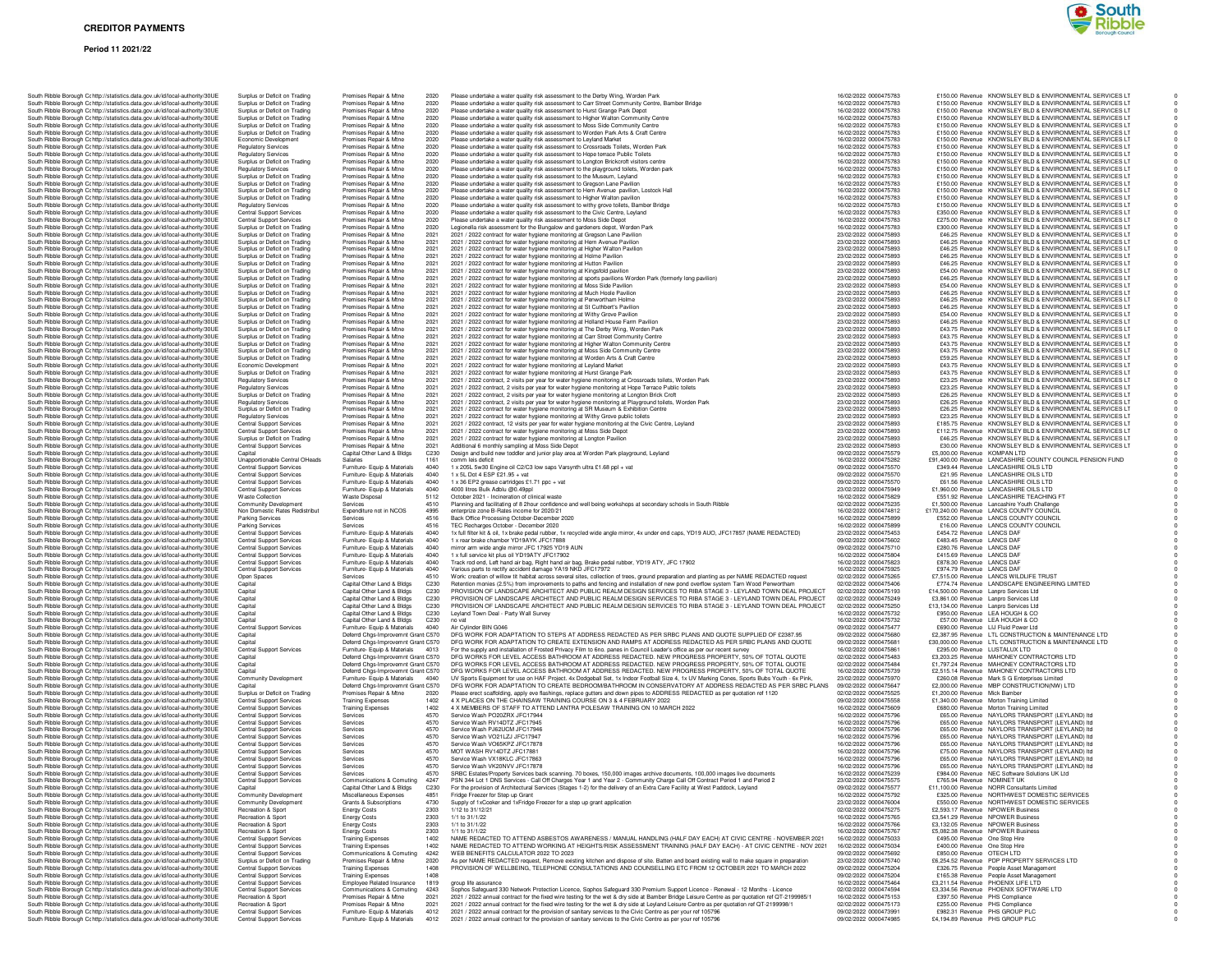# **CREDITOR PAYMENTS**

### **Period 11 2021/22**

|  |  | South Ribble Borough Cr http://statistics.data.gov.uk/id/local-authority/30UE                                                                                  | Surplus or Deficit on Trading                                      |                                | Premises Repair & Mtne                                       |                                                                          | 2020         |
|--|--|----------------------------------------------------------------------------------------------------------------------------------------------------------------|--------------------------------------------------------------------|--------------------------------|--------------------------------------------------------------|--------------------------------------------------------------------------|--------------|
|  |  | South Ribble Borough Cc http://statistics.data.gov.uk/id/local-authority/30UE<br>South Ribble Borough Cc http://statistics.data.gov.uk/id/local-authority/30UE | Surplus or Deficit on Trading<br>Surplus or Deficit on Trading     |                                | Premises Repair & Mtne<br>Premises Repair & Mtne             |                                                                          | 2020<br>2020 |
|  |  |                                                                                                                                                                |                                                                    |                                |                                                              |                                                                          | 2020         |
|  |  | South Ribble Borough Cc http://statistics.data.gov.uk/id/local-authority/30UE                                                                                  | Surplus or Deficit on Trading<br>Surplus or Deficit on Trading     |                                | Premises Repair & Mtne<br>Premises Repair & Mtne             |                                                                          | 2020         |
|  |  | South Ribble Borough Cc http://statistics.data.gov.uk/id/local-authority/30UE<br>South Ribble Borough Cc http://statistics.data.gov.uk/id/local-authority/30UE | Economic Development                                               |                                | Premises Repair & Mtne                                       |                                                                          | 2020         |
|  |  | South Ribble Borough Cc http://statistics.data.gov.uk/id/local-authority/30UE                                                                                  | <b>Regulatory Services</b>                                         |                                | Premises Repair & Mtne                                       |                                                                          | 2020         |
|  |  | South Ribble Borough Cc http://statistics.data.gov.uk/id/local-authority/30UE                                                                                  | <b>Regulatory Services</b>                                         |                                | Premises Repair & Mtne                                       |                                                                          | 2020         |
|  |  | South Ribble Borough Cc http://statistics.data.gov.uk/id/local-authority/30UE                                                                                  | Surplus or Deficit on Trading                                      |                                | Premises Repair & Mtne                                       |                                                                          | 2020         |
|  |  | South Ribble Borough Cc http://statistics.data.gov.uk/id/local-authority/30UE                                                                                  | <b>Regulatory Services</b>                                         |                                | Premises Repair & Mtne                                       |                                                                          | 2020         |
|  |  | South Ribble Borough Cc http://statistics.data.gov.uk/id/local-authority/30UE                                                                                  | Surplus or Deficit on Trading                                      |                                | Premises Repair & Mtne                                       |                                                                          | 2020         |
|  |  | South Ribble Borough Cc http://statistics.data.gov.uk/id/local-authority/30UE                                                                                  | Surplus or Deficit on Trading                                      |                                | Premises Repair & Mtne                                       |                                                                          | 2020         |
|  |  | South Ribble Borough Cc http://statistics.data.gov.uk/id/local-authority/30UE                                                                                  | Surplus or Deficit on Trading                                      |                                | Premises Repair & Mtne                                       |                                                                          | 2020         |
|  |  | South Ribble Borough Cc http://statistics.data.gov.uk/id/local-authority/30UE                                                                                  | Surplus or Deficit on Trading                                      |                                | Premises Repair & Mtne                                       |                                                                          | 2020         |
|  |  | South Ribble Borough Cc http://statistics.data.gov.uk/id/local-authority/30UE                                                                                  | <b>Regulatory Services</b>                                         |                                | Premises Repair & Mtne                                       |                                                                          | 2020         |
|  |  | South Ribble Borough Cc http://statistics.data.gov.uk/id/local-authority/30UE                                                                                  | <b>Central Support Services</b>                                    |                                | Premises Repair & Mtne                                       |                                                                          | 2020         |
|  |  | South Ribble Borough Cc http://statistics.data.gov.uk/id/local-authority/30UE                                                                                  | Central Support Services                                           |                                | Premises Repair & Mtne                                       |                                                                          | 2020         |
|  |  | South Ribble Borough C: http://statistics.data.gov.uk/id/local-authority/30UE                                                                                  | Surplus or Deficit on Trading                                      |                                | Premises Repair & Mtne                                       |                                                                          | 2020         |
|  |  | South Ribble Borough Cc http://statistics.data.gov.uk/id/local-authority/30UE                                                                                  | Surplus or Deficit on Trading                                      |                                | Premises Repair & Mtne                                       |                                                                          | 2021         |
|  |  | South Ribble Borough Cc http://statistics.data.gov.uk/id/local-authority/30UE                                                                                  | Surplus or Deficit on Trading                                      |                                | Premises Repair & Mtne                                       |                                                                          | 2021         |
|  |  | South Ribble Borough Cc http://statistics.data.gov.uk/id/local-authority/30UE                                                                                  | Surplus or Deficit on Trading                                      |                                | Premises Repair & Mtne<br>Premises Repair & Mtne             |                                                                          | 2021         |
|  |  | South Ribble Borough Cc http://statistics.data.gov.uk/id/local-authority/30UE<br>South Ribble Borough Cc http://statistics.data.gov.uk/id/local-authority/30UE | Surplus or Deficit on Trading                                      |                                |                                                              |                                                                          | 2021         |
|  |  | South Ribble Borough Cc http://statistics.data.gov.uk/id/local-authority/30UE                                                                                  | Surplus or Deficit on Trading<br>Surplus or Deficit on Trading     |                                | Premises Repair & Mtne<br>Premises Repair & Mtne             |                                                                          | 2021<br>2021 |
|  |  | South Ribble Borough C: http://statistics.data.gov.uk/id/local-authority/30UE                                                                                  | Surplus or Deficit on Trading                                      |                                | Premises Repair & Mtne                                       |                                                                          | 2021         |
|  |  | South Ribble Borough C: http://statistics.data.gov.uk/id/local-authority/30UE                                                                                  | Surplus or Deficit on Trading                                      |                                | Premises Repair & Mtne                                       |                                                                          | 2021         |
|  |  | South Ribble Borough Cc http://statistics.data.gov.uk/id/local-authority/30UE                                                                                  | Surplus or Deficit on Trading                                      |                                | Premises Repair & Mtne                                       |                                                                          | 2021         |
|  |  | South Ribble Borough Cc http://statistics.data.gov.uk/id/local-authority/30UE                                                                                  | Surplus or Deficit on Trading                                      |                                | Premises Repair & Mtne                                       |                                                                          | 2021         |
|  |  | South Ribble Borough Cc http://statistics.data.gov.uk/id/local-authority/30UE                                                                                  | Surplus or Deficit on Trading                                      |                                | Premises Repair & Mtne                                       |                                                                          | 2021         |
|  |  | South Ribble Borough Cc http://statistics.data.gov.uk/id/local-authority/30UE                                                                                  | Surplus or Deficit on Trading                                      |                                | Premises Repair & Mtne                                       |                                                                          | 2021         |
|  |  | South Ribble Borough Cc http://statistics.data.gov.uk/id/local-authority/30UE                                                                                  | Surplus or Deficit on Trading                                      |                                | Premises Repair & Mtne                                       |                                                                          | 2021         |
|  |  | South Ribble Borough Cc http://statistics.data.gov.uk/id/local-authority/30UE                                                                                  | Surplus or Deficit on Trading                                      |                                | Premises Repair & Mtne                                       |                                                                          | 2021         |
|  |  | South Ribble Borough Cc http://statistics.data.gov.uk/id/local-authority/30UE                                                                                  | Surplus or Deficit on Trading                                      |                                | Premises Repair & Mtne                                       |                                                                          | 2021         |
|  |  | South Ribble Borough Cc http://statistics.data.gov.uk/id/local-authority/30UE                                                                                  | Surplus or Deficit on Trading                                      |                                | Premises Repair & Mtne                                       |                                                                          | 2021         |
|  |  | South Ribble Borough Cc http://statistics.data.gov.uk/id/local-authority/30UE                                                                                  | Surplus or Deficit on Trading                                      |                                | Premises Repair & Mtne                                       |                                                                          | 2021         |
|  |  | South Ribble Borough Cc http://statistics.data.gov.uk/id/local-authority/30UE                                                                                  | Surplus or Deficit on Trading                                      |                                | Premises Repair & Mtne                                       |                                                                          | 2021         |
|  |  | South Ribble Borough Cc http://statistics.data.gov.uk/id/local-authority/30UE                                                                                  | Economic Development                                               |                                | Premises Repair & Mtne                                       |                                                                          | 2021         |
|  |  | South Ribble Borough Cc http://statistics.data.gov.uk/id/local-authority/30UE                                                                                  | Surplus or Deficit on Trading                                      |                                | Premises Repair & Mtne<br>Premises Repair & Mtne             |                                                                          | 2021<br>2021 |
|  |  | South Ribble Borough Cc http://statistics.data.gov.uk/id/local-authority/30UE                                                                                  | <b>Regulatory Services</b>                                         |                                |                                                              |                                                                          |              |
|  |  | South Ribble Borough Cc http://statistics.data.gov.uk/id/local-authority/30UE                                                                                  | <b>Regulatory Services</b>                                         |                                | Premises Repair & Mtne                                       |                                                                          | 2021         |
|  |  | South Ribble Borough Cc http://statistics.data.gov.uk/id/local-authority/30UE<br>South Ribble Borough Cc http://statistics.data.gov.uk/id/local-authority/30UE | Surplus or Deficit on Trading<br><b>Regulatory Services</b>        |                                | Premises Repair & Mtne<br>Premises Repair & Mtne             |                                                                          | 2021<br>2021 |
|  |  | South Ribble Borough C: http://statistics.data.gov.uk/id/local-authority/30UE                                                                                  | Surplus or Deficit on Trading                                      |                                | Premises Repair & Mtne                                       |                                                                          | 2021         |
|  |  | South Ribble Borough Cc http://statistics.data.gov.uk/id/local-authority/30UE                                                                                  | <b>Regulatory Services</b>                                         |                                | Premises Repair & Mtne                                       |                                                                          | 2021         |
|  |  | South Ribble Borough Cr http://statistics.data.gov.uk/id/local-authority/30UE                                                                                  | <b>Central Support Services</b>                                    |                                | Premises Repair & Mtne                                       |                                                                          | 2021         |
|  |  | South Ribble Borough Cc http://statistics.data.gov.uk/id/local-authority/30UE                                                                                  | Central Support Services                                           |                                | Premises Repair & Mtne                                       |                                                                          | 2021         |
|  |  | South Ribble Borough Cc http://statistics.data.gov.uk/id/local-authority/30UE                                                                                  | Surplus or Deficit on Trading                                      |                                | Premises Repair & Mtne                                       |                                                                          | 2021         |
|  |  | South Ribble Borough Cc http://statistics.data.gov.uk/id/local-authority/30UE                                                                                  | Central Support Services                                           |                                | Premises Repair & Mtne                                       |                                                                          | 2021         |
|  |  | South Ribble Borough Cc http://statistics.data.gov.uk/id/local-authority/30UE                                                                                  | Capital                                                            |                                | Capital Other Land & Bldgs                                   |                                                                          | C230         |
|  |  | South Ribble Borough C: http://statistics.data.gov.uk/id/local-authority/30UE                                                                                  |                                                                    | Unapportionable Central OHeads | Salaries                                                     |                                                                          | 1161         |
|  |  | South Ribble Borough Cc http://statistics.data.gov.uk/id/local-authority/30UE                                                                                  | <b>Central Support Services</b>                                    |                                | Furniture- Equip & Materials                                 |                                                                          | 4040         |
|  |  | South Ribble Borough Cc http://statistics.data.gov.uk/id/local-authority/30UE                                                                                  | <b>Central Support Services</b>                                    |                                | Furniture- Equip & Materials                                 |                                                                          | 4040         |
|  |  | South Ribble Borough Cc http://statistics.data.gov.uk/id/local-authority/30UE                                                                                  | <b>Central Support Services</b>                                    |                                | Furniture- Equip & Materials                                 |                                                                          | 4040         |
|  |  | South Ribble Borough Cc http://statistics.data.gov.uk/id/local-authority/30UE                                                                                  | Central Support Services                                           |                                | Furniture- Equip & Materials                                 |                                                                          | 4040         |
|  |  | South Ribble Borough Cc http://statistics.data.gov.uk/id/local-authority/30UE                                                                                  | <b>Waste Collection</b>                                            |                                | Waste Disposal                                               |                                                                          | 5112         |
|  |  | South Ribble Borough Cc http://statistics.data.gov.uk/id/local-authority/30UE                                                                                  | Community Development                                              |                                | Services                                                     |                                                                          | 4510         |
|  |  | South Ribble Borough Cc http://statistics.data.gov.uk/id/local-authority/30UE                                                                                  |                                                                    | Non Domestic Rates Redistribut | Expenditure not in NCOS<br>Services                          |                                                                          | 4995<br>4516 |
|  |  | South Ribble Borough Cc http://statistics.data.gov.uk/id/local-authority/30UE<br>South Ribble Borough Cc http://statistics.data.gov.uk/id/local-authority/30UE | Parking Services<br>Parking Services                               |                                | Services                                                     |                                                                          | 4516         |
|  |  | South Ribble Borough Cc http://statistics.data.gov.uk/id/local-authority/30UE                                                                                  | Central Support Services                                           |                                | Furniture- Equip & Materials                                 |                                                                          | 4040         |
|  |  | South Ribble Borough Cc http://statistics.data.gov.uk/id/local-authority/30UE                                                                                  | <b>Central Support Services</b>                                    |                                | Furniture- Equip & Materials                                 |                                                                          | 4040         |
|  |  | South Ribble Borough Cc http://statistics.data.gov.uk/id/local-authority/30UE                                                                                  | <b>Central Support Services</b>                                    |                                | Furniture- Equip & Materials                                 |                                                                          | 4040         |
|  |  | South Ribble Borough Cc http://statistics.data.gov.uk/id/local-authority/30UE                                                                                  | Central Support Services                                           |                                | Furniture- Equip & Materials                                 |                                                                          | 4040         |
|  |  | South Ribble Borough Cc http://statistics.data.gov.uk/id/local-authority/30UE                                                                                  | Central Support Services                                           |                                | Furniture- Equip & Materials                                 |                                                                          | 4040         |
|  |  | South Ribble Borough Cc http://statistics.data.gov.uk/id/local-authority/30UE                                                                                  | Central Support Services                                           |                                | Furniture- Equip & Materials                                 |                                                                          | 4040         |
|  |  | South Ribble Borough Cc http://statistics.data.gov.uk/id/local-authority/30UE                                                                                  | Open Spaces                                                        |                                | Services                                                     |                                                                          | 4510         |
|  |  | South Ribble Borough Cc http://statistics.data.gov.uk/id/local-authority/30UE                                                                                  | Capital                                                            |                                | Capital Other Land & Bldgs                                   |                                                                          | C230         |
|  |  | South Ribble Borough C: http://statistics.data.gov.uk/id/local-authority/30UE                                                                                  | Capital                                                            |                                | Capital Other Land & Bldgs                                   |                                                                          | C230         |
|  |  | South Ribble Borough Cc http://statistics.data.gov.uk/id/local-authority/30UE                                                                                  | Capital                                                            |                                | Capital Other Land & Bldgs                                   |                                                                          | C230         |
|  |  | South Ribble Borough Cc http://statistics.data.gov.uk/id/local-authority/30UE                                                                                  | Capital                                                            |                                | Capital Other Land & Bldgs                                   |                                                                          | C230         |
|  |  | South Ribble Borough Cc http://statistics.data.gov.uk/id/local-authority/30UE                                                                                  | Capital                                                            |                                | Capital Other Land & Bldgs                                   |                                                                          | C230<br>C230 |
|  |  | South Ribble Borough Cc http://statistics.data.gov.uk/id/local-authority/30UE                                                                                  | Capital                                                            |                                | Capital Other Land & Bldgs                                   |                                                                          |              |
|  |  | South Ribble Borough Cc http://statistics.data.gov.uk/id/local-authority/30UE                                                                                  | Central Support Services                                           |                                | Furniture- Equip & Materials                                 |                                                                          | 4040         |
|  |  | South Ribble Borough Cc http://statistics.data.gov.uk/id/local-authority/30UE<br>South Ribble Borough C: http://statistics.data.gov.uk/id/local-authority/30UE | Capital                                                            |                                |                                                              | Deferrd Chgs-Improvemnt Grant C570<br>Deferrd Chgs-Improvemnt Grant C570 |              |
|  |  | South Ribble Borough Cc http://statistics.data.gov.uk/id/local-authority/30UE                                                                                  | Capital<br>Central Support Services                                |                                | Furniture- Equip & Materials                                 |                                                                          | 4013         |
|  |  | South Ribble Borough Cc http://statistics.data.gov.uk/id/local-authority/30UE                                                                                  | Capital                                                            |                                |                                                              | Deferrd Chgs-Improvemnt Grant C570                                       |              |
|  |  | South Ribble Borough Cc http://statistics.data.gov.uk/id/local-authority/30UE                                                                                  | Capital                                                            |                                |                                                              | Deferrd Chgs-Improvemnt Grant C570                                       |              |
|  |  | South Ribble Borough C: http://statistics.data.gov.uk/id/local-authority/30UE                                                                                  | Capital                                                            |                                |                                                              | Deferrd Chgs-Improvemnt Grant C570                                       |              |
|  |  | South Ribble Borough Cc http://statistics.data.gov.uk/id/local-authority/30UE                                                                                  | Community Development                                              |                                | Furniture- Equip & Materials                                 |                                                                          | 4040         |
|  |  | South Ribble Borough Cc http://statistics.data.gov.uk/id/local-authority/30UE                                                                                  | Capital                                                            |                                |                                                              | Deferrd Chgs-Improvemnt Grant C570                                       |              |
|  |  | South Ribble Borough Cc http://statistics.data.gov.uk/id/local-authority/30UE                                                                                  | Surplus or Deficit on Trading                                      |                                | Premises Repair & Mtne                                       |                                                                          | 2020         |
|  |  | South Ribble Borough Cc http://statistics.data.gov.uk/id/local-authority/30UE                                                                                  | Central Support Services                                           |                                | <b>Training Expenses</b>                                     |                                                                          | 1402         |
|  |  | South Ribble Borough Cc http://statistics.data.gov.uk/id/local-authority/30UE                                                                                  | Central Support Services                                           |                                | <b>Training Expenses</b>                                     |                                                                          | 1402         |
|  |  | South Ribble Borough Cc http://statistics.data.gov.uk/id/local-authority/30UE                                                                                  | <b>Central Support Services</b><br><b>Central Support Services</b> |                                | Services                                                     |                                                                          | 4570         |
|  |  | South Ribble Borough Cc http://statistics.data.gov.uk/id/local-authority/30UE<br>South Ribble Borough Cc http://statistics.data.gov.uk/id/local-authority/30UE | <b>Central Support Services</b>                                    |                                | Services<br>Services                                         |                                                                          | 4570<br>4570 |
|  |  | South Ribble Borough Cc http://statistics.data.gov.uk/id/local-authority/30UE                                                                                  | <b>Central Support Services</b>                                    |                                | Services                                                     |                                                                          | 4570         |
|  |  | South Ribble Borough Cc http://statistics.data.gov.uk/id/local-authority/30UE                                                                                  | <b>Central Support Services</b>                                    |                                | Services                                                     |                                                                          | 4570         |
|  |  | South Ribble Borough Cc http://statistics.data.gov.uk/id/local-authority/30UE                                                                                  | Central Support Services                                           |                                | Services                                                     |                                                                          | 4570         |
|  |  | South Ribble Borough Cc http://statistics.data.gov.uk/id/local-authority/30UE                                                                                  | Central Support Services                                           |                                | Services                                                     |                                                                          | 4570         |
|  |  | South Ribble Borough Cohttp://statistics.data.gov.uk/id/local-authority/30UE                                                                                   | Central Support Services                                           |                                | Services                                                     |                                                                          | 4570         |
|  |  | South Ribble Borough Cc http://statistics.data.gov.uk/id/local-authority/30UE                                                                                  | Central Support Services                                           |                                | Services                                                     |                                                                          | 4570         |
|  |  | South Ribble Borough Cc http://statistics.data.gov.uk/id/local-authority/30UE                                                                                  | Central Support Services                                           |                                | Communications & Comuting                                    |                                                                          | 4247         |
|  |  | South Ribble Borough Cc http://statistics.data.gov.uk/id/local-authority/30UE                                                                                  | Capital                                                            |                                | Capital Other Land & Bldgs                                   |                                                                          | C230         |
|  |  | South Ribble Borough Cc http://statistics.data.gov.uk/id/local-authority/30UE                                                                                  | Community Development                                              |                                | Miscellaneous Expenses                                       |                                                                          | 4851         |
|  |  | South Ribble Borough Cohttp://statistics.data.gov.uk/id/local-authority/30UE                                                                                   | Community Development                                              |                                | Grants & Subscriptions                                       |                                                                          | 4730         |
|  |  | South Ribble Borough Cc http://statistics.data.gov.uk/id/local-authority/30UE                                                                                  | Recreation & Sport                                                 |                                | <b>Energy Costs</b>                                          |                                                                          | 2303         |
|  |  | South Ribble Borough Cc http://statistics.data.gov.uk/id/local-authority/30UE                                                                                  | Recreation & Sport<br>Recreation & Sport                           |                                | <b>Energy Costs</b>                                          |                                                                          | 2303         |
|  |  | South Ribble Borough Cc http://statistics.data.gov.uk/id/local-authority/30UE                                                                                  | Recreation & Sport                                                 |                                | <b>Energy Costs</b>                                          |                                                                          | 2303<br>2303 |
|  |  | South Ribble Borough Cc http://statistics.data.gov.uk/id/local-authority/30UE<br>South Ribble Borough Cc http://statistics.data.gov.uk/id/local-authority/30UE | <b>Central Support Services</b>                                    |                                | <b>Energy Costs</b><br><b>Training Expenses</b>              |                                                                          | 1402         |
|  |  | South Ribble Borough Cc http://statistics.data.gov.uk/id/local-authority/30UE                                                                                  | <b>Central Support Services</b>                                    |                                | <b>Training Expenses</b>                                     |                                                                          | 1402         |
|  |  | South Ribble Borough Cc http://statistics.data.gov.uk/id/local-authority/30UE                                                                                  | <b>Central Support Services</b>                                    |                                | Communications & Comuting                                    |                                                                          | 4242         |
|  |  | South Ribble Borough Cc http://statistics.data.gov.uk/id/local-authority/30UE                                                                                  | Surplus or Deficit on Trading                                      |                                | Premises Repair & Mtne                                       |                                                                          | 2020         |
|  |  | South Ribble Borough Cc http://statistics.data.gov.uk/id/local-authority/30UE                                                                                  | Central Support Services                                           |                                | <b>Training Expenses</b>                                     |                                                                          | 1408         |
|  |  | South Ribble Borough Cc http://statistics.data.gov.uk/id/local-authority/30UE                                                                                  | Central Support Services                                           |                                | <b>Training Expenses</b>                                     |                                                                          | 1408         |
|  |  | South Ribble Borough Cc http://statistics.data.gov.uk/id/local-authority/30UE                                                                                  | Central Support Services                                           |                                | Employee Related Insurance                                   |                                                                          | 1819         |
|  |  | South Ribble Borough Cc http://statistics.data.gov.uk/id/local-authority/30UE                                                                                  | <b>Central Support Services</b>                                    |                                | Communications & Comuting                                    |                                                                          | 4243         |
|  |  |                                                                                                                                                                |                                                                    |                                |                                                              |                                                                          |              |
|  |  | South Ribble Borough Cc http://statistics.data.gov.uk/id/local-authority/30UE                                                                                  | Recreation & Sport                                                 |                                | Premises Repair & Mtne                                       |                                                                          | 2021         |
|  |  | South Ribble Borough Cc http://statistics.data.gov.uk/id/local-authority/30UE                                                                                  | Recreation & Sport                                                 |                                | Premises Repair & Mtne                                       |                                                                          | 2021         |
|  |  | South Ribble Borough Cohttp://statistics.data.gov.uk/id/local-authority/30UE<br>South Ribble Borough Ct http://statistics.data.gov.uk/id/local-authority/30UE  | <b>Central Support Services</b><br><b>Central Support Services</b> |                                | Furniture- Equip & Materials<br>Furniture- Equip & Materials |                                                                          | 4012<br>4012 |

| South Ribble Borough C: http://statistics.data.gov.uk/id/local-authority/30UE                                                                                  |                    | Surplus or Deficit on Trading                                  | Premises Repair & Mtne                                             | 2020         | Please undertake a water quality risk assessment to                                                             |
|----------------------------------------------------------------------------------------------------------------------------------------------------------------|--------------------|----------------------------------------------------------------|--------------------------------------------------------------------|--------------|-----------------------------------------------------------------------------------------------------------------|
| South Ribble Borough Cc http://statistics.data.gov.uk/id/local-authority/30UE                                                                                  |                    | Surplus or Deficit on Trading                                  | Premises Repair & Mtne                                             | 2020         | Please undertake a water quality risk assessment to                                                             |
| South Ribble Borough Cohttp://statistics.data.gov.uk/id/local-authority/30UE                                                                                   |                    | Surplus or Deficit on Trading                                  | Premises Repair & Mtne                                             | 2020         | Please undertake a water quality risk assessment to                                                             |
| South Ribble Borough Cc http://statistics.data.gov.uk/id/local-authority/30UE                                                                                  |                    | Surplus or Deficit on Trading                                  | Premises Repair & Mtne                                             | 2020         | Please undertake a water quality risk assessment to                                                             |
| South Ribble Borough Cc http://statistics.data.gov.uk/id/local-authority/30UE<br>South Ribble Borough Cc http://statistics.data.gov.uk/id/local-authority/30UE |                    | Surplus or Deficit on Trading<br>Surplus or Deficit on Trading | Premises Repair & Mtne<br>Premises Repair & Mtne                   | 2020<br>2020 | Please undertake a water quality risk assessment to<br>Please undertake a water quality risk assessment to      |
| South Ribble Borough Cohttp://statistics.data.gov.uk/id/local-authority/30UE                                                                                   |                    | Economic Development                                           | Premises Repair & Mtne                                             | 2020         | Please undertake a water quality risk assessment to                                                             |
| South Ribble Borough Cc http://statistics.data.gov.uk/id/local-authority/30UE                                                                                  |                    | Regulatory Services                                            | Premises Repair & Mtne                                             | 2020         | Please undertake a water quality risk assessment to                                                             |
| South Ribble Borough Cohttp://statistics.data.gov.uk/id/local-authority/30UE                                                                                   |                    | <b>Regulatory Services</b>                                     | Premises Repair & Mtne                                             | 2020         | Please undertake a water quality risk assessment to                                                             |
| South Ribble Borough Cc http://statistics.data.gov.uk/id/local-authority/30UE                                                                                  |                    | Surplus or Deficit on Trading                                  | Premises Repair & Mtne                                             | 2020         | Please undertake a water quality risk assessment to                                                             |
| South Ribble Borough Cc http://statistics.data.gov.uk/id/local-authority/30UE                                                                                  |                    | <b>Regulatory Services</b>                                     | Premises Repair & Mtne                                             | 2020         | Please undertake a water quality risk assessment to                                                             |
| South Ribble Borough Cc http://statistics.data.gov.uk/id/local-authority/30UE                                                                                  |                    | Surplus or Deficit on Trading                                  | Premises Repair & Mtne                                             | 2020         | Please undertake a water quality risk assessment to                                                             |
| South Ribble Borough Cc http://statistics.data.gov.uk/id/local-authority/30UE                                                                                  |                    | Surplus or Deficit on Trading                                  | Premises Repair & Mtne                                             | 2020         | Please undertake a water quality risk assessment to                                                             |
| South Ribble Borough Cc http://statistics.data.gov.uk/id/local-authority/30UE                                                                                  |                    | Surplus or Deficit on Trading                                  | Premises Repair & Mtne                                             | 2020         | Please undertake a water quality risk assessment to                                                             |
| South Ribble Borough Cc http://statistics.data.gov.uk/id/local-authority/30UE                                                                                  |                    | Surplus or Deficit on Trading                                  | Premises Repair & Mtne                                             | 2020         | Please undertake a water quality risk assessment to                                                             |
| South Ribble Borough Cc http://statistics.data.gov.uk/id/local-authority/30UE                                                                                  |                    | <b>Regulatory Services</b>                                     | Premises Repair & Mtne                                             | 2020         | Please undertake a water quality risk assessment to                                                             |
| South Ribble Borough Cc http://statistics.data.gov.uk/id/local-authority/30UE                                                                                  |                    | <b>Central Support Services</b>                                | Premises Repair & Mtne                                             | 2020         | Please undertake a water quality risk assessment to                                                             |
| South Ribble Borough Cc http://statistics.data.gov.uk/id/local-authority/30UE                                                                                  |                    | Central Support Services                                       | Premises Repair & Mtne                                             | 2020         | Please undertake a water quality risk assessment to                                                             |
| South Ribble Borough Cc http://statistics.data.gov.uk/id/local-authority/30UE                                                                                  |                    | Surplus or Deficit on Trading                                  | Premises Repair & Mtne                                             | 2020         | Legionella risk assessment for the Bungalow and ga                                                              |
| South Ribble Borough Cc http://statistics.data.gov.uk/id/local-authority/30UE                                                                                  |                    | Surplus or Deficit on Trading                                  | Premises Repair & Mtne                                             | 2021         | 2021 / 2022 contract for water hygiene monitoring a                                                             |
| South Ribble Borough Cc http://statistics.data.gov.uk/id/local-authority/30UE                                                                                  |                    | Surplus or Deficit on Trading                                  | Premises Repair & Mtne                                             | 2021         | 2021 / 2022 contract for water hygiene monitoring a                                                             |
| South Ribble Borough Cc http://statistics.data.gov.uk/id/local-authority/30UE                                                                                  |                    | Surplus or Deficit on Trading                                  | Premises Repair & Mtne                                             | 2021         | 2021 / 2022 contract for water hygiene monitoring a                                                             |
| South Ribble Borough Cc http://statistics.data.gov.uk/id/local-authority/30UE                                                                                  |                    | Surplus or Deficit on Trading                                  | Premises Repair & Mtne                                             | 2021         | 2021 / 2022 contract for water hygiene monitoring a                                                             |
| South Ribble Borough Cc http://statistics.data.gov.uk/id/local-authority/30UE                                                                                  |                    | Surplus or Deficit on Trading                                  | Premises Repair & Mtne                                             | 2021         | 2021 / 2022 contract for water hygiene monitoring a                                                             |
| South Ribble Borough Cohttp://statistics.data.gov.uk/id/local-authority/30UE                                                                                   |                    | Surplus or Deficit on Trading                                  | Premises Repair & Mtne                                             | 2021<br>2021 | 2021 / 2022 contract for water hygiene monitoring a                                                             |
| South Ribble Borough Cohttp://statistics.data.gov.uk/id/local-authority/30UE<br>South Ribble Borough Cc http://statistics.data.gov.uk/id/local-authority/30UE  |                    | Surplus or Deficit on Trading<br>Surplus or Deficit on Trading | Premises Repair & Mtne<br>Premises Repair & Mtne                   | 2021         | 2021 / 2022 contract for water hygiene monitoring a<br>2021 / 2022 contract for water hygiene monitoring a      |
| South Ribble Borough Cc http://statistics.data.gov.uk/id/local-authority/30UE                                                                                  |                    | Surplus or Deficit on Trading                                  | Premises Repair & Mtne                                             | 2021         | 2021 / 2022 contract for water hygiene monitoring a                                                             |
| South Ribble Borough Cc http://statistics.data.gov.uk/id/local-authority/30UE                                                                                  |                    | Surplus or Deficit on Trading                                  | Premises Repair & Mtne                                             | 2021         | 2021 / 2022 contract for water hygiene monitoring a                                                             |
| South Ribble Borough Cc http://statistics.data.gov.uk/id/local-authority/30UE                                                                                  |                    | Surplus or Deficit on Trading                                  | Premises Repair & Mtne                                             | 2021         | 2021 / 2022 contract for water hygiene monitoring a                                                             |
| South Ribble Borough Cc http://statistics.data.gov.uk/id/local-authority/30UE                                                                                  |                    | Surplus or Deficit on Trading                                  | Premises Repair & Mtne                                             | 2021         | 2021 / 2022 contract for water hygiene monitoring a                                                             |
| South Ribble Borough Cc http://statistics.data.gov.uk/id/local-authority/30UE                                                                                  |                    | Surplus or Deficit on Trading                                  | Premises Repair & Mtne                                             | 2021         | 2021 / 2022 contract for water hygiene monitoring a                                                             |
| South Ribble Borough Cc http://statistics.data.gov.uk/id/local-authority/30UE                                                                                  |                    | Surplus or Deficit on Trading                                  | Premises Repair & Mtne                                             | 2021         | 2021 / 2022 contract for water hygiene monitoring a                                                             |
| South Ribble Borough Cohttp://statistics.data.gov.uk/id/local-authority/30UE                                                                                   |                    | Surplus or Deficit on Trading                                  | Premises Repair & Mtne                                             | 2021         | 2021 / 2022 contract for water hygiene monitoring a                                                             |
| South Ribble Borough Cc http://statistics.data.gov.uk/id/local-authority/30UE                                                                                  |                    | Surplus or Deficit on Trading                                  | Premises Repair & Mtne                                             | 2021         | 2021 / 2022 contract for water hygiene monitoring a                                                             |
| South Ribble Borough Cc http://statistics.data.gov.uk/id/local-authority/30UE                                                                                  |                    | Surplus or Deficit on Trading                                  | Premises Repair & Mtne                                             | 2021         | 2021 / 2022 contract for water hygiene monitoring a                                                             |
| South Ribble Borough Cc http://statistics.data.gov.uk/id/local-authority/30UE                                                                                  |                    | Surplus or Deficit on Trading                                  | Premises Repair & Mtne                                             | 2021         | 2021 / 2022 contract for water hygiene monitoring a                                                             |
| South Ribble Borough Cc http://statistics.data.gov.uk/id/local-authority/30UE                                                                                  |                    | Economic Development                                           | Premises Repair & Mtne                                             | 2021         | 2021 / 2022 contract for water hygiene monitoring a                                                             |
| South Ribble Borough Cc http://statistics.data.gov.uk/id/local-authority/30UE                                                                                  |                    | Surplus or Deficit on Trading                                  | Premises Repair & Mtne                                             | 2021         | 2021 / 2022 contract for water hygiene monitoring a                                                             |
| South Ribble Borough Cc http://statistics.data.gov.uk/id/local-authority/30UE                                                                                  |                    | <b>Regulatory Services</b>                                     | Premises Repair & Mtne                                             | 2021         | 2021 / 2022 contract, 2 visits per year for water hygi                                                          |
| South Ribble Borough Cohttp://statistics.data.gov.uk/id/local-authority/30UE                                                                                   |                    | <b>Regulatory Services</b>                                     | Premises Repair & Mtne                                             | 2021         | 2021 / 2022 contract, 2 visits per year for water hygi                                                          |
| South Ribble Borough Cc http://statistics.data.gov.uk/id/local-authority/30UE                                                                                  |                    | Surplus or Deficit on Trading                                  | Premises Repair & Mtne                                             | 2021         | 2021 / 2022 contract, 2 visits per year for water hygi                                                          |
| South Ribble Borough Cc http://statistics.data.gov.uk/id/local-authority/30UE                                                                                  |                    | <b>Regulatory Services</b>                                     | Premises Repair & Mtne                                             | 2021         | 2021 / 2022 contract, 2 visits per year for water hygi                                                          |
| South Ribble Borough Cc http://statistics.data.gov.uk/id/local-authority/30UE                                                                                  |                    | Surplus or Deficit on Trading                                  | Premises Repair & Mtne                                             | 2021         | 2021 / 2022 contract for water hygiene monitoring a                                                             |
| South Ribble Borough Cc http://statistics.data.gov.uk/id/local-authority/30UE                                                                                  |                    | <b>Regulatory Services</b>                                     | Premises Repair & Mtne                                             | 2021         | 2021 / 2022 contract for water hygiene monitoring a                                                             |
| South Ribble Borough Cc http://statistics.data.gov.uk/id/local-authority/30UE                                                                                  |                    | <b>Central Support Services</b>                                | Premises Repair & Mtne                                             | 2021         | 2021 / 2022 contract, 12 visits per year for water hy                                                           |
| South Ribble Borough Cc http://statistics.data.gov.uk/id/local-authority/30UE                                                                                  |                    | Central Support Services                                       | Premises Repair & Mtne<br>Premises Repair & Mtne                   | 2021<br>2021 | 2021 / 2022 contract for water hygiene monitoring a                                                             |
| South Ribble Borough Cc http://statistics.data.gov.uk/id/local-authority/30UE                                                                                  |                    | Surplus or Deficit on Trading<br>Central Support Services      | Premises Repair & Mtne                                             | 2021         | 2021 / 2022 contract for water hygiene monitoring a<br>Additional 6 monthly sampling at Moss Side Depot         |
| South Ribble Borough Cc http://statistics.data.gov.uk/id/local-authority/30UE<br>South Ribble Borough Cohttp://statistics.data.gov.uk/id/local-authority/30UE  |                    | Capital                                                        | Capital Other Land & Bldgs                                         | C230         | Design and build new toddler and junior play area at                                                            |
| South Ribble Borough Cc http://statistics.data.gov.uk/id/local-authority/30UE                                                                                  |                    | Unapportionable Central OHeads                                 | Salaries                                                           | 1161         | comm leis deficit                                                                                               |
| South Ribble Borough Cc http://statistics.data.gov.uk/id/local-authority/30UE                                                                                  |                    | Central Support Services                                       | Furniture- Equip & Materials                                       | 4040         | 1 x 205L 5w30 Engine oil C2/C3 low saps Varsynth                                                                |
| South Ribble Borough Cc http://statistics.data.gov.uk/id/local-authority/30UE                                                                                  |                    | <b>Central Support Services</b>                                | Furniture- Equip & Materials                                       | 4040         | 1 x 5L Dot 4 ESP £21.95 + vat                                                                                   |
| South Ribble Borough Cc http://statistics.data.gov.uk/id/local-authority/30UE                                                                                  |                    | Central Support Services                                       | Furniture- Equip & Materials                                       | 4040         | 1 x 36 EP2 grease cartridges £1.71 ppc + vat                                                                    |
| South Ribble Borough Cc http://statistics.data.gov.uk/id/local-authority/30UE                                                                                  |                    | Central Support Services                                       | Furniture- Equip & Materials                                       | 4040         | 4000 litres Bulk Adblu @0.49ppl                                                                                 |
| South Ribble Borough Cc http://statistics.data.gov.uk/id/local-authority/30UE                                                                                  |                    | <b>Waste Collection</b>                                        | Waste Disposal                                                     | 5112         | October 2021 - Incineration of clinical waste                                                                   |
| South Ribble Borough Cc http://statistics.data.gov.uk/id/local-authority/30UE                                                                                  |                    | Community Development                                          | Services                                                           | 4510         | Planning and facilitating of 8 2hour confidence and v                                                           |
| South Ribble Borough Cc http://statistics.data.gov.uk/id/local-authority/30UE                                                                                  |                    | Non Domestic Rates Redistribut                                 | Expenditure not in NCOS                                            | 4995         | enterprize zone B-Rates income for 2020/21                                                                      |
| South Ribble Borough Cc http://statistics.data.gov.uk/id/local-authority/30UE                                                                                  |                    | <b>Parking Services</b>                                        | Services                                                           | 4516         | Back Office Processing October-December 2020                                                                    |
| South Ribble Borough Cc http://statistics.data.gov.uk/id/local-authority/30UE                                                                                  |                    | <b>Parking Services</b>                                        | Services                                                           | 4516         | TEC Recharges October - December 2020                                                                           |
| South Ribble Borough Cc http://statistics.data.gov.uk/id/local-authority/30UE                                                                                  |                    | Central Support Services                                       | Furniture- Equip & Materials                                       | 4040         | 1x full filter kit & oil, 1x brake pedal rubber, 1x recycl                                                      |
| South Ribble Borough Cc http://statistics.data.gov.uk/id/local-authority/30UE                                                                                  |                    | Central Support Services                                       | Furniture- Equip & Materials                                       | 4040         | 1 x rear brake chamber YD19AYK JFC17888                                                                         |
| South Ribble Borough Cc http://statistics.data.gov.uk/id/local-authority/30UE                                                                                  |                    | Central Support Services                                       | Furniture- Equip & Materials                                       | 4040         | mirror arm wide angle mirror JFC 17925 YD19 AUN                                                                 |
| South Ribble Borough Cc http://statistics.data.gov.uk/id/local-authority/30UE                                                                                  |                    | Central Support Services                                       | Furniture- Equip & Materials                                       | 4040         | 1 x full service kit plus oil YD19ATY JFC17902                                                                  |
| South Ribble Borough Cc http://statistics.data.gov.uk/id/local-authority/30UE                                                                                  |                    | Central Support Services                                       | Furniture- Equip & Materials                                       | 4040         | Track rod end, Left hand air bag, Right hand air bag                                                            |
| South Ribble Borough Cc http://statistics.data.gov.uk/id/local-authority/30UE<br>South Ribble Borough Cc http://statistics.data.gov.uk/id/local-authority/30UE |                    | <b>Central Support Services</b><br>Open Spaces                 | Furniture- Equip & Materials<br>Services                           | 4040<br>4510 | Various parts to rectify accident damage YA19 NKD<br>Work: creation of willow tit habitat across several sit    |
| South Ribble Borough Cc http://statistics.data.gov.uk/id/local-authority/30UE                                                                                  |                    | Capital                                                        | Capital Other Land & Bldgs                                         | C230         | Retention monies (2.5%) from improvements to path                                                               |
| South Ribble Borough Cc http://statistics.data.gov.uk/id/local-authority/30UE                                                                                  |                    | Capital                                                        | Capital Other Land & Bldgs                                         | C230         | PROVISION OF LANDSCAPE ARCHITECT AND F                                                                          |
| South Ribble Borough Cc http://statistics.data.gov.uk/id/local-authority/30UE                                                                                  |                    | Capital                                                        | Capital Other Land & Bldgs                                         | C230         | PROVISION OF LANDSCAPE ARCHITECT AND F                                                                          |
| South Ribble Borough Cc http://statistics.data.gov.uk/id/local-authority/30UE                                                                                  |                    | Capital                                                        | Capital Other Land & Bldgs                                         | C230         | PROVISION OF LANDSCAPE ARCHITECT AND F                                                                          |
| South Ribble Borough Cc http://statistics.data.gov.uk/id/local-authority/30UE                                                                                  |                    | Capital                                                        | Capital Other Land & Bldgs                                         | C230         | Leyland Town Deal - Party Wall Survey                                                                           |
| South Ribble Borough Cc http://statistics.data.gov.uk/id/local-authority/30UE                                                                                  |                    | Capital                                                        | Capital Other Land & Bldgs                                         | C230         | no vat                                                                                                          |
| South Ribble Borough Cc http://statistics.data.gov.uk/id/local-authority/30UE                                                                                  |                    | <b>Central Support Services</b>                                | Furniture- Equip & Materials                                       | 4040         | Air Cylinder BIN G046                                                                                           |
| South Ribble Borough Cc http://statistics.data.gov.uk/id/local-authority/30UE                                                                                  |                    | Capital                                                        | Deferrd Chgs-Improvemnt Grant C570                                 |              | DFG WORK FOR ADAPTATION TO STEPS AT A                                                                           |
| South Ribble Borough Cc http://statistics.data.gov.uk/id/local-authority/30UE                                                                                  |                    | Capital                                                        | Deferrd Chgs-Improvemnt Grant C570                                 |              | DFG WORK FOR ADAPTATION TO CREATE EX'                                                                           |
| South Ribble Borough Cc http://statistics.data.gov.uk/id/local-authority/30UE                                                                                  |                    | Central Support Services                                       | Furniture- Equip & Materials                                       | 4013         | For the supply and installation of Frosted Privacy Fil                                                          |
| South Ribble Borough Cc http://statistics.data.gov.uk/id/local-authority/30UE                                                                                  |                    | Capital                                                        | Deferrd Chgs-Improvemnt Grant C570                                 |              | DFG WORKS FOR LEVEL ACCESS BATHROOM                                                                             |
| South Ribble Borough Cc http://statistics.data.gov.uk/id/local-authority/30UE                                                                                  |                    | Capital                                                        | Deferrd Chgs-Improvemnt Grant C570                                 |              | DFG WORKS FOR LEVEL ACCESS BATHROOM                                                                             |
| South Ribble Borough Cc http://statistics.data.gov.uk/id/local-authority/30UE<br>South Ribble Borough Cc http://statistics.data.gov.uk/id/local-authority/30UE |                    | Capital<br>Community Development                               | Deferrd Chgs-Improvemnt Grant C570<br>Furniture- Equip & Materials | 4040         | DFG WORKS FOR LEVEL ACCESS BATHROOM<br>UV Sports Equipment for use on HAF Project. 4x Do                        |
| South Ribble Borough Cohttp://statistics.data.gov.uk/id/local-authority/30UE                                                                                   |                    | Capital                                                        | Deferrd Chgs-Improvemnt Grant C570                                 |              | DFG WORK FOR ADAPTATION TO CREATE BEI                                                                           |
| South Ribble Borough Cc http://statistics.data.gov.uk/id/local-authority/30UE                                                                                  |                    | Surplus or Deficit on Trading                                  | Premises Repair & Mtne                                             | 2020         | Please erect scaffolding, apply eve flashings, replace                                                          |
| South Ribble Borough Cohttp://statistics.data.gov.uk/id/local-authority/30UE                                                                                   |                    | <b>Central Support Services</b>                                | <b>Training Expenses</b>                                           | 1402         | 4 X PLACES ON THE CHAINSAW TRAINING CO                                                                          |
| South Ribble Borough Cc http://statistics.data.gov.uk/id/local-authority/30UE                                                                                  |                    | Central Support Services                                       | <b>Training Expenses</b>                                           | 1402         | 4 X MEMBERS OF STAFF TO ATTEND LANTRA                                                                           |
| South Ribble Borough Cc http://statistics.data.gov.uk/id/local-authority/30UE                                                                                  |                    | <b>Central Support Services</b>                                | Services                                                           | 4570         | Service Wash PO207RX JEC17944                                                                                   |
| South Ribble Borough Cc http://statistics.data.gov.uk/id/local-authority/30UE                                                                                  |                    | Central Support Services                                       | Services                                                           | 4570         | Service Wash RV14DTZ JFC17945                                                                                   |
| South Ribble Borough Cc http://statistics.data.gov.uk/id/local-authority/30UE                                                                                  |                    | Central Support Services                                       | Services                                                           | 4570         | Service Wash PJ62UCM JFC17946                                                                                   |
| South Ribble Borough Cc http://statistics.data.gov.uk/id/local-authority/30UE                                                                                  |                    | <b>Central Support Services</b>                                | Services                                                           | 4570         | Service Wash VO21LZJ JFC17947                                                                                   |
| South Ribble Borough Cc http://statistics.data.gov.uk/id/local-authority/30UE                                                                                  |                    | Central Support Services                                       | Services                                                           | 4570         | Service Wash VO65KPZ JFC17878                                                                                   |
| South Ribble Borough Cohttp://statistics.data.gov.uk/id/local-authority/30UE                                                                                   |                    | <b>Central Support Services</b>                                | Services                                                           | 4570         | MOT WASH RV14DTZ JFC17881                                                                                       |
| South Ribble Borough Cc http://statistics.data.gov.uk/id/local-authority/30UE                                                                                  |                    | Central Support Services                                       | Services                                                           | 4570         | Service Wash VX18KLC JFC17863                                                                                   |
| South Ribble Borough Cohttp://statistics.data.gov.uk/id/local-authority/30UE                                                                                   |                    | <b>Central Support Services</b>                                | Services<br>Services                                               | 4570<br>4570 | Service Wash VK20NVV JFC17878<br>SRBC Estates/Property Services back scanning. 70                               |
| South Ribble Borough Cc http://statistics.data.gov.uk/id/local-authority/30UE                                                                                  |                    | Central Support Services<br><b>Central Support Services</b>    |                                                                    | 4247         |                                                                                                                 |
| South Ribble Borough Cc http://statistics.data.gov.uk/id/local-authority/30UE<br>·//etatieties                                                                 | .data.gov.uk/id/lo |                                                                | Communications & Comuting                                          |              | PSN 344 Lot 1 DNS Services - Call Off Charges Ye<br>n of Architectural Se                                       |
| South Ribble Borough Cc http://statistics.data.gov.uk/id/local-authority/30UE                                                                                  |                    | Community Development                                          | Miscellaneous Expenses                                             | 4851         | Fridge Freezer for Step up Grant                                                                                |
| South Ribble Borough Cc http://statistics.data.gov.uk/id/local-authority/30UE                                                                                  |                    | Community Development                                          | Grants & Subscriptions                                             | 4730         | Supply of 1xCooker and 1xFridge Freezer for a step                                                              |
| South Ribble Borough C: http://statistics.data.gov.uk/id/local-authority/30UE                                                                                  |                    | Recreation & Sport                                             | <b>Energy Costs</b>                                                | 2303         | 1/12 to 31/12/21                                                                                                |
| South Ribble Borough C: http://statistics.data.gov.uk/id/local-authority/30UE                                                                                  |                    | Recreation & Sport                                             | <b>Energy Costs</b>                                                | 2303         | 1/1 to 31/1/22                                                                                                  |
| South Ribble Borough C: http://statistics.data.gov.uk/id/local-authority/30UE                                                                                  |                    | <b>Becreation &amp; Sport</b>                                  | Energy Costs                                                       | 2303         | 1/1 to 31/1/22                                                                                                  |
| South Ribble Borough C: http://statistics.data.gov.uk/id/local-authority/30UE                                                                                  |                    | Recreation & Sport                                             | <b>Energy Costs</b>                                                | 2303         | 1/1 to 31/1/22                                                                                                  |
| South Ribble Borough Cohttp://statistics.data.gov.uk/id/local-authority/30UE                                                                                   |                    | Central Support Services                                       | <b>Training Expenses</b>                                           | 1402         | NAME REDACTED TO ATTEND ASBESTOS AW/                                                                            |
| South Ribble Borough Cc http://statistics.data.gov.uk/id/local-authority/30UE                                                                                  |                    | Central Support Services                                       | <b>Training Expenses</b>                                           | 1402         | NAME REDACTED TO ATTEND WORKING AT HI                                                                           |
| South Ribble Borough Cc http://statistics.data.gov.uk/id/local-authority/30UE                                                                                  |                    | Central Support Services                                       | Communications & Comuting                                          | 4242         | WEB BENEFITS CALCULATOR 2022 TO 2023                                                                            |
| South Ribble Borough Cc http://statistics.data.gov.uk/id/local-authority/30UE                                                                                  |                    | Surplus or Deficit on Trading                                  | Premises Repair & Mtne                                             | 2020         | As per NAME REDACTED request, Remove existin                                                                    |
| South Ribble Borough Cc http://statistics.data.gov.uk/id/local-authority/30UE                                                                                  |                    | <b>Central Support Services</b>                                | <b>Training Expenses</b>                                           | 1408         | PROVISION OF WELLBEING, TELEPHONE CON                                                                           |
| South Ribble Borough C: http://statistics.data.gov.uk/id/local-authority/30UE                                                                                  |                    | <b>Central Support Services</b>                                | <b>Training Expenses</b>                                           | 1408         |                                                                                                                 |
| South Ribble Borough Cohttp://statistics.data.gov.uk/id/local-authority/30UE                                                                                   |                    | <b>Central Support Services</b>                                | Employee Related Insurance                                         | 1819         | group life assurance                                                                                            |
| South Ribble Borough C: http://statistics.data.gov.uk/id/local-authority/30UE                                                                                  |                    | <b>Central Support Services</b>                                | Communications & Comuting                                          | 4243         | Sophos Safeguard 330 Network Protection Licence,                                                                |
| South Ribble Borough Cc http://statistics.data.gov.uk/id/local-authority/30UE                                                                                  |                    | Recreation & Sport                                             | Premises Repair & Mtne                                             | 2021         | 2021 / 2022 annual contract for the fixed wire testing                                                          |
| South Ribble Borough C: http://statistics.data.gov.uk/id/local-authority/30UE                                                                                  |                    | Recreation & Sport                                             | Premises Repair & Mtne                                             | 2021<br>4012 | 2021 / 2022 annual contract for the fixed wire testing<br>2021 / 2022 annual contract for the provision of sani |
| South Ribble Borough Cc http://statistics.data.gov.uk/id/local-authority/30UE<br>South Ribble Borough Cohttp://statistics.data.gov.uk/id/local-authority/30UE  |                    | Central Support Services<br>Central Sunnort Services           | Furniture- Equip & Materials<br>Furniture- Equip & Materials       | 4012         | 2021 / 2022 annual contract for the provision of sani                                                           |
|                                                                                                                                                                |                    |                                                                |                                                                    |              |                                                                                                                 |

| http://statistics.data.gov.uk/id/local-authority/30UE<br>http://statistics.data.gov.uk/id/local-authority/30UE | Surplus or Deficit on Trading                                      |                                                                          |                  |                                                                                                                                                                                                                                                            |                                                |                                                        |                                                                                                                      |
|----------------------------------------------------------------------------------------------------------------|--------------------------------------------------------------------|--------------------------------------------------------------------------|------------------|------------------------------------------------------------------------------------------------------------------------------------------------------------------------------------------------------------------------------------------------------------|------------------------------------------------|--------------------------------------------------------|----------------------------------------------------------------------------------------------------------------------|
|                                                                                                                |                                                                    | Premises Repair & Mtne                                                   | 2020             | Please undertake a water quality risk assessment to the Derby Wing, Worden Park                                                                                                                                                                            | 16/02/2022 0000475783                          |                                                        | £150.00 Revenue KNOWSLEY BLD & ENVIRONMENTAL SERVICES LT                                                             |
|                                                                                                                | Surplus or Deficit on Trading                                      | Premises Repair & Mtne                                                   | 2020<br>2020     | Please undertake a water quality risk assessment to Carr Street Community Centre, Bamber Bridge                                                                                                                                                            | 16/02/2022 0000475783                          |                                                        | £150.00 Revenue KNOWSLEY BLD & ENVIRONMENTAL SERVICES LT<br>£150.00 Bevenue KNOWSLEY BLD & ENVIRONMENTAL SERVICES LT |
| http://statistics.data.gov.uk/id/local-authority/30UE<br>http://statistics.data.gov.uk/id/local-authority/30UE | Surplus or Deficit on Trading<br>Surplus or Deficit on Trading     | Premises Repair & Mtne<br>Premises Repair & Mtne                         | 2020             | Please undertake a water quality risk assessment to Hurst Grange Park Depot<br>Please undertake a water quality risk assessment to Higher Walton Community Centre                                                                                          | 16/02/2022 0000475783<br>16/02/2022 0000475783 |                                                        | £150.00 Bevenue KNOWSLEY BLD & ENVIRONMENTAL SERVICES LT                                                             |
| http://statistics.data.gov.uk/id/local-authority/30UE                                                          | Surplus or Deficit on Trading                                      | Premises Repair & Mtne                                                   | 2020             | Please undertake a water quality risk assessment to Moss Side Community Centre                                                                                                                                                                             | 16/02/2022 0000475783                          |                                                        | £150.00 Revenue KNOWSLEY BLD & ENVIRONMENTAL SERVICES LT                                                             |
| http://statistics.data.gov.uk/id/local-authority/30UE                                                          | Surplus or Deficit on Trading                                      | Premises Repair & Mtne                                                   | 2020             | Please undertake a water quality risk assessment to Worden Park Arts & Craft Centre                                                                                                                                                                        | 16/02/2022 0000475783                          |                                                        | £150.00 Revenue KNOWSLEY BLD & ENVIRONMENTAL SERVICES LT                                                             |
| http://statistics.data.gov.uk/id/local-authority/30UE                                                          | Economic Development                                               | Premises Repair & Mtne                                                   | 2020             | Please undertake a water quality risk assessment to Leyland Market                                                                                                                                                                                         | 16/02/2022 0000475783                          |                                                        | £150.00 Revenue KNOWSLEY BLD & ENVIRONMENTAL SERVICES LT                                                             |
| http://statistics.data.gov.uk/id/local-authority/30UE                                                          | <b>Regulatory Services</b>                                         | Premises Repair & Mtne                                                   | 2020             | Please undertake a water quality risk assessment to Crossroads Toilets, Worden Park                                                                                                                                                                        | 16/02/2022 0000475783                          |                                                        | £150.00 Revenue KNOWSLEY BLD & ENVIRONMENTAL SERVICES LT                                                             |
| http://statistics.data.gov.uk/id/local-authority/30UE                                                          | <b>Regulatory Services</b>                                         | Premises Repair & Mtne                                                   | 2020             | Please undertake a water quality risk assessment to Hope terrace Public Toilets                                                                                                                                                                            | 16/02/2022 0000475783                          |                                                        | £150.00 Revenue KNOWSLEY BLD & ENVIRONMENTAL SERVICES LT                                                             |
| http://statistics.data.gov.uk/id/local-authority/30UE                                                          | Surplus or Deficit on Trading                                      | Premises Repair & Mtne<br>Premises Repair & Mtne                         | 2020<br>2020     | Please undertake a water quality risk assessment to Longton Brickcroft visitors centre<br>Please undertake a water quality risk assessment to the playground toilets. Worden park                                                                          | 16/02/2022 0000475783<br>16/02/2022 0000475783 |                                                        | £150.00 Revenue KNOWSLEY BLD & ENVIRONMENTAL SERVICES LT<br>£150.00 Revenue KNOWSLEY BLD & ENVIRONMENTAL SERVICES LT |
| http://statistics.data.gov.uk/id/local-authority/30UE                                                          | <b>Regulatory Services</b><br>Surplus or Deficit on Trading        | Premises Repair & Mtne                                                   | 2020             |                                                                                                                                                                                                                                                            | 16/02/2022 0000475783                          |                                                        | £150.00 Revenue KNOWSLEY BLD & ENVIRONMENTAL SERVICES LT                                                             |
| http://statistics.data.gov.uk/id/local-authority/30UE<br>http://statistics.data.gov.uk/id/local-authority/30UE | Surplus or Deficit on Trading                                      | Premises Repair & Mtne                                                   | 2020             | Please undertake a water quality risk assessment to the Museum, Leyland<br>Please undertake a water quality risk assessment to Gregson Lane Pavilion                                                                                                       | 16/02/2022 0000475783                          |                                                        | £150.00 Revenue KNOWSLEY BLD & ENVIRONMENTAL SERVICES LT                                                             |
| http://statistics.data.gov.uk/id/local-authority/30UE                                                          | Surplus or Deficit on Trading                                      | Premises Repair & Mtne                                                   | 2020             | Please undertake a water quality risk assessment to Hern Avenue pavilion, Lostock Hall                                                                                                                                                                     | 16/02/2022 0000475783                          |                                                        | £150.00 Revenue KNOWSLEY BLD & ENVIRONMENTAL SERVICES LT                                                             |
| http://statistics.data.gov.uk/id/local-authority/30UE                                                          | Surplus or Deficit on Trading                                      | Premises Repair & Mtne                                                   | 2020             | Please undertake a water quality risk assessment to Higher Walton pavilion                                                                                                                                                                                 | 16/02/2022 0000475783                          |                                                        | £150.00 Revenue KNOWSLEY BLD & ENVIRONMENTAL SERVICES LT                                                             |
| http://statistics.data.gov.uk/id/local-authority/30UE                                                          | <b>Regulatory Services</b>                                         | Premises Repair & Mtne                                                   | 2020             | Please undertake a water quality risk assessment to withy grove toilets, Bamber Bridge                                                                                                                                                                     | 16/02/2022 0000475783                          |                                                        | £150.00 Revenue KNOWSLEY BLD & ENVIRONMENTAL SERVICES LT                                                             |
| http://statistics.data.gov.uk/id/local-authority/30UE                                                          | <b>Central Support Services</b>                                    | Premises Repair & Mtne                                                   | 2020             | Please undertake a water quality risk assessment to the Civic Centre, Leyland                                                                                                                                                                              | 16/02/2022 0000475783                          |                                                        | £350.00 Revenue KNOWSLEY BLD & ENVIRONMENTAL SERVICES LT                                                             |
| http://statistics.data.gov.uk/id/local-authority/30UE                                                          | Central Support Services                                           | Premises Repair & Mtne                                                   | 2020             | Please undertake a water quality risk assessment to Moss Side Depot                                                                                                                                                                                        | 16/02/2022 0000475783                          |                                                        | £275.00 Revenue KNOWSLEY BLD & ENVIRONMENTAL SERVICES LT                                                             |
| http://statistics.data.gov.uk/id/local-authority/30UE                                                          | Surplus or Deficit on Trading                                      | Premises Repair & Mtne                                                   | 2020             | Legionella risk assessment for the Bungalow and gardeners depot, Worden Park                                                                                                                                                                               | 16/02/2022 0000475783                          |                                                        | £300.00 Revenue KNOWSLEY BLD & ENVIRONMENTAL SERVICES LT                                                             |
| http://statistics.data.gov.uk/id/local-authority/30UE                                                          | Surplus or Deficit on Trading                                      | Premises Repair & Mtne                                                   | 2021             | 2021 / 2022 contract for water hygiene monitoring at Gregson Lane Pavilion                                                                                                                                                                                 | 23/02/2022 0000475893                          |                                                        | £46.25 Revenue KNOWSLEY BLD & ENVIRONMENTAL SERVICES LT                                                              |
| http://statistics.data.gov.uk/id/local-authority/30UE                                                          | Surplus or Deficit on Trading                                      | Premises Repair & Mtne                                                   | 2021             | 2021 / 2022 contract for water hygiene monitoring at Hern Avenue Pavilion                                                                                                                                                                                  | 23/02/2022 0000475893                          |                                                        | £46.25 Revenue KNOWSLEY BLD & ENVIRONMENTAL SERVICES LT                                                              |
| http://statistics.data.gov.uk/id/local-authority/30UE                                                          | Surplus or Deficit on Trading<br>Surplus or Deficit on Trading     | Premises Repair & Mtne<br>Premises Repair & Mtne                         | 2021<br>2021     | 2021 / 2022 contract for water hygiene monitoring at Higher Walton Pavilion                                                                                                                                                                                | 23/02/2022 0000475893<br>23/02/2022 0000475893 |                                                        | £46.25 Revenue KNOWSLEY BLD & ENVIRONMENTAL SERVICES LT<br>£46.25 Revenue KNOWSLEY BLD & ENVIRONMENTAL SERVICES LT   |
| http://statistics.data.gov.uk/id/local-authority/30UE<br>http://statistics.data.gov.uk/id/local-authority/30UE | Surplus or Deficit on Trading                                      | Premises Repair & Mtne                                                   | 2021             | 2021 / 2022 contract for water hygiene monitoring at Holme Pavilion<br>2021 / 2022 contract for water hygiene monitoring at Hutton Pavilion                                                                                                                | 23/02/2022 0000475893                          |                                                        | £46.25 Revenue KNOWSLEY BLD & ENVIRONMENTAL SERVICES LT                                                              |
| http://statistics.data.gov.uk/id/local-authority/30UE                                                          | Surplus or Deficit on Trading                                      | Premises Repair & Mtne                                                   | 2021             | 2021 / 2022 contract for water hygiene monitoring at Kingsfold pavilion                                                                                                                                                                                    | 23/02/2022 0000475893                          |                                                        | £54.00 Revenue KNOWSLEY BLD & ENVIRONMENTAL SERVICES LT                                                              |
| http://statistics.data.gov.uk/id/local-authority/30UE                                                          | Surplus or Deficit on Trading                                      | Premises Repair & Mtne                                                   | 2021             | 2021 / 2022 contract for water hygiene monitoring at sports pavilions Worden Park (formerly long pavilion)                                                                                                                                                 | 23/02/2022 0000475893                          |                                                        | £46.25 Revenue KNOWSLEY BLD & ENVIRONMENTAL SERVICES LT                                                              |
| http://statistics.data.gov.uk/id/local-authority/30UE                                                          | Surplus or Deficit on Trading                                      | Premises Repair & Mtne                                                   | 2021             | 2021 / 2022 contract for water hygiene monitoring at Moss Side Pavilion                                                                                                                                                                                    | 23/02/2022 0000475893                          |                                                        | £54.00 Revenue KNOWSLEY BLD & ENVIRONMENTAL SERVICES LT                                                              |
| http://statistics.data.gov.uk/id/local-authority/30UE                                                          | Surplus or Deficit on Trading                                      | Premises Repair & Mtne                                                   | 2021             | 2021 / 2022 contract for water hygiene monitoring at Much Hoole Pavilion                                                                                                                                                                                   | 23/02/2022 0000475893                          |                                                        | £46.25 Revenue KNOWSLEY BLD & ENVIRONMENTAL SERVICES LT                                                              |
| http://statistics.data.gov.uk/id/local-authority/30UE                                                          | Surplus or Deficit on Trading                                      | Premises Repair & Mtne                                                   | 2021             | 2021 / 2022 contract for water hygiene monitoring at Penwortham Holme                                                                                                                                                                                      | 23/02/2022 0000475893                          |                                                        | £46.25 Revenue KNOWSLEY BLD & ENVIRONMENTAL SERVICES LT                                                              |
| http://statistics.data.gov.uk/id/local-authority/30UE                                                          | Surplus or Deficit on Trading                                      | Premises Repair & Mtne                                                   | 2021             | 2021 / 2022 contract for water hygiene monitoring at St Cuthbert's Pavilion                                                                                                                                                                                | 23/02/2022 0000475893                          |                                                        | £46.25 Revenue KNOWSLEY BLD & ENVIRONMENTAL SERVICES LT                                                              |
| http://statistics.data.gov.uk/id/local-authority/30UE                                                          | Surplus or Deficit on Trading                                      | Premises Repair & Mtne                                                   | 2021             | 2021 / 2022 contract for water hygiene monitoring at Withy Grove Pavilion                                                                                                                                                                                  | 23/02/2022 0000475893                          |                                                        | £54.00 Revenue KNOWSLEY BLD & ENVIRONMENTAL SERVICES LT                                                              |
| http://statistics.data.gov.uk/id/local-authority/30UE                                                          | Surplus or Deficit on Trading                                      | Premises Repair & Mtne                                                   | 2021             | 2021 / 2022 contract for water hygiene monitoring at Holland House Farm Pavilion                                                                                                                                                                           | 23/02/2022 0000475893                          |                                                        | £46.25 Revenue KNOWSLEY BLD & ENVIRONMENTAL SERVICES LT                                                              |
| http://statistics.data.gov.uk/id/local-authority/30UE                                                          | Surplus or Deficit on Trading                                      | Premises Repair & Mtne                                                   | 2021             | 2021 / 2022 contract for water hygiene monitoring at The Derby Wing, Worden Park                                                                                                                                                                           | 23/02/2022 0000475893                          |                                                        | £43.75 Revenue KNOWSLEY BLD & ENVIRONMENTAL SERVICES LT                                                              |
| http://statistics.data.gov.uk/id/local-authority/30UE                                                          | Surplus or Deficit on Trading<br>Surplus or Deficit on Trading     | Premises Repair & Mtne                                                   | 2021<br>2021     | 2021 / 2022 contract for water hygiene monitoring at Carr Street Community Centre                                                                                                                                                                          | 23/02/2022 0000475893<br>23/02/2022 0000475893 |                                                        | £43.75 Revenue KNOWSLEY BLD & ENVIRONMENTAL SERVICES LT<br>£43.75 Revenue KNOWSLEY BLD & ENVIRONMENTAL SERVICES LT   |
| http://statistics.data.gov.uk/id/local-authority/30UE<br>http://statistics.data.gov.uk/id/local-authority/30UE | Surplus or Deficit on Trading                                      | Premises Repair & Mtne<br>Premises Repair & Mtne                         | 2021             | 2021 / 2022 contract for water hygiene monitoring at Higher Walton Community Centre<br>2021 / 2022 contract for water hygiene monitoring at Moss Side Community Centre                                                                                     | 23/02/2022 0000475893                          |                                                        | £43.75 Revenue KNOWSLEY BLD & ENVIRONMENTAL SERVICES LT                                                              |
| http://statistics.data.gov.uk/id/local-authority/30UE                                                          | Surplus or Deficit on Trading                                      | Premises Repair & Mtne                                                   | 2021             | 2021 / 2022 contract for water hygiene monitoring at Worden Arts & Craft Centre                                                                                                                                                                            | 23/02/2022 0000475893                          |                                                        | £59.25 Revenue KNOWSLEY BLD & ENVIRONMENTAL SERVICES LT                                                              |
| http://statistics.data.gov.uk/id/local-authority/30UE                                                          | Economic Development                                               | Premises Repair & Mtne                                                   | 2021             | 2021 / 2022 contract for water hygiene monitoring at Leyland Market                                                                                                                                                                                        | 23/02/2022 0000475893                          |                                                        | £43.75 Revenue KNOWSLEY BLD & ENVIRONMENTAL SERVICES LT                                                              |
| http://statistics.data.gov.uk/id/local-authority/30UE                                                          | Surplus or Deficit on Trading                                      | Premises Repair & Mtne                                                   | 2021             | 2021 / 2022 contract for water hygiene monitoring at Hurst Grange Park                                                                                                                                                                                     | 23/02/2022 0000475893                          |                                                        | £43.75 Revenue KNOWSLEY BLD & ENVIRONMENTAL SERVICES LT                                                              |
| http://statistics.data.gov.uk/id/local-authority/30UE                                                          | <b>Regulatory Services</b>                                         | Premises Repair & Mtne                                                   | 2021             | 2021 / 2022 contract, 2 visits per year for water hygiene monitoring at Crossroads toilets, Worden Park                                                                                                                                                    | 23/02/2022 0000475893                          |                                                        | £23.25 Revenue KNOWSLEY BLD & ENVIRONMENTAL SERVICES LT                                                              |
| http://statistics.data.gov.uk/id/local-authority/30UE                                                          | <b>Regulatory Services</b>                                         | Premises Repair & Mtne                                                   | 2021             | 2021 / 2022 contract, 2 visits per year for water hygiene monitoring at Hope Terrace Public toilets                                                                                                                                                        | 23/02/2022 0000475893                          |                                                        | £23.25 Revenue KNOWSLEY BLD & ENVIRONMENTAL SERVICES LT                                                              |
| http://statistics.data.gov.uk/id/local-authority/30UE                                                          | Surplus or Deficit on Trading                                      | Premises Repair & Mtne                                                   | 2021             | 2021 / 2022 contract, 2 visits per year for water hygiene monitoring at Longton Brick Croft                                                                                                                                                                | 23/02/2022 0000475893                          |                                                        | £26.25 Revenue KNOWSLEY BLD & ENVIRONMENTAL SERVICES LT                                                              |
| http://statistics.data.gov.uk/id/local-authoritv/30UE                                                          | <b>Begulatory Services</b>                                         | Premises Repair & Mtne                                                   | 2021             | 2021 / 2022 contract, 2 visits per year for water hygiene monitoring at Playground toilets, Worden Park                                                                                                                                                    | 23/02/2022 0000475893                          |                                                        | £26.25 Revenue KNOWSLEY BLD & ENVIRONMENTAL SERVICES LT                                                              |
| http://statistics.data.gov.uk/id/local-authority/30UE                                                          | Surplus or Deficit on Trading                                      | Premises Repair & Mtne                                                   | 2021             | 2021 / 2022 contract for water hygiene monitoring at SR Museum & Exhibition Centre                                                                                                                                                                         | 23/02/2022 0000475893                          |                                                        | £26.25 Revenue KNOWSLEY BLD & ENVIRONMENTAL SERVICES LT                                                              |
| http://statistics.data.gov.uk/id/local-authority/30UE                                                          | <b>Regulatory Services</b>                                         | Premises Repair & Mtne                                                   | 2021             | 2021 / 2022 contract for water hygiene monitoring at Withy Grove public toilets                                                                                                                                                                            | 23/02/2022 0000475893                          |                                                        | £23.25 Revenue KNOWSLEY BLD & ENVIRONMENTAL SERVICES LT                                                              |
| http://statistics.data.gov.uk/id/local-authority/30UE                                                          | Central Support Services                                           | Premises Repair & Mtne                                                   | 2021             | 2021 / 2022 contract, 12 visits per year for water hygiene monitoring at the Civic Centre, Leyland                                                                                                                                                         | 23/02/2022 0000475893                          |                                                        | £185.75 Revenue KNOWSLEY BLD & ENVIRONMENTAL SERVICES LT                                                             |
| http://statistics.data.gov.uk/id/local-authority/30UE                                                          | <b>Central Support Services</b>                                    | Premises Repair & Mtne<br>Premises Repair & Mtne                         | 2021             | 2021 / 2022 contract for water hygiene monitoring at Moss Side Depot                                                                                                                                                                                       | 23/02/2022 0000475893                          |                                                        | £112.75 Revenue KNOWSLEY BLD & ENVIRONMENTAL SERVICES LT<br>£46.25 Revenue KNOWSLEY BLD & ENVIRONMENTAL SERVICES LT  |
| http://statistics.data.gov.uk/id/local-authority/30UE                                                          | Surplus or Deficit on Trading                                      |                                                                          | 2021<br>2021     | 2021 / 2022 contract for water hygiene monitoring at Longton Pavilion                                                                                                                                                                                      | 23/02/2022 0000475893                          |                                                        |                                                                                                                      |
| http://statistics.data.gov.uk/id/local-authority/30UE<br>http://statistics.data.gov.uk/id/local-authority/30UE | Central Support Services<br>Capital                                | Premises Repair & Mtne<br>Capital Other Land & Bldgs                     | C230             | Additional 6 monthly sampling at Moss Side Depot<br>Design and build new toddler and junior play area at Worden Park playground, Leyland                                                                                                                   | 23/02/2022 0000475893<br>09/02/2022 0000475579 | £5,000.00 Revenue KOMPAN LTD                           | £30.00 Revenue KNOWSLEY BLD & ENVIRONMENTAL SERVICES LT                                                              |
| http://statistics.data.gov.uk/id/local-authority/30UE                                                          | Unapportionable Central OHeads                                     | Salaries                                                                 | 1161             | comm leis deficit                                                                                                                                                                                                                                          | 16/02/2022 0000475282                          |                                                        | £91,400.00 Revenue LANCASHIRE COUNTY COUNCIL PENSION FUND                                                            |
| http://statistics.data.gov.uk/id/local-authority/30UE                                                          | <b>Central Support Services</b>                                    | Furniture- Equip & Materials                                             | 4040             | 1 x 205L 5w30 Engine oil C2/C3 low saps Varsynth ultra £1.68 ppl + vat                                                                                                                                                                                     | 09/02/2022 0000475570                          |                                                        | £349.44 Revenue LANCASHIRE OILS LTD                                                                                  |
| http://statistics.data.gov.uk/id/local-authority/30UE                                                          | Central Support Services                                           | Furniture- Equip & Materials                                             | 4040             | 1 x 5L Dot 4 ESP £21.95 + vat                                                                                                                                                                                                                              | 09/02/2022 0000475570                          |                                                        | £21.95 Revenue LANCASHIRE OILS LTD                                                                                   |
| http://statistics.data.gov.uk/id/local-authority/30UE                                                          | Central Support Services                                           | Furniture- Equip & Materials                                             | 4040             | 1 x 36 EP2 grease cartridges £1.71 ppc + vat                                                                                                                                                                                                               | 09/02/2022 0000475570                          |                                                        | £61.56 Revenue LANCASHIRE OILS LTD                                                                                   |
| http://statistics.data.gov.uk/id/local-authority/30UE                                                          | <b>Central Support Services</b>                                    | Furniture- Equip & Materials                                             | 4040             | 4000 litres Bulk Adblu @0.49ppl                                                                                                                                                                                                                            | 23/02/2022 0000475949                          |                                                        | £1,960.00 Revenue LANCASHIRE OILS LTD                                                                                |
| http://statistics.data.gov.uk/id/local-authority/30UE                                                          | <b>Waste Collection</b>                                            | Waste Disposal                                                           | 5112             | October 2021 - Incineration of clinical waste                                                                                                                                                                                                              | 16/02/2022 0000475829                          |                                                        | £551.92 Revenue LANCASHIRE TEACHING FT                                                                               |
| http://statistics.data.gov.uk/id/local-authority/30UE                                                          | Community Development                                              | Services                                                                 | 4510             | Planning and facilitating of 8 2hour confidence and well being workshops at secondary schools in South Ribble                                                                                                                                              | 02/02/2022 0000475235                          |                                                        | £1,500.00 Revenue Lancashire Youth Challenge                                                                         |
| http://statistics.data.gov.uk/id/local-authority/30UE                                                          | Non Domestic Rates Redistribut                                     | Expenditure not in NCOS                                                  | 4995             | enterprize zone B-Rates income for 2020/21                                                                                                                                                                                                                 | 16/02/2022 0000474812                          |                                                        | £170,240.00 Revenue LANCS COUNTY COUNCIL                                                                             |
| http://statistics.data.gov.uk/id/local-authority/30UE                                                          | <b>Parking Services</b>                                            | Services                                                                 | 4516             | Back Office Processing October-December 2020                                                                                                                                                                                                               | 16/02/2022 0000475899                          |                                                        | £552.00 Revenue LANCS COUNTY COUNCIL                                                                                 |
| http://statistics.data.gov.uk/id/local-authority/30UE                                                          | Parking Services                                                   | Services                                                                 | 4516             | TEC Recharges October - December 2020                                                                                                                                                                                                                      | 16/02/2022 0000475899                          | £454.72 Revenue LANCS DAE                              | £16.00 Revenue LANCS COUNTY COUNCIL                                                                                  |
| http://statistics.data.gov.uk/id/local-authority/30UE                                                          | Central Support Services                                           | Furniture- Equip & Materials                                             | 4040<br>4040     | 1x full filter kit & oil, 1x brake pedal rubber, 1x recycled wide angle mirror, 4x under end caps, YD19 AUO, JFC17857 (NAME REDACTED)                                                                                                                      | 23/02/2022 0000475453                          |                                                        |                                                                                                                      |
| http://statistics.data.gov.uk/id/local-authority/30UE                                                          | Central Support Services                                           | Furniture- Equip & Materials                                             | 4040             | 1 x rear brake chamber YD19AYK JFC17888<br>mirror arm wide angle mirror JFC 17925 YD19 AUN                                                                                                                                                                 | 09/02/2022 0000475602<br>09/02/2022 0000475710 | £483.45 Revenue LANCS DAF<br>£280.76 Revenue LANCS DAF |                                                                                                                      |
| http://statistics.data.gov.uk/id/local-authority/30UE<br>http://statistics.data.gov.uk/id/local-authority/30UE | Central Support Services<br><b>Central Support Services</b>        | Furniture- Equip & Materials<br>Furniture- Equip & Materials             | 4040             | 1 x full service kit plus oil YD19ATY JFC17902                                                                                                                                                                                                             | 16/02/2022 0000475804                          | £415.69 Revenue LANCS DAF                              |                                                                                                                      |
| http://statistics.data.gov.uk/id/local-authority/30UE                                                          | Central Support Services                                           | Furniture- Equip & Materials                                             | 4040             | Track rod end, Left hand air bag, Right hand air bag, Brake pedal rubber, YD19 ATY, JFC 17902                                                                                                                                                              | 16/02/2022 0000475823                          | £878.30 Revenue LANCS DAF                              |                                                                                                                      |
|                                                                                                                | <b>Central Support Services</b>                                    | Furniture- Equip & Materials                                             | 4040             | Various parts to rectify accident damage YA19 NKD JFC17972                                                                                                                                                                                                 | 16/02/2022 0000475925                          | £974.79 Revenue LANCS DAF                              |                                                                                                                      |
|                                                                                                                |                                                                    |                                                                          | 4510             | Work: creation of willow tit habitat across several sites, collection of trees, ground preparation and planting as per NAME REDACTED request                                                                                                               | 02/02/2022 0000475265                          |                                                        | £7,515.00 Revenue LANCS WILDLIFE TRUST                                                                               |
| http://statistics.data.gov.uk/id/local-authority/30UE<br>http://statistics.data.gov.uk/id/local-authority/30UE | Open Spaces                                                        | Services                                                                 |                  |                                                                                                                                                                                                                                                            |                                                |                                                        |                                                                                                                      |
| http://statistics.data.gov.uk/id/local-authority/30UE                                                          | Capital                                                            |                                                                          | C <sub>230</sub> | Retention monies (2.5%) from improvements to paths and fencing and installation of new pond overflow system Tarn Wood Penworthar                                                                                                                           | 02/02/2022 0000475406                          |                                                        | £774.74 Revenue LANDSCAPE ENGINEERING LIMITED                                                                        |
| http://statistics.data.gov.uk/id/local-authority/30UE                                                          | Capital                                                            | Capital Other Land & Bldgs<br>Capital Other Land & Bldgs                 | C <sub>230</sub> | PROVISION OF LANDSCAPE ARCHITECT AND PUBLIC REALM DESIGN SERVICES TO RIBA STAGE 3 - LEYLAND TOWN DEAL PROJECT                                                                                                                                              | 02/02/2022 0000475193                          |                                                        | £14,500.00 Revenue Lanpro Services Ltd                                                                               |
| http://statistics.data.gov.uk/id/local-authority/30UE                                                          | Capital                                                            | Capital Other Land & Bldgs                                               | C <sub>230</sub> | PROVISION OF LANDSCAPE ARCHITECT AND PUBLIC REALM DESIGN SERVICES TO RIBA STAGE 3 - LEYLAND TOWN DEAL PROJECT                                                                                                                                              | 02/02/2022 0000475249                          |                                                        | £3,861.00 Revenue Lanpro Services Ltd                                                                                |
| http://statistics.data.gov.uk/id/local-authority/30UE                                                          | Capital                                                            | Capital Other Land & Bldgs                                               | C230             | PROVISION OF LANDSCAPE ARCHITECT AND PUBLIC REALM DESIGN SERVICES TO RIBA STAGE 3 - LEYLAND TOWN DEAL PROJECT                                                                                                                                              | 02/02/2022 0000475250                          |                                                        | £13,134.00 Revenue Lanpro Services Ltd                                                                               |
| http://statistics.data.gov.uk/id/local-authority/30UE                                                          | Capital                                                            | Capital Other Land & Bldgs                                               | C230             | Leyland Town Deal - Party Wall Survey                                                                                                                                                                                                                      | 16/02/2022 0000475732                          |                                                        | £950.00 Revenue LEA HOUGH & CO                                                                                       |
| http://statistics.data.gov.uk/id/local-authority/30UE                                                          | Capital                                                            | Capital Other Land & Bldgs                                               | C230             | no vat                                                                                                                                                                                                                                                     | 16/02/2022 0000475732                          |                                                        | £57.00 Revenue LEA HOUGH & CO                                                                                        |
| http://statistics.data.gov.uk/id/local-authority/30UE                                                          | <b>Central Support Services</b>                                    | Furniture- Equip & Materials                                             | 4040             | Air Cylinder BIN G046                                                                                                                                                                                                                                      | 09/02/2022 0000475477                          |                                                        | £690.00 Revenue LIJ Fluid Power Ltd                                                                                  |
| http://statistics.data.gov.uk/id/local-authority/30UE                                                          | Capital                                                            | Deferrd Chgs-Improvemnt Grant C570                                       |                  | DFG WORK FOR ADAPTATION TO STEPS AT ADDRESS REDACTED AS PER SRBC PLANS AND QUOTE SUPPLIED OF £2387.95                                                                                                                                                      | 09/02/2022 0000475680                          |                                                        | £2,387.95 Revenue LTL CONSTRUCTION & MAINTENANCE LTD                                                                 |
| http://statistics.data.gov.uk/id/local-authoritv/30UE                                                          | Capital                                                            | Deferrd Chgs-Improvemnt Grant C570                                       | 4013             | DFG WORK FOR ADAPTATION TO CREATE EXTENSION AND RAMPS AT ADDRESS REDACTED AS PER SRBC PLANS AND QUOTE                                                                                                                                                      | 09/02/2022 0000475681<br>16/02/2022 0000475861 |                                                        | £30,000.00 Revenue LTL CONSTRUCTION & MAINTENANCE LTD<br>£295.00 Revenue LUSTALUX LTD                                |
| http://statistics.data.gov.uk/id/local-authority/30UE                                                          | <b>Central Support Services</b><br>Capital                         | Furniture- Equip & Materials                                             |                  | For the supply and installation of Frosted Privacy Film to 6no. panes in Council Leader's office as per our recent survey                                                                                                                                  | 02/02/2022 0000475483                          |                                                        |                                                                                                                      |
| http://statistics.data.gov.uk/id/local-authority/30UE<br>http://statistics.data.gov.uk/id/local-authority/30UE | Capital                                                            | Deferrd Chgs-Improvemnt Grant C570<br>Deferrd Chgs-Improvemnt Grant C570 |                  | DFG WORKS FOR LEVEL ACCESS BATHROOM AT ADDRESS REDACTED. NEW PROGRESS PROPERTY, 50% OF TOTAL QUOTE<br>DFG WORKS FOR LEVEL ACCESS BATHROOM AT ADDRESS REDACTED. NEW PROGRESS PROPERTY, 50% OF TOTAL QUOTE                                                   | 02/02/2022 0000475484                          |                                                        | £3,203.25 Revenue MAHONEY CONTRACTORS LTD<br>£1,797.24 Revenue MAHONEY CONTRACTORS LTD                               |
| http://statistics.data.gov.uk/id/local-authority/30UE                                                          | Capital                                                            | Deferrd Chgs-Improvemnt Grant C570                                       |                  | DFG WORKS FOR LEVEL ACCESS BATHROOM AT ADDRESS REDACTED. NEW PROGRESS PROPERTY, 50% OF TOTAL QUOTE                                                                                                                                                         | 16/02/2022 0000475739                          |                                                        | £2,515.14 Revenue MAHONEY CONTRACTORS LTD                                                                            |
| http://statistics.data.gov.uk/id/local-authority/30UE                                                          | Community Development                                              | Furniture- Equip & Materials 4040                                        |                  | UV Sports Equipment for use on HAF Project. 4x Dodgeball Set, 1x Indoor Football Size 4, 1x UV Marking Cones, Sports Bubs Youth - 6x Pink,                                                                                                                 | 23/02/2022 0000475970                          |                                                        | £260.08 Revenue Mark S G Enterprises Limited                                                                         |
| http://statistics.data.gov.uk/id/local-authority/30UE                                                          | Capital                                                            | Deferrd Chgs-Improvemnt Grant C570                                       |                  | DFG WORK FOR ADAPTATION TO CREATE BEDROOM/BATHROOM IN CONSERVATORY AT ADDRESS REDACTED AS PER SRBC PLANS                                                                                                                                                   | 09/02/2022 0000475647                          |                                                        | £2,000.00 Revenue MBP CONSTRUCTION(NW) LTD                                                                           |
| http://statistics.data.gov.uk/id/local-authority/30UE                                                          | Surplus or Deficit on Trading                                      | Premises Repair & Mtne                                                   | 2020             | Please erect scaffolding, apply eve flashings, replace gutters and down pipes to ADDRESS REDACTED as per quotation ref 1120                                                                                                                                | 02/02/2022 0000475525                          | £1,200.00 Revenue Mick Bamber                          |                                                                                                                      |
| http://statistics.data.gov.uk/id/local-authority/30UE                                                          | <b>Central Support Services</b>                                    | <b>Training Expenses</b>                                                 | 1402             | 4 X PLACES ON THE CHAINSAW TRAINING COURSE ON 3 & 4 FEBRUARY 2022                                                                                                                                                                                          | 09/02/2022 0000475558                          |                                                        | £1,340.00 Revenue Morton Training Limited                                                                            |
| http://statistics.data.gov.uk/id/local-authoritv/30UE                                                          | Central Support Services                                           | <b>Training Expenses</b>                                                 | 1402             | 4 X MEMBERS OF STAFF TO ATTEND LANTRA POLESAW TRAINING ON 10 MARCH 2022                                                                                                                                                                                    | 16/02/2022 0000475609                          |                                                        | £680.00 Revenue Morton Training Limited<br>£65.00 Bevenue NAYLORS TRANSPORT (LEYLAND) ltd.                           |
| http://statistics.data.gov.uk/id/local-authority/30UE                                                          | Central Support Services                                           | Services                                                                 | 4570<br>4570     | Service Wash PO20ZRX JFC17944                                                                                                                                                                                                                              | 16/02/2022 0000475796                          |                                                        |                                                                                                                      |
| http://statistics.data.gov.uk/id/local-authority/30UE                                                          | Central Support Services                                           | Services<br>Services                                                     | 4570             | Service Wash RV14DTZ JFC17945<br>Service Wash PJ62UCM JFC17946                                                                                                                                                                                             | 16/02/2022 0000475796<br>16/02/2022 0000475796 |                                                        | £65.00 Revenue NAYLORS TRANSPORT (LEYLAND) Itd<br>£65.00 Revenue NAYLORS TRANSPORT (LEYLAND) Itd                     |
| http://statistics.data.gov.uk/id/local-authority/30UE                                                          | Central Support Services<br><b>Central Support Services</b>        | Services                                                                 |                  |                                                                                                                                                                                                                                                            |                                                |                                                        |                                                                                                                      |
| http://statistics.data.gov.uk/id/local-authority/30UE<br>http://statistics.data.gov.uk/id/local-authority/30UE | Central Support Services                                           | Services                                                                 | 4570<br>4570     | Service Wash VO21LZJ JFC17947<br>Service Wash VO65KPZ JFC17878                                                                                                                                                                                             | 16/02/2022 0000475796<br>16/02/2022 0000475796 |                                                        | £65.00 Revenue NAYLORS TRANSPORT (LEYLAND) Itd<br>£65.00 Revenue NAYLORS TRANSPORT (LEYLAND) Itd                     |
| http://statistics.data.gov.uk/id/local-authority/30UE                                                          | <b>Central Support Services</b>                                    | Services                                                                 | 4570             | MOT WASH RV14DTZ JFC17881                                                                                                                                                                                                                                  | 16/02/2022 0000475796                          |                                                        | £75.00 Revenue NAYLORS TRANSPORT (LEYLAND) ltd                                                                       |
| http://statistics.data.gov.uk/id/local-authority/30UE                                                          | Central Support Services                                           | Services                                                                 | 4570             | Service Wash VX18KLC JFC17863                                                                                                                                                                                                                              | 16/02/2022 0000475796                          |                                                        | £65.00 Revenue NAYLORS TRANSPORT (LEYLAND) ltd                                                                       |
| http://statistics.data.gov.uk/id/local-authoritv/30UE                                                          | Central Support Services                                           | Services                                                                 | 4570             | Service Wash VK20NVV JFC17878                                                                                                                                                                                                                              | 16/02/2022 0000475796                          |                                                        | £65.00 Revenue NAYLORS TRANSPORT (LEYLAND) Itd                                                                       |
| http://statistics.data.gov.uk/id/local-authority/30UE                                                          | Central Support Services                                           | Services                                                                 | 4570             | SRBC Estates/Property Services back scanning. 70 boxes, 150,000 images archive documents, 100,000 images live documents                                                                                                                                    | 16/02/2022 0000475239                          |                                                        | £984.00 Revenue NEC Software Solutions UK Ltd                                                                        |
| http://statistics.data.gov.uk/id/local-authority/30UE                                                          | Central Support Services                                           | Communications & Comuting 4247                                           |                  | PSN 344 Lot 1 DNS Services - Call Off Charges Year 1 and Year 2 - Community Charge Call Off Contract Period 1 and Period 2                                                                                                                                 | 23/02/2022 0000475575                          | £765.94 Revenue NOMINET UK                             |                                                                                                                      |
|                                                                                                                |                                                                    | Capital Other                                                            |                  | delivery of an Extra Care Facility at 1                                                                                                                                                                                                                    |                                                | 1 100.00 R                                             |                                                                                                                      |
| http://statistics.data.gov.uk/id/local-authority/30UE                                                          | Community Development                                              | Miscellaneous Expenses                                                   | 4851             | Fridge Freezer for Step up Grant                                                                                                                                                                                                                           | 16/02/2022 0000475792                          |                                                        | £325.00 Revenue NORTHWEST DOMESTIC SERVICES                                                                          |
| http://statistics.data.gov.uk/id/local-authority/30UE                                                          | <b>Community Development</b>                                       | Grants & Subscriptions                                                   | 4730             | Supply of 1xCooker and 1xFridge Freezer for a step up grant application                                                                                                                                                                                    | 23/02/2022 0000476004                          |                                                        | £550.00 Revenue NORTHWEST DOMESTIC SERVICES                                                                          |
| http://statistics.data.gov.uk/id/local-authority/30UE                                                          | Recreation & Sport                                                 | <b>Energy Costs</b>                                                      | 2303             | 1/12 to 31/12/21                                                                                                                                                                                                                                           | 02/02/2022 0000475275                          |                                                        | £2,593.17 Revenue NPOWER Business                                                                                    |
| http://statistics.data.gov.uk/id/local-authority/30UE                                                          | Recreation & Sport                                                 | <b>Energy Costs</b>                                                      | 2303             | 1/1 to 31/1/22                                                                                                                                                                                                                                             | 16/02/2022 0000475765                          |                                                        | £3,541.29 Revenue NPOWER Business                                                                                    |
| http://statistics.data.gov.uk/id/local-authority/30UE                                                          | Recreation & Sport<br>Recreation & Sport                           | <b>Energy Costs</b>                                                      | 2303<br>2303     | 1/1 to 31/1/22<br>1/1 to 31/1/22                                                                                                                                                                                                                           | 16/02/2022 0000475766<br>16/02/2022 0000475767 |                                                        | £3,132.05 Revenue NPOWER Business                                                                                    |
| http://statistics.data.gov.uk/id/local-authority/30UE                                                          |                                                                    | <b>Energy Costs</b>                                                      | 1402             | NAME REDACTED TO ATTEND ASBESTOS AWARENESS / MANUAL HANDLING (HALF DAY EACH) AT CIVIC CENTRE - NOVEMBER 2021                                                                                                                                               | 16/02/2022 0000475033                          | £495.00 Revenue One Stop Hire                          | £5,082.38 Revenue NPOWER Business                                                                                    |
| http://statistics.data.gov.uk/id/local-authority/30UE<br>http://statistics.data.gov.uk/id/local-authority/30UE | <b>Central Support Services</b><br><b>Central Support Services</b> | <b>Training Expenses</b><br><b>Training Expenses</b>                     | 1402             | NAME REDACTED TO ATTEND WORKING AT HEIGHTS/RISK ASSESSMENT TRAINING (HALF DAY EACH) - AT CIVIC CENTRE - NOV 2021                                                                                                                                           | 16/02/2022 0000475034                          | £400.00 Revenue One Stop Hire                          |                                                                                                                      |
| http://statistics.data.gov.uk/id/local-authority/30UE                                                          | <b>Central Support Services</b>                                    | Communications & Comuting                                                | 4242             | WEB BENEFITS CALCULATOR 2022 TO 2023                                                                                                                                                                                                                       | 09/02/2022 0000475692                          | £850.00 Revenue OTECH LTD                              |                                                                                                                      |
| http://statistics.data.gov.uk/id/local-authority/30UE                                                          | Surplus or Deficit on Trading                                      | Premises Repair & Mtne                                                   | 2020             | As per NAME REDACTED request, Remove existing kitchen and dispose of site. Batten and board existing wall to make square in preparation                                                                                                                    | 23/02/2022 0000475740                          |                                                        | £6,254.52 Revenue PDP PROPERTY SERVICES LTD                                                                          |
| http://statistics.data.gov.uk/id/local-authority/30UE                                                          | Central Support Services                                           | <b>Training Expenses</b>                                                 | 1408             | PROVISION OF WELLBEING, TELEPHONE CONSULTATIONS AND COUNSELLING ETC FROM 12 OCTOBER 2021 TO MARCH 2022                                                                                                                                                     | 09/02/2022 0000475204                          |                                                        | £326.75 Revenue People Asset Management                                                                              |
| http://statistics.data.gov.uk/id/local-authority/30UE                                                          | <b>Central Support Services</b>                                    | <b>Training Expenses</b>                                                 | 1408             |                                                                                                                                                                                                                                                            | 09/02/2022 0000475204                          |                                                        | £165.38 Revenue People Asset Management                                                                              |
| http://statistics.data.gov.uk/id/local-authority/30UE                                                          | Central Support Services                                           | Employee Related Insurance                                               | 1819             | group life assurance                                                                                                                                                                                                                                       | 16/02/2022 0000475464                          |                                                        | £3,211.54 Revenue PHOENIX LIFE LTD                                                                                   |
| http://statistics.data.gov.uk/id/local-authority/30UE                                                          | Central Support Services                                           | Communications & Comuting                                                | 4243             | Sophos Safeguard 330 Network Protection Licence, Sophos Safeguard 330 Premium Support Licence - Renewal - 12 Months - Licence                                                                                                                              | 02/02/2022 0000474594                          |                                                        | £3,334.56 Revenue PHOENIX SOFTWARE LTD                                                                               |
| http://statistics.data.gov.uk/id/local-authority/30UE                                                          | Recreation & Sport                                                 | Premises Repair & Mtne                                                   | 2021             | 2021 / 2022 annual contract for the fixed wire testing for the wet & dry side at Bamber Bridge Leisure Centre as per quotation ref QT-2199985/1                                                                                                            | 16/02/2022 0000475153                          |                                                        | £397.50 Revenue PHS Compliance                                                                                       |
| http://statistics.data.gov.uk/id/local-authority/30UE<br>http://statistics.data.gov.uk/id/local-authority/30UE | Recreation & Sport<br><b>Central Support Services</b>              | Premises Repair & Mtne<br>Furniture- Equip & Materials                   | 2021<br>4012     | 2021 / 2022 annual contract for the fixed wire testing for the wet & dry side at Leyland Leisure Centre as per quotation ref QT-2199998/1<br>2021 / 2022 annual contract for the provision of sanitary services to the Civic Centre as per your ref 105796 | 02/02/2022 0000475173<br>09/02/2022 0000473991 |                                                        | £255.00 Revenue PHS Compliance<br>£982.31 Revenue PHS GROUP PLC<br>$\circ$                                           |

| isk assessment to the Derby Wing, Worden Park                                                                                                                                                  | 16/02/2022 0000475783<br>16/02/2022 0000475783 |                                                                        | £150.00 Revenue KNOWSLEY BLD & ENVIRONMENTAL SERVICES LT<br>£150.00 Bevenue KNOWSLEY BLD & ENVIRONMENTAL SERVICES LT |                            |
|------------------------------------------------------------------------------------------------------------------------------------------------------------------------------------------------|------------------------------------------------|------------------------------------------------------------------------|----------------------------------------------------------------------------------------------------------------------|----------------------------|
| isk assessment to Carr Street Community Centre, Bamber Bridge<br>isk assessment to Hurst Grange Park Depot                                                                                     | 16/02/2022 0000475783                          |                                                                        | £150.00 Revenue KNOWSLEY BLD & ENVIRONMENTAL SERVICES LT                                                             |                            |
| isk assessment to Higher Walton Community Centre                                                                                                                                               | 16/02/2022 0000475783                          |                                                                        | £150.00 Revenue KNOWSLEY BLD & ENVIRONMENTAL SERVICES LT                                                             |                            |
| isk assessment to Moss Side Community Centre                                                                                                                                                   | 16/02/2022 0000475783                          |                                                                        | £150.00 Revenue KNOWSLEY BLD & ENVIRONMENTAL SERVICES LT                                                             |                            |
| isk assessment to Worden Park Arts & Craft Centre                                                                                                                                              | 16/02/2022 0000475783                          |                                                                        | £150.00 Revenue KNOWSLEY BLD & ENVIRONMENTAL SERVICES LT<br>£150.00 Revenue KNOWSLEY BLD & ENVIRONMENTAL SERVICES LT | $\circ$                    |
| isk assessment to Leyland Market<br>isk assessment to Crossroads Toilets, Worden Park                                                                                                          | 16/02/2022 0000475783<br>16/02/2022 0000475783 |                                                                        | £150.00 Revenue KNOWSLEY BLD & ENVIRONMENTAL SERVICES LT                                                             |                            |
| isk assessment to Hope terrace Public Toilets                                                                                                                                                  | 16/02/2022 0000475783                          |                                                                        | £150.00 Revenue KNOWSLEY BLD & ENVIRONMENTAL SERVICES LT                                                             |                            |
| isk assessment to Longton Brickcroft visitors centre                                                                                                                                           | 16/02/2022 0000475783                          |                                                                        | £150.00 Revenue KNOWSLEY BLD & ENVIRONMENTAL SERVICES LT<br>KNOWSLEY BLD & ENVIRONMENTAL SERVICES LT                 | $^{\circ}$                 |
| isk assessment to the playground toilets, Worden park                                                                                                                                          | 16/02/2022 0000475783<br>16/02/2022 0000475783 | £150.00 Revenue                                                        | £150.00 Revenue KNOWSLEY BLD & ENVIRONMENTAL SERVICES LT                                                             | $^{\circ}$<br>0            |
| isk assessment to the Museum, Leyland<br>isk assessment to Gregson Lane Pavilion                                                                                                               | 16/02/2022 0000475783                          |                                                                        | £150.00 Revenue KNOWSLEY BLD & ENVIRONMENTAL SERVICES LT                                                             |                            |
| isk assessment to Hern Avenue pavilion, Lostock Hall                                                                                                                                           | 16/02/2022 0000475783                          |                                                                        | £150.00 Revenue KNOWSLEY BLD & ENVIRONMENTAL SERVICES LT                                                             |                            |
| isk assessment to Higher Walton pavilion                                                                                                                                                       | 16/02/2022 0000475783                          |                                                                        | £150.00 Revenue KNOWSLEY BLD & ENVIRONMENTAL SERVICES LT                                                             |                            |
| isk assessment to withy grove toilets, Bamber Bridge<br>isk assessment to the Civic Centre, Leyland                                                                                            | 16/02/2022 0000475783<br>16/02/2022 0000475783 |                                                                        | £150.00 Revenue KNOWSLEY BLD & ENVIRONMENTAL SERVICES LT<br>£350.00 Revenue KNOWSLEY BLD & ENVIRONMENTAL SERVICES LT | $\circ$                    |
| isk assessment to Moss Side Depot                                                                                                                                                              | 16/02/2022 0000475783                          |                                                                        | £275.00 Revenue KNOWSLEY BLD & ENVIRONMENTAL SERVICES LT                                                             | $^{\circ}$                 |
| Bungalow and gardeners depot, Worden Park                                                                                                                                                      | 16/02/2022 0000475783                          |                                                                        | £300.00 Revenue KNOWSLEY BLD & ENVIRONMENTAL SERVICES LT                                                             | $^{\circ}$                 |
| giene monitoring at Gregson Lane Pavilion                                                                                                                                                      | 23/02/2022 0000475893                          |                                                                        | £46.25 Revenue KNOWSLEY BLD & ENVIRONMENTAL SERVICES LT                                                              | $^{\circ}$                 |
| giene monitoring at Hern Avenue Pavilion                                                                                                                                                       | 23/02/2022 0000475893<br>23/02/2022 0000475893 |                                                                        | £46.25 Revenue KNOWSLEY BLD & ENVIRONMENTAL SERVICES LT                                                              | $^{\circ}$                 |
| giene monitoring at Higher Walton Pavilion<br>giene monitoring at Holme Pavilion                                                                                                               | 23/02/2022 0000475893                          |                                                                        | £46.25 Revenue KNOWSLEY BLD & ENVIRONMENTAL SERVICES LT<br>£46.25 Revenue KNOWSLEY BLD & ENVIRONMENTAL SERVICES LT   |                            |
| giene monitoring at Hutton Pavilion                                                                                                                                                            | 23/02/2022 0000475893                          |                                                                        | £46.25 Revenue KNOWSLEY BLD & ENVIRONMENTAL SERVICES LT                                                              |                            |
| siene monitoring at Kingsfold pavilion                                                                                                                                                         | 23/02/2022 0000475893                          |                                                                        | £54.00 Revenue KNOWSLEY BLD & ENVIRONMENTAL SERVICES LT                                                              |                            |
| giene monitoring at sports pavilions Worden Park (formerly long pavilion)<br>giene monitoring at Moss Side Pavilion                                                                            | 23/02/2022 0000475893                          |                                                                        | £46.25 Revenue KNOWSLEY BLD & ENVIRONMENTAL SERVICES LT<br>£54.00 Bevenue KNOWSLEY BLD & ENVIRONMENTAL SERVICES LT   | $^{\circ}$                 |
| giene monitoring at Much Hoole Pavilion                                                                                                                                                        | 23/02/2022 0000475893<br>23/02/2022 0000475893 |                                                                        | £46.25 Revenue KNOWSLEY BLD & ENVIRONMENTAL SERVICES LT                                                              | $^{\circ}$<br>0            |
| giene monitoring at Penwortham Holme                                                                                                                                                           | 23/02/2022 0000475893                          |                                                                        | £46.25 Revenue KNOWSLEY BLD & ENVIRONMENTAL SERVICES LT                                                              | 0                          |
| giene monitoring at St Cuthbert's Pavilion                                                                                                                                                     | 23/02/2022 0000475893                          |                                                                        | £46.25 Revenue KNOWSLEY BLD & ENVIRONMENTAL SERVICES LT                                                              |                            |
| giene monitoring at Withy Grove Pavilion                                                                                                                                                       | 23/02/2022 0000475893                          |                                                                        | £54.00 Revenue KNOWSLEY BLD & ENVIRONMENTAL SERVICES LT                                                              |                            |
| giene monitoring at Holland House Farm Pavilion<br>giene monitoring at The Derby Wing, Worden Park                                                                                             | 23/02/2022 0000475893<br>23/02/2022 0000475893 |                                                                        | £46.25 Revenue KNOWSLEY BLD & ENVIRONMENTAL SERVICES LT<br>£43.75 Revenue KNOWSLEY BLD & ENVIRONMENTAL SERVICES LT   | $^{\circ}$                 |
| giene monitoring at Carr Street Community Centre                                                                                                                                               | 23/02/2022 0000475893                          |                                                                        | £43.75 Revenue KNOWSLEY BLD & ENVIRONMENTAL SERVICES LT                                                              | $^{\circ}$                 |
| giene monitoring at Higher Walton Community Centre                                                                                                                                             | 23/02/2022 0000475893                          |                                                                        | £43.75 Revenue KNOWSLEY BLD & ENVIRONMENTAL SERVICES LT                                                              |                            |
| giene monitoring at Moss Side Community Centre                                                                                                                                                 | 23/02/2022 0000475893                          |                                                                        | £43.75 Revenue KNOWSLEY BLD & ENVIRONMENTAL SERVICES LT                                                              |                            |
| giene monitoring at Worden Arts & Craft Centre<br>giene monitoring at Leyland Market                                                                                                           | 23/02/2022 0000475893<br>23/02/2022 0000475893 |                                                                        | £59.25 Revenue KNOWSLEY BLD & ENVIRONMENTAL SERVICES LT<br>£43.75 Revenue KNOWSLEY BLD & ENVIRONMENTAL SERVICES LT   | 0<br>0                     |
| giene monitoring at Hurst Grange Park                                                                                                                                                          | 23/02/2022 0000475893                          |                                                                        | £43.75 Revenue KNOWSLEY BLD & ENVIRONMENTAL SERVICES LT                                                              |                            |
| year for water hygiene monitoring at Crossroads toilets, Worden Park                                                                                                                           | 23/02/2022 0000475893                          |                                                                        | £23.25 Revenue KNOWSLEY BLD & ENVIRONMENTAL SERVICES LT                                                              |                            |
| year for water hygiene monitoring at Hope Terrace Public toilets                                                                                                                               | 23/02/2022 0000475893                          |                                                                        | £23.25 Revenue KNOWSLEY BLD & ENVIRONMENTAL SERVICES LT                                                              | $^{\circ}$                 |
| year for water hygiene monitoring at Longton Brick Croft<br>year for water hygiene monitoring at Playground toilets, Worden Park                                                               | 23/02/2022 0000475893<br>23/02/2022 0000475893 |                                                                        | £26.25 Revenue KNOWSLEY BLD & ENVIRONMENTAL SERVICES LT<br>£26.25 Revenue KNOWSLEY BLD & ENVIRONMENTAL SERVICES LT   | $^{\circ}$<br>$^{\circ}$   |
| giene monitoring at SR Museum & Exhibition Centre                                                                                                                                              | 23/02/2022 0000475893                          |                                                                        | £26.25 Revenue KNOWSLEY BLD & ENVIRONMENTAL SERVICES LT                                                              |                            |
| giene monitoring at Withy Grove public toilets                                                                                                                                                 | 23/02/2022 0000475893                          |                                                                        | £23.25 Revenue KNOWSLEY BLD & ENVIRONMENTAL SERVICES LT                                                              |                            |
| r year for water hygiene monitoring at the Civic Centre, Leyland                                                                                                                               | 23/02/2022 0000475893                          |                                                                        | £185.75 Revenue KNOWSLEY BLD & ENVIRONMENTAL SERVICES LT                                                             | 0                          |
| giene monitoring at Moss Side Depot<br>giene monitoring at Longton Pavilion                                                                                                                    | 23/02/2022 0000475893<br>23/02/2022 0000475893 |                                                                        | £112.75 Revenue KNOWSLEY BLD & ENVIRONMENTAL SERVICES LT<br>£46.25 Revenue KNOWSLEY BLD & ENVIRONMENTAL SERVICES LT  |                            |
| Moss Side Depot                                                                                                                                                                                | 23/02/2022 0000475893                          |                                                                        | £30.00 Revenue KNOWSLEY BLD & ENVIRONMENTAL SERVICES LT                                                              |                            |
| junior play area at Worden Park playground, Leyland                                                                                                                                            | 09/02/2022 0000475579                          | £5,000.00 Revenue KOMPAN LTD                                           |                                                                                                                      |                            |
|                                                                                                                                                                                                | 16/02/2022 0000475282                          |                                                                        | £91,400.00 Revenue LANCASHIRE COUNTY COUNCIL PENSION FUND                                                            | $^{\circ}$                 |
| ow saps Varsynth ultra £1.68 ppl + vat                                                                                                                                                         | 09/02/2022 0000475570<br>09/02/2022 0000475570 |                                                                        | £349.44 Revenue LANCASHIRE OILS LTD<br>£21.95 Revenue LANCASHIRE OILS LTD                                            |                            |
| 1 ppc + vat                                                                                                                                                                                    | 09/02/2022 0000475570                          |                                                                        | £61.56 Revenue LANCASHIRE OILS LTD                                                                                   |                            |
|                                                                                                                                                                                                | 23/02/2022 0000475949                          |                                                                        | £1,960.00 Revenue LANCASHIRE OILS LTD                                                                                |                            |
| ical waste                                                                                                                                                                                     | 16/02/2022 0000475829                          |                                                                        | £551.92 Revenue LANCASHIRE TEACHING FT                                                                               |                            |
| r confidence and well being workshops at secondary schools in South Ribble<br>or 2020/21                                                                                                       | 02/02/2022 0000475235                          |                                                                        | £1,500.00 Revenue Lancashire Youth Challenge                                                                         | $\mathbf 0$<br>$\mathbf 0$ |
| Jecember 2020                                                                                                                                                                                  | 16/02/2022 0000474812<br>16/02/2022 0000475899 |                                                                        | £170,240.00 Revenue LANCS COUNTY COUNCIL<br>£552.00 Revenue LANCS COUNTY COUNCIL                                     | $^{\circ}$                 |
| ber 2020                                                                                                                                                                                       | 16/02/2022 0000475899                          |                                                                        | £16.00 Revenue LANCS COUNTY COUNCIL                                                                                  | $^{\circ}$                 |
| al rubber, 1x recycled wide angle mirror, 4x under end caps, YD19 AUO, JFC17857 (NAME REDACTED)                                                                                                | 23/02/2022 0000475453                          | £454.72 Revenue LANCS DAF                                              |                                                                                                                      | $^{\circ}$                 |
| UFC17888                                                                                                                                                                                       | 09/02/2022 0000475602                          | £483.45 Revenue LANCS DAF                                              |                                                                                                                      | $^{\circ}$                 |
| 17925 YD19 AUN<br>Y JFC17902                                                                                                                                                                   | 09/02/2022 0000475710<br>16/02/2022 0000475804 | £280.76 Revenue LANCS DAF<br>£415.69 Revenue LANCS DAF                 |                                                                                                                      | $^{\circ}$                 |
| Right hand air bag, Brake pedal rubber, YD19 ATY, JFC 17902                                                                                                                                    | 16/02/2022 0000475823                          | £878.30 Revenue LANCS DAF                                              |                                                                                                                      |                            |
| amage YA19 NKD JFC17972                                                                                                                                                                        | 16/02/2022 0000475925                          | £974.79 Revenue LANCS DAF                                              |                                                                                                                      | $^{\circ}$                 |
| across several sites, collection of trees, ground preparation and planting as per NAME REDACTED request                                                                                        | 02/02/2022 0000475265                          |                                                                        | £7,515.00 Revenue LANCS WILDLIFE TRUST                                                                               |                            |
| provements to paths and fencing and installation of new pond overflow system Tarn Wood Penwortham<br>RCHITECT AND PUBLIC REALM DESIGN SERVICES TO RIBA STAGE 3 - LEYLAND TOWN DEAL PROJECT     | 02/02/2022 0000475406<br>02/02/2022 0000475193 | £14,500.00 Revenue Lanpro Services Ltd                                 | £774.74 Revenue LANDSCAPE ENGINEERING LIMITED                                                                        |                            |
| RCHITECT AND PUBLIC REALM DESIGN SERVICES TO RIBA STAGE 3 - LEYLAND TOWN DEAL PROJECT                                                                                                          | 02/02/2022 0000475249                          | £3,861.00 Revenue Lanpro Services Ltd                                  |                                                                                                                      |                            |
| RCHITECT AND PUBLIC REALM DESIGN SERVICES TO RIBA STAGE 3 - LEYLAND TOWN DEAL PROJECT                                                                                                          | 02/02/2022 0000475250                          | £13,134.00 Revenue Lanpro Services Ltd                                 |                                                                                                                      |                            |
|                                                                                                                                                                                                | 16/02/2022 0000475732                          |                                                                        | £950.00 Revenue LEA HOUGH & CO                                                                                       |                            |
|                                                                                                                                                                                                | 16/02/2022 0000475732                          |                                                                        | £57.00 Revenue LEA HOUGH & CO                                                                                        |                            |
| TO STEPS AT ADDRESS REDACTED AS PER SRBC PLANS AND QUOTE SUPPLIED OF £2387.95                                                                                                                  | 09/02/2022 0000475477<br>09/02/2022 0000475680 |                                                                        | £690.00 Revenue LIJ Fluid Power Ltd<br>£2,387.95 Revenue LTL CONSTRUCTION & MAINTENANCE LTD                          |                            |
| TO CREATE EXTENSION AND RAMPS AT ADDRESS REDACTED AS PER SRBC PLANS AND QUOTE                                                                                                                  | 09/02/2022 0000475681                          |                                                                        | £30,000,00 Revenue LTL CONSTRUCTION & MAINTENANCE LTD                                                                |                            |
| Frosted Privacy Film to 6no. panes in Council Leader's office as per our recent survey                                                                                                         | 16/02/2022 0000475861                          | £295.00 Revenue LUSTALUX LTD                                           |                                                                                                                      |                            |
| ESS BATHROOM AT ADDRESS REDACTED. NEW PROGRESS PROPERTY, 50% OF TOTAL QUOTE                                                                                                                    | 02/02/2022 0000475483                          |                                                                        | £3,203.25 Revenue MAHONEY CONTRACTORS LTD                                                                            |                            |
| ESS BATHROOM AT ADDRESS REDACTED. NEW PROGRESS PROPERTY, 50% OF TOTAL QUOTE<br>ESS BATHROOM AT ADDRESS REDACTED. NEW PROGRESS PROPERTY, 50% OF TOTAL QUOTE                                     | 02/02/2022 0000475484<br>16/02/2022 0000475739 |                                                                        | £1,797.24 Revenue MAHONEY CONTRACTORS LTD<br>£2,515.14 Revenue MAHONEY CONTRACTORS LTD                               | $^{\circ}$                 |
| HAF Project. 4x Dodgeball Set, 1x Indoor Football Size 4, 1x UV Marking Cones, Sports Bubs Youth - 6x Pink                                                                                     | 23/02/2022 0000475970                          |                                                                        | £260.08 Revenue Mark S G Enterprises Limited                                                                         |                            |
| TO CREATE BEDROOM/BATHROOM IN CONSERVATORY AT ADDRESS REDACTED AS PER SRBC PLANS                                                                                                               | 09/02/2022 0000475647                          |                                                                        | £2,000.00 Revenue MBP CONSTRUCTION(NW) LTD                                                                           |                            |
| e flashings, replace gutters and down pipes to ADDRESS REDACTED as per quotation ref 1120                                                                                                      | 02/02/2022 0000475525                          | £1,200.00 Revenue Mick Bamber                                          |                                                                                                                      |                            |
| W TRAINING COURSE ON 3 & 4 FEBRUARY 2022                                                                                                                                                       | 09/02/2022 0000475558                          |                                                                        | £1,340.00 Revenue Morton Training Limited                                                                            |                            |
| TTEND LANTRA POLESAW TRAINING ON 10 MARCH 2022<br>144                                                                                                                                          | 16/02/2022 0000475609<br>16/02/2022 0000475796 |                                                                        | £680.00 Revenue Morton Training Limited<br>£65.00 Bevenue NAYLORS TRANSPORT (LEYLAND) ltd                            |                            |
| 45                                                                                                                                                                                             | 16/02/2022 0000475796                          |                                                                        | £65.00 Revenue NAYLORS TRANSPORT (LEYLAND) Itd                                                                       |                            |
| 46                                                                                                                                                                                             | 16/02/2022 0000475796                          |                                                                        | £65.00 Revenue NAYLORS TRANSPORT (LEYLAND) Itd                                                                       | $^{\circ}$                 |
| 47                                                                                                                                                                                             | 16/02/2022 0000475796                          |                                                                        | £65.00 Revenue NAYLORS TRANSPORT (LEYLAND) ltd<br>£65.00 Revenue NAYLORS TRANSPORT (LEYLAND) Itd                     |                            |
| 78                                                                                                                                                                                             | 16/02/2022 0000475796<br>16/02/2022 0000475796 |                                                                        | £75.00 Revenue NAYLORS TRANSPORT (LEYLAND) Itd                                                                       |                            |
| 63                                                                                                                                                                                             | 16/02/2022 0000475796                          |                                                                        | £65.00 Revenue NAYLORS TRANSPORT (LEYLAND) Itd                                                                       | $^{\circ}$                 |
| 78                                                                                                                                                                                             | 16/02/2022 0000475796                          |                                                                        | £65.00 Revenue NAYLORS TRANSPORT (LEYLAND) ltd                                                                       | $^{\circ}$                 |
| back scanning. 70 boxes, 150,000 images archive documents, 100,000 images live documents                                                                                                       | 16/02/2022 0000475239                          |                                                                        | £984.00 Revenue NEC Software Solutions UK Ltd                                                                        | $^{\circ}$                 |
| all Off Charges Year 1 and Year 2 - Community Charge Call Off Contract Period 1 and Period 2<br>tages 1-2) for the delivery of an Extra Care Facility at West Paddock, Ley                     | 23/02/2022 0000475575<br>19/02/2022 000047557  | £765.94 Revenue NOMINET UK<br>100.00                                   | NORR (                                                                                                               |                            |
|                                                                                                                                                                                                | 16/02/2022 0000475792                          |                                                                        | £325.00 Revenue NORTHWEST DOMESTIC SERVICES                                                                          |                            |
| Freezer for a step up grant application                                                                                                                                                        | 23/02/2022 0000476004                          |                                                                        | £550.00 Revenue NORTHWEST DOMESTIC SERVICES                                                                          |                            |
|                                                                                                                                                                                                | 02/02/2022 0000475275                          | £2,593.17 Revenue NPOWER Business                                      |                                                                                                                      | $\mathbf 0$                |
|                                                                                                                                                                                                | 16/02/2022 0000475765<br>16/02/2022 0000475766 | £3,541.29 Revenue NPOWER Business<br>£3 132 05 Revenue NPOWER Business |                                                                                                                      | $\mathbf 0$                |
|                                                                                                                                                                                                | 16/02/2022 0000475767                          | £5,082.38 Revenue NPOWER Business                                      |                                                                                                                      | $^{\circ}$<br>$^{\circ}$   |
| ASBESTOS AWARENESS / MANUAL HANDLING (HALF DAY EACH) AT CIVIC CENTRE - NOVEMBER 2021                                                                                                           | 16/02/2022 0000475033                          | £495.00 Revenue One Stop Hire                                          |                                                                                                                      | $^{\circ}$                 |
| WORKING AT HEIGHTS/RISK ASSESSMENT TRAINING (HALF DAY EACH) - AT CIVIC CENTRE - NOV 2021                                                                                                       | 16/02/2022 0000475034                          | £400.00 Revenue One Stop Hire                                          |                                                                                                                      | $^{\circ}$                 |
| 2022 TO 2023                                                                                                                                                                                   | 09/02/2022 0000475692                          | £850.00 Revenue OTECH LTD                                              |                                                                                                                      |                            |
| st, Remove existing kitchen and dispose of site. Batten and board existing wall to make square in preparation<br>ELEPHONE CONSULTATIONS AND COUNSELLING ETC FROM 12 OCTOBER 2021 TO MARCH 2022 | 23/02/2022 0000475740<br>09/02/2022 0000475204 |                                                                        | £6,254.52 Revenue PDP PROPERTY SERVICES LTD<br>£326.75 Revenue People Asset Management                               | $\mathbf 0$                |
|                                                                                                                                                                                                | 09/02/2022 0000475204                          |                                                                        | £165.38 Revenue People Asset Management                                                                              | $\mathbf 0$                |
|                                                                                                                                                                                                | 16/02/2022 0000475464                          |                                                                        | £3,211.54 Revenue PHOENIX LIFE LTD                                                                                   | $\mathbf 0$                |
| rotection Licence, Sophos Safeguard 330 Premium Support Licence - Renewal - 12 Months - Licence                                                                                                | 02/02/2022 0000474594                          |                                                                        | £3,334,56 Revenue PHOENIX SOFTWARE LTD                                                                               | $^{\circ}$                 |
| e fixed wire testing for the wet & dry side at Bamber Bridge Leisure Centre as per quotation ref QT-2199985/1                                                                                  | 16/02/2022 0000475153<br>02/02/2022 0000475173 | £397.50 Revenue PHS Compliance                                         |                                                                                                                      | $^{\circ}$                 |
| ie fixed wire testing for the wet & dry side at Leyland Leisure Centre as per quotation ref QT-2199998/1<br>e provision of sanitary services to the Civic Centre as per your ref 105796        | 09/02/2022 0000473991                          | £255.00 Revenue PHS Compliance<br>£982.31 Revenue PHS GROUP PLC        |                                                                                                                      | $\Omega$<br>$^{\circ}$     |
| e provision of sanitary services to the Civic Centre as per your ref 105796                                                                                                                    | 09/02/2022 0000474985                          | £4,194.89 Revenue PHS GROUP PLC                                        |                                                                                                                      | $\mathbf 0$                |
|                                                                                                                                                                                                |                                                |                                                                        |                                                                                                                      |                            |

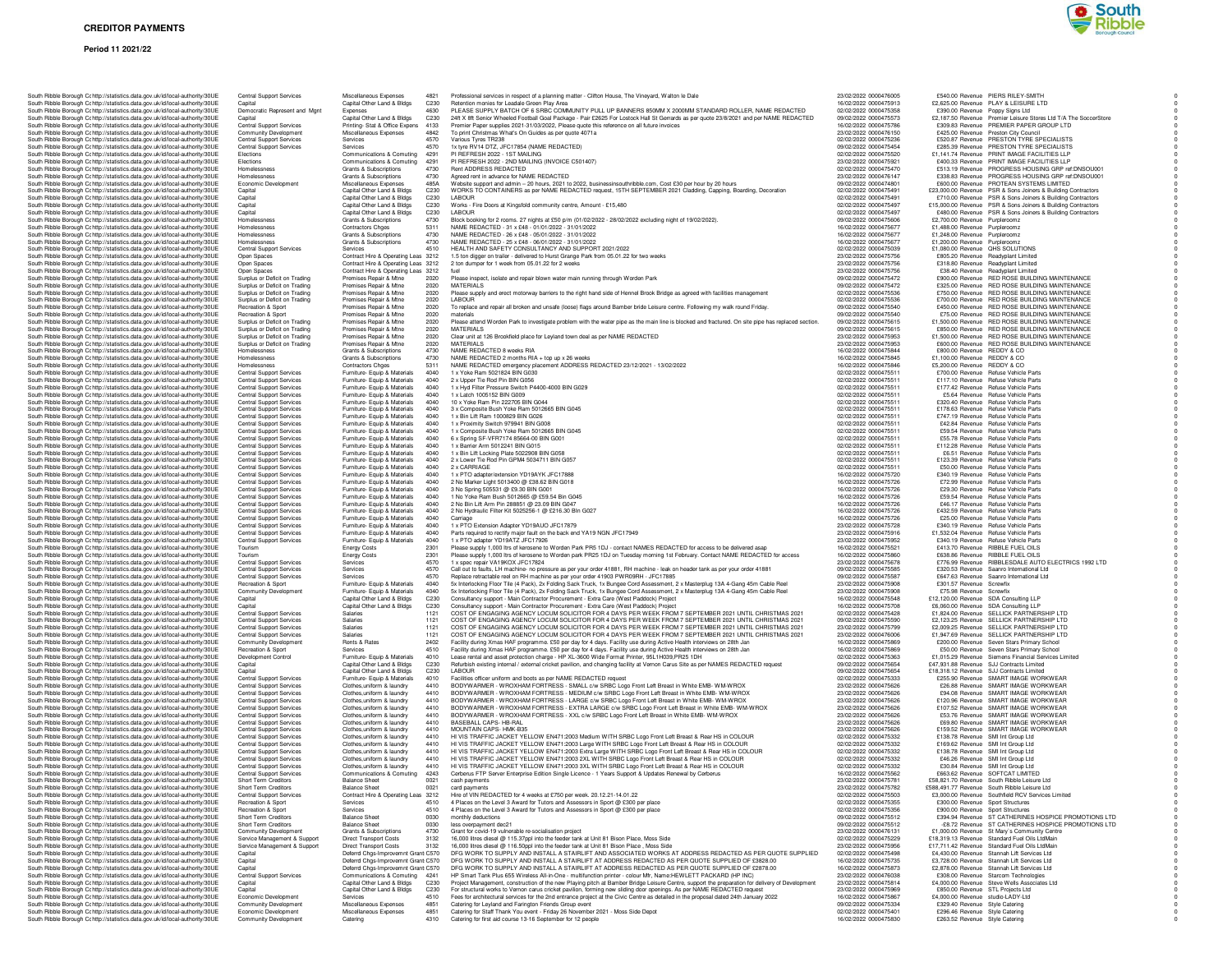### **CREDITOR PAYMENTS**

#### **Period 11 2021/22**



| South Ribble Borough Cc http://statistics.data.gov.uk/id/local-authority/30UE                                                                                  | Central Support Services                                           | Miscellaneous Expenses                                                     | 4821             | Professional services in respect of a planning matter - Clifton House, The Vineyard, Walton le Dale                                                                                                                                                              | 23/02/2022 0000476005                          | £540.00 Revenue PIERS RILEY-SMITH                                                                                         |
|----------------------------------------------------------------------------------------------------------------------------------------------------------------|--------------------------------------------------------------------|----------------------------------------------------------------------------|------------------|------------------------------------------------------------------------------------------------------------------------------------------------------------------------------------------------------------------------------------------------------------------|------------------------------------------------|---------------------------------------------------------------------------------------------------------------------------|
| South Ribble Borough Cc http://statistics.data.gov.uk/id/local-authority/30UE                                                                                  | Capital                                                            | Capital Other Land & Bldgs                                                 | C230             | Retention monies for Leadale Green Play Area                                                                                                                                                                                                                     | 16/02/2022 0000475913                          | £2,625.00 Revenue PLAY & LEISURE LTD                                                                                      |
| South Ribble Borough Cc http://statistics.data.gov.uk/id/local-authority/30UE<br>South Ribble Borough Cr http://statistics.data.gov.uk/id/local-authority/30UE | Democratic Represent and Mgnt<br>Capital                           | Expenses<br>Capital Other Land & Bldgs                                     | 4630<br>C230     | PLEASE SUPPLY BATCH OF 6 SRBC COMMUNITY PULL UP BANNERS 850MM X 2000MM STANDARD ROLLER, NAME REDACTED<br>24ft X 8ft Senior Wheeled Football Goal Package - Pair £2625 For Lostock Hall St Gerrards as per quote 23/8/2021 and per NAME REDACTED                  | 02/02/2022 0000475358<br>09/02/2022 0000475573 | £390.00 Revenue Poppy Signs Ltd<br>£2,187.50 Revenue Premier Leisure Stores Ltd T/A The SoccerStore                       |
| South Ribble Borough Cc http://statistics.data.gov.uk/id/local-authority/30UE                                                                                  | <b>Central Support Services</b>                                    | Printing-Stat & Office Expens 4133                                         |                  | Premier Paper supplies 2021-31/03/2022, Please quote this reference on all future invoices                                                                                                                                                                       | 16/02/2022 0000475786                          | £309.83 Revenue PREMIER PAPER GROUP LTD                                                                                   |
| South Ribble Borough Cc http://statistics.data.gov.uk/id/local-authority/30UE<br>South Ribble Borough Cohttp://statistics.data.gov.uk/id/local-authority/30UE  | Community Development<br>Central Support Services                  | Miscellaneous Expenses<br>Services                                         | 4842<br>4570     | To print Christmas What's On Guides as per quote 4071a<br>Various Tyres TR238                                                                                                                                                                                    | 23/02/2022 0000476150<br>02/02/2022 0000475236 | £425.00 Revenue Preston City Council<br>£520.87 Revenue PRESTON TYRE SPECIALISTS                                          |
| South Ribble Borough Cc http://statistics.data.gov.uk/id/local-authority/30UE                                                                                  | <b>Central Support Services</b>                                    | Services                                                                   | 4570             | 1x tyre RV14 DTZ, JFC17854 (NAME REDACTED)                                                                                                                                                                                                                       | 09/02/2022 0000475454                          | £285.39 Revenue PRESTON TYRE SPECIALISTS                                                                                  |
| South Ribble Borough Cc http://statistics.data.gov.uk/id/local-authority/30UE                                                                                  | Elections                                                          | Communications & Comuting                                                  | 4291             | PI REFRESH 2022 - 1ST MAILING                                                                                                                                                                                                                                    | 02/02/2022 0000475520                          | £1,141.74 Revenue PRINT IMAGE FACILITIES LLP                                                                              |
| South Ribble Borough Cc http://statistics.data.gov.uk/id/local-authority/30UE<br>South Ribble Borough Cc http://statistics.data.gov.uk/id/local-authority/30UE | Elections<br>Homelessness                                          | Communications & Comuting 4291<br>Grants & Subscriptions                   | 4730             | PI REFRESH 2022 - 2ND MAILING (INVOICE C501407)<br>Rent ADDRESS REDACTED                                                                                                                                                                                         | 23/02/2022 0000475921<br>02/02/2022 0000475470 | £400.33 Revenue PRINT IMAGE FACILITIES LLP<br>£513.19 Revenue PROGRESS HOUSING GRP ref:DNSOU001                           |
| South Ribble Borough Cc http://statistics.data.gov.uk/id/local-authority/30UE                                                                                  | Homelessness                                                       | Grants & Subscriptions                                                     | 4730             | Agreed rent in advance for NAME REDACTED                                                                                                                                                                                                                         | 23/02/2022 0000476147                          | £338.83 Revenue PROGRESS HOUSING GRP ref:DNSOU001                                                                         |
| South Ribble Borough C: http://statistics.data.gov.uk/id/local-authority/30UE                                                                                  | Economic Development                                               | Miscellaneous Expenses                                                     | 485A             | Website support and admin - 20 hours, 2021 to 2022, businessinsouthribble.com, Cost £30 per hour by 20 hours                                                                                                                                                     | 09/02/2022 0000474801                          | £600.00 Revenue PROTEAN SYSTEMS LIMITED                                                                                   |
| South Ribble Borough Cc http://statistics.data.gov.uk/id/local-authority/30UE<br>South Ribble Borough Cc http://statistics.data.gov.uk/id/local-authority/30UE | Capital<br>Capital                                                 | Capital Other Land & Bldgs<br>Capital Other Land & Bldgs                   | C230<br>C230     | WORKS TO CONTAINERS as per NAME REDACTED request, 15TH SEPTEMBER 2021 Cladding, Capping, Boarding, Decoration<br>LABOUR                                                                                                                                          | 02/02/2022 0000475491<br>02/02/2022 0000475491 | £23,000.00 Revenue PSR & Sons Joiners & Building Contractors<br>£710.00 Revenue PSR & Sons Joiners & Building Contractors |
| South Ribble Borough Cc http://statistics.data.gov.uk/id/local-authority/30UE                                                                                  | Capital                                                            | Capital Other Land & Bldgs                                                 | C <sub>230</sub> | Works - Fire Doors at Kingsfold community centre, Amount - £15,480                                                                                                                                                                                               | 02/02/2022 0000475497                          | £15,000.00 Revenue  PSR & Sons Joiners & Building Contractors                                                             |
| South Ribble Borough Cc http://statistics.data.gov.uk/id/local-authority/30UE                                                                                  | Capital                                                            | Capital Other Land & Bldgs                                                 | C230             | LABOUR                                                                                                                                                                                                                                                           | 02/02/2022 0000475497                          | £480.00 Revenue PSR & Sons Joiners & Building Contractors                                                                 |
| South Ribble Borough Cc http://statistics.data.gov.uk/id/local-authority/30UE                                                                                  | Homelessness<br>Homelessness                                       | Grants & Subscriptions                                                     | 4730<br>5311     | Block booking for 2 rooms. 27 nights at £50 p/m (01/02/2022 - 28/02/2022 excluding night of 19/02/2022).                                                                                                                                                         | 09/02/2022 0000475606                          | £2,700.00 Revenue Purpleroomz                                                                                             |
| South Ribble Borough Cc http://statistics.data.gov.uk/id/local-authority/30UE<br>South Ribble Borough Cc http://statistics.data.gov.uk/id/local-authority/30UE | Homelessness                                                       | Contractors Chges<br>Grants & Subscriptions                                | 4730             | NAME REDACTED - 31 x £48 - 01/01/2022 - 31/01/2022<br>NAME REDACTED - 26 x £48 - 05/01/2022 - 31/01/2022                                                                                                                                                         | 16/02/2022 0000475677<br>16/02/2022 0000475677 | £1,488.00 Revenue Purpleroomz<br>£1,248.00 Revenue Purpleroomz                                                            |
| South Ribble Borough Cr http://statistics.data.gov.uk/id/local-authority/30UE                                                                                  | Homelessness                                                       | Grants & Subscriptions                                                     | 4730             | NAME REDACTED - 25 x £48 - 06/01/2022 - 31/01/2022                                                                                                                                                                                                               | 16/02/2022 0000475677                          | £1,200.00 Revenue Purpleroomz                                                                                             |
| South Ribble Borough Cc http://statistics.data.gov.uk/id/local-authority/30UE                                                                                  | Central Support Services                                           | Services                                                                   | 4510             | HEALTH AND SAFETY CONSULTANCY AND SUPPORT 2021/2022                                                                                                                                                                                                              | 02/02/2022 0000475039                          | £1,080.00 Revenue QHS SOLUTIONS                                                                                           |
| South Ribble Borough Cc http://statistics.data.gov.uk/id/local-authority/30UE<br>South Ribble Borough Cc http://statistics.data.gov.uk/id/local-authority/30UE | Open Spaces<br>Open Spaces                                         | Contract Hire & Operating Leas 3212<br>Contract Hire & Operating Leas 3212 |                  | 1.5 ton digger on trailer - delivered to Hurst Grange Park from 05.01.22 for two weeks<br>2 ton dumper for 1 week from 05.01.22 for 2 weeks                                                                                                                      | 23/02/2022 0000475756<br>23/02/2022 0000475756 | £805.20 Revenue Readyplant Limited<br>£318.80 Revenue Readvolant Limited                                                  |
| South Ribble Borough Cc http://statistics.data.gov.uk/id/local-authority/30UE                                                                                  | Open Spaces                                                        | Contract Hire & Operating Leas 3212                                        |                  |                                                                                                                                                                                                                                                                  | 23/02/2022 0000475756                          | £38.40 Revenue Readvolant Limited                                                                                         |
| South Ribble Borough Cc http://statistics.data.gov.uk/id/local-authority/30UE                                                                                  | Surplus or Deficit on Trading                                      | Premises Repair & Mtne                                                     | 2020             | Please inspect, isolate and repair blown water main running through Worden Park                                                                                                                                                                                  | 09/02/2022 0000475472                          | £900.00 Revenue RED ROSE BUILDING MAINTENANCE                                                                             |
| South Ribble Borough Cc http://statistics.data.gov.uk/id/local-authority/30UE<br>South Ribble Borough C: http://statistics.data.gov.uk/id/local-authority/30UE | Surplus or Deficit on Trading<br>Surplus or Deficit on Trading     | Premises Repair & Mtne<br>Premises Repair & Mtne                           | 2020<br>2020     | MATERIALS<br>Please supply and erect motorway barriers to the right hand side of Hennel Brook Bridge as agreed with facilities management                                                                                                                        | 09/02/2022 0000475472<br>02/02/2022 0000475536 | £325.00 Revenue RED ROSE BUILDING MAINTENANCE<br>£750.00 Revenue RED ROSE BUILDING MAINTENANCE                            |
| South Ribble Borough Cohttp://statistics.data.gov.uk/id/local-authority/30UE                                                                                   | Surplus or Deficit on Trading                                      | Premises Repair & Mtne                                                     | 2020             | LABOUR                                                                                                                                                                                                                                                           | 02/02/2022 0000475536                          | £700.00 Revenue RED ROSE BUILDING MAINTENANCE                                                                             |
| South Ribble Borough Cc http://statistics.data.gov.uk/id/local-authority/30UE                                                                                  | Recreation & Sport                                                 | Premises Repair & Mtne                                                     | 2020             | To replace and repair all broken and unsafe (loose) flags around Bamber bride Leisure centre. Following my walk round Friday.                                                                                                                                    | 09/02/2022 0000475540                          | £450.00 Revenue RED ROSE BUILDING MAINTENANCE                                                                             |
| South Ribble Borough Cc http://statistics.data.gov.uk/id/local-authority/30UE<br>South Ribble Borough Cc http://statistics.data.gov.uk/id/local-authority/30UE | Recreation & Sport<br>Surplus or Deficit on Trading                | Premises Repair & Mtne<br>Premises Repair & Mtne                           | 2020<br>2020     | materials<br>Please attend Worden Park to investigate problem with the water pipe as the main line is blocked and fractured. On site pipe has replaced section.                                                                                                  | 09/02/2022 0000475540<br>09/02/2022 0000475615 | £75.00 Revenue RED ROSE BUILDING MAINTENANCE<br>£1,500.00 Revenue RED ROSE BUILDING MAINTENANCE                           |
| South Ribble Borough Cc http://statistics.data.gov.uk/id/local-authority/30UE                                                                                  | Surplus or Deficit on Trading                                      | Premises Repair & Mtne                                                     | 2020             | <b>MATERIALS</b>                                                                                                                                                                                                                                                 | 09/02/2022 0000475615                          | £850.00 Revenue RED ROSE BUILDING MAINTENANCE                                                                             |
| South Ribble Borough Cc http://statistics.data.gov.uk/id/local-authority/30UE                                                                                  | Surplus or Deficit on Trading                                      | Premises Repair & Mtne                                                     | 2020             | Clear unit at 126 Brookfield place for Leyland town deal as per NAME REDACTED                                                                                                                                                                                    | 23/02/2022 0000475953                          | £1,500.00 Revenue RED ROSE BUILDING MAINTENANCE                                                                           |
| South Ribble Borough Cc http://statistics.data.gov.uk/id/local-authority/30UE<br>South Ribble Borough Cc http://statistics.data.gov.uk/id/local-authority/30UE | Surplus or Deficit on Trading<br>Homelessness                      | Premises Repair & Mtne<br>Grants & Subscriptions                           | 2020<br>4730     | MATERIALS<br>NAME REDACTED 8 weeks RIA                                                                                                                                                                                                                           | 23/02/2022 0000475953<br>16/02/2022 0000475844 | £600.00 Revenue RED ROSE BUILDING MAINTENANCE<br>£800.00 Revenue REDDY & CO                                               |
| South Ribble Borough C: http://statistics.data.gov.uk/id/local-authority/30UE                                                                                  | Homelessness                                                       | Grants & Subscriptions                                                     | 4730             | NAME REDACTED 2 months RIA + top up x 26 weeks                                                                                                                                                                                                                   | 16/02/2022 0000475845                          | £1,100.00 Revenue REDDY & CO                                                                                              |
| South Ribble Borough Cr http://statistics.data.gov.uk/id/local-authority/30UE                                                                                  | Homelessness                                                       | Contractors Chges                                                          | 5311             | NAME REDACTED emergency placement ADDRESS REDACTED 23/12/2021 - 13/02/2022                                                                                                                                                                                       | 16/02/2022 0000475846                          | £5,200.00 Revenue REDDY & CO                                                                                              |
| South Ribble Borough Cc http://statistics.data.gov.uk/id/local-authority/30UE<br>South Ribble Borough Cc http://statistics.data.gov.uk/id/local-authority/30UE | Central Support Services<br><b>Central Support Services</b>        | Furniture- Equip & Materials<br>Furniture- Equip & Materials               | 4040<br>4040     | 1 x Yoke Ram 5021824 BIN G030<br>2 x Upper Tie Rod Pin BIN G056                                                                                                                                                                                                  | 02/02/2022 0000475511<br>02/02/2022 0000475511 | £700.00 Revenue Refuse Vehicle Parts<br>£117.10 Revenue Refuse Vehicle Parts                                              |
| South Ribble Borough Cc http://statistics.data.gov.uk/id/local-authority/30UE                                                                                  | <b>Central Support Services</b>                                    | Furniture- Equip & Materials                                               | 4040             | 1 x Hyd Filter Pressure Switch P4400-4000 BIN G029                                                                                                                                                                                                               | 02/02/2022 0000475511                          | £177.42 Revenue Refuse Vehicle Parts                                                                                      |
| South Ribble Borough Cc http://statistics.data.gov.uk/id/local-authority/30UE                                                                                  | <b>Central Support Services</b>                                    | Furniture- Equip & Materials                                               | 4040             | 1 x Latch 1005152 BIN G009                                                                                                                                                                                                                                       | 02/02/2022 0000475511                          | £5.64 Revenue Refuse Vehicle Parts                                                                                        |
| South Ribble Borough Cc http://statistics.data.gov.uk/id/local-authority/30UE                                                                                  | <b>Central Support Services</b>                                    | Furniture- Equip & Materials                                               | 4040<br>4040     | 10 x Yoke Ram Pin 222705 BIN G044                                                                                                                                                                                                                                | 02/02/2022 0000475511                          | £320.40 Revenue Refuse Vehicle Parts                                                                                      |
| South Ribble Borough Cc http://statistics.data.gov.uk/id/local-authority/30UE<br>South Ribble Borough C: http://statistics.data.gov.uk/id/local-authority/30UE | Central Support Services<br><b>Central Support Services</b>        | Furniture- Equip & Materials<br>Furniture- Equip & Materials               | 4040             | 3 x Composite Bush Yoke Ram 5012665 BIN G045<br>1 x Bin Lift Ram 1000829 BIN G026                                                                                                                                                                                | 02/02/2022 0000475511<br>02/02/2022 0000475511 | £178.63 Revenue Refuse Vehicle Parts<br>£747.19 Revenue Refuse Vehicle Parts                                              |
| South Ribble Borough Cc http://statistics.data.gov.uk/id/local-authority/30UE                                                                                  | Central Support Services                                           | Furniture- Equip & Materials                                               | 4040             | 1 x Proximity Switch 979941 BIN G008                                                                                                                                                                                                                             | 02/02/2022 0000475511                          | £42.84 Revenue Refuse Vehicle Parts                                                                                       |
| South Ribble Borough Cc http://statistics.data.gov.uk/id/local-authority/30UE                                                                                  | <b>Central Support Services</b>                                    | Furniture- Equip & Materials                                               | 4040             | 1 x Composite Bush Yoke Ram 5012665 BIN G045                                                                                                                                                                                                                     | 02/02/2022 0000475511                          | £59.54 Revenue Refuse Vehicle Parts                                                                                       |
| South Ribble Borough Cc http://statistics.data.gov.uk/id/local-authority/30UE<br>South Ribble Borough Cc http://statistics.data.gov.uk/id/local-authority/30UE | <b>Central Support Services</b><br><b>Central Support Services</b> | Furniture- Equip & Materials<br>Furniture- Equip & Materials               | 4040<br>4040     | 6 x Spring SF-VFR7174 85664-00 BIN G001<br>1 x Barrier Arm 5012241 BIN G015                                                                                                                                                                                      | 02/02/2022 0000475511<br>02/02/2022 0000475511 | £55.78 Revenue Refuse Vehicle Parts<br>£112.28 Bevenue Befuse Vehicle Parts                                               |
| South Ribble Borough Ct http://statistics.data.gov.uk/id/local-authority/30UE                                                                                  | <b>Central Support Services</b>                                    | Furniture- Equip & Materials                                               | 4040             | 1 x Bin Lift Locking Plate 5022908 BIN G058                                                                                                                                                                                                                      | 02/02/2022 0000475511                          | £6.51 Revenue Refuse Vehicle Parts                                                                                        |
| South Ribble Borough Cc http://statistics.data.gov.uk/id/local-authority/30UE                                                                                  | Central Support Services                                           | Furniture- Equip & Materials                                               | 4040             | 2 x Lower Tie Rod Pin GPM4 5034711 BIN G057                                                                                                                                                                                                                      | 02/02/2022 0000475511                          | £123.39 Revenue Refuse Vehicle Parts                                                                                      |
| South Ribble Borough Cc http://statistics.data.gov.uk/id/local-authority/30UE<br>South Ribble Borough Cr http://statistics.data.gov.uk/id/local-authority/30UE | Central Support Services<br>Central Support Services               | Furniture- Equip & Materials<br>Furniture- Equip & Materials               | 4040<br>4040     | 2 x CARRIAGE<br>1 x PTO adapter/extension YD19AYK JFC17888                                                                                                                                                                                                       | 02/02/2022 0000475511<br>16/02/2022 0000475720 | £50.00 Revenue Refuse Vehicle Parts<br>£340.19 Revenue Refuse Vehicle Parts                                               |
| South Ribble Borough Ct http://statistics.data.gov.uk/id/local-authority/30UE                                                                                  | <b>Central Support Services</b>                                    | Furniture- Equip & Materials                                               | 4040             | 2 No Marker Light 5013400 @ £38.62 BIN G018                                                                                                                                                                                                                      | 16/02/2022 0000475726                          | £72.99 Revenue Refuse Vehicle Parts                                                                                       |
| South Ribble Borough Cc http://statistics.data.gov.uk/id/local-authority/30UE                                                                                  | Central Support Services                                           | Furniture- Equip & Materials                                               | 4040             | 3 No Spring 505531 @ £9.30 BIN G001                                                                                                                                                                                                                              | 16/02/2022 0000475726                          | £29.30 Revenue Refuse Vehicle Parts                                                                                       |
| South Ribble Borough Cc http://statistics.data.gov.uk/id/local-authority/30UE<br>South Ribble Borough Cc http://statistics.data.gov.uk/id/local-authority/30UE | Central Support Services<br><b>Central Support Services</b>        | Furniture- Equip & Materials<br>Furniture- Equip & Materials               | 4040<br>4040     | 1 No Yoke Ram Bush 5012665 @ £59.54 Bin G045<br>2 No Bin Lift Arm Pin 288851 @ 23.09 BIN G047                                                                                                                                                                    | 16/02/2022 0000475726<br>16/02/2022 0000475726 | £59.54 Revenue Refuse Vehicle Parts<br>£46.17 Revenue Refuse Vehicle Parts                                                |
| South Ribble Borough Cc http://statistics.data.gov.uk/id/local-authority/30UE                                                                                  | <b>Central Support Services</b>                                    | Furniture- Equip & Materials                                               | 4040             | 2 No Hydraulic Filter Kit 5025256-1 @ £216.30 Bln G027                                                                                                                                                                                                           | 16/02/2022 0000475726                          | £432.59 Revenue Refuse Vehicle Parts                                                                                      |
| South Ribble Borough Cc http://statistics.data.gov.uk/id/local-authority/30UE                                                                                  | Central Support Services                                           | Furniture- Equip & Materials                                               | 4040             | Carriage                                                                                                                                                                                                                                                         | 16/02/2022 0000475726                          | £25.00 Revenue Refuse Vehicle Parts                                                                                       |
| South Ribble Borough Cc http://statistics.data.gov.uk/id/local-authority/30UE                                                                                  | Central Support Services<br><b>Central Support Services</b>        | Furniture- Equip & Materials<br>Furniture- Equip & Materials               | 4040<br>4040     | 1 x PTO Extension Adapter YD19AUO JFC17879<br>Parts required to rectify major fault on the back end YA19 NGN JFC17949                                                                                                                                            | 23/02/2022 0000475728<br>23/02/2022 0000475916 | £340.19 Revenue Refuse Vehicle Parts<br>£1,532.04 Revenue Refuse Vehicle Parts                                            |
| South Ribble Borough Cc http://statistics.data.gov.uk/id/local-authority/30UE<br>South Ribble Borough Cr http://statistics.data.gov.uk/id/local-authority/30UE | <b>Central Support Services</b>                                    | Furniture- Equip & Materials                                               | 4040             | 1 x PTO adapter YD19ATZ JFC17926                                                                                                                                                                                                                                 | 23/02/2022 0000475952                          | £340.19 Revenue Refuse Vehicle Parts                                                                                      |
| South Ribble Borough C: http://statistics.data.gov.uk/id/local-authority/30UE                                                                                  | Tourism                                                            | <b>Energy Costs</b>                                                        | 2301             | Please supply 1,000 ltrs of kerosene to Worden Park PR5 1DJ - contact NAMES REDACTED for access to be delivered asap                                                                                                                                             | 16/02/2022 0000475521                          | £413.70 Revenue RIBBLE FUEL OILS                                                                                          |
| South Ribble Borough Cc http://statistics.data.gov.uk/id/local-authority/30UE<br>South Ribble Borough Cc http://statistics.data.gov.uk/id/local-authority/30UE | Tourism<br><b>Central Support Services</b>                         | <b>Energy Costs</b><br>Services                                            | 2301<br>4570     | Please supply 1,000 ltrs of kerosene to Worden park PR25 1DJ on Tuesday morning 1st February. Contact NAME REDACTED for access<br>1 x spec repair VA19KOX JFC17824                                                                                               | 16/02/2022 0000475860<br>23/02/2022 0000475678 | £638.86 Revenue RIBBLE FUEL OILS<br>£776.99 Revenue RIBBLESDALE AUTO ELECTRICS 1992 LTD                                   |
| South Ribble Borough Cc http://statistics.data.gov.uk/id/local-authority/30UE                                                                                  | <b>Central Support Services</b>                                    | Services                                                                   | 4570             | Call out to faults, LH machine- no pressure as per your order 41881, RH machine - leak on header tank as per your order 41881                                                                                                                                    | 09/02/2022 0000475585                          | £320.53 Revenue Saanro International Ltd                                                                                  |
| South Ribble Borough C: http://statistics.data.gov.uk/id/local-authority/30UE                                                                                  | <b>Central Support Services</b>                                    | Services                                                                   | 4570             | Replace retractable reel on RH machine as per your order 41903 PWR09RH - JFC17885                                                                                                                                                                                | 09/02/2022 0000475587                          | £647.63 Revenue Saanro International Ltd                                                                                  |
| South Ribble Borough Cc http://statistics.data.gov.uk/id/local-authority/30UE                                                                                  | Recreation & Sport                                                 | Furniture- Equip & Materials                                               | 4040<br>4040     | 5x Interlocking Floor Tile (4 Pack), 2x Folding Sack Truck, 1x Bungee Cord Assessment, 2 x Masterplug 13A 4-Gang 45m Cable Reel                                                                                                                                  | 23/02/2022 0000475908                          | £301.57 Revenue Screwfix                                                                                                  |
| South Ribble Borough Cc http://statistics.data.gov.uk/id/local-authority/30UE<br>South Ribble Borough Cr http://statistics.data.gov.uk/id/local-authority/30UE | Community Development<br>Capital                                   | Furniture- Equip & Materials<br>Capital Other Land & Bldgs                 | C <sub>230</sub> | 5x Interlocking Floor Tile (4 Pack), 2x Folding Sack Truck, 1x Bungee Cord Assessment, 2 x Masterplug 13A 4-Gang 45m Cable Reel<br>Consultancy support - Main Contractor Procurement - Extra Care (West Paddock) Project                                         | 23/02/2022 0000475908<br>16/02/2022 0000475548 | £75.98 Revenue Screwfix<br>£12,120.00 Revenue SDA Consulting LLP                                                          |
| South Ribble Borough C: http://statistics.data.gov.uk/id/local-authority/30UE                                                                                  | Capital                                                            | Capital Other Land & Bldgs                                                 | C <sub>230</sub> | Consultancy support - Main Contractor Procurement - Extra Care (West Paddock) Project                                                                                                                                                                            | 16/02/2022 0000475708                          | £6,060.00 Revenue SDA Consulting LLP                                                                                      |
| South Ribble Borough Cc http://statistics.data.gov.uk/id/local-authority/30UE<br>South Ribble Borough Cc http://statistics.data.gov.uk/id/local-authority/30UE | Central Support Services<br><b>Central Support Services</b>        | Salaries<br>Salaries                                                       | 1121<br>1121     | COST OF ENGAGING AGENCY LOCUM SOLICITOR FOR 4 DAYS PER WEEK FROM 7 SEPTEMBER 2021 UNTIL CHRISTMAS 2021<br>COST OF ENGAGING AGENCY LOCUM SOLICITOR FOR 4 DAYS PER WEEK FROM 7 SEPTEMBER 2021 UNTIL CHRISTMAS 2021                                                 | 02/02/2022 0000475428<br>09/02/2022 0000475590 | £1,824.00 Revenue SELLICK PARTNERSHIP LTD<br>£2,123.25 Revenue SELLICK PARTNERSHIP LTD                                    |
| South Ribble Borough Cc http://statistics.data.gov.uk/id/local-authority/30UE                                                                                  | <b>Central Support Services</b>                                    | Salaries                                                                   | 1121             | COST OF ENGAGING AGENCY LOCUM SOLICITOR FOR 4 DAYS PER WEEK FROM 7 SEPTEMBER 2021 UNTIL CHRISTMAS 2021                                                                                                                                                           | 23/02/2022 0000475799                          | £2,009.25 Revenue SELLICK PARTNERSHIP LTD                                                                                 |
| South Ribble Borough Ct http://statistics.data.gov.uk/id/local-authority/30UE                                                                                  | <b>Central Support Services</b>                                    | Salaries                                                                   | 1121             | COST OF ENGAGING AGENCY LOCUM SOLICITOR FOR 4 DAYS PER WEEK FROM 7 SEPTEMBER 2021 UNTIL CHRISTMAS 2021                                                                                                                                                           | 23/02/2022 0000476006                          | £1,947.69 Revenue SELLICK PARTNERSHIP LTD                                                                                 |
| South Ribble Borough Cc http://statistics.data.gov.uk/id/local-authority/30UE                                                                                  | Community Development                                              | Rents & Rates                                                              | 2402<br>4510     | Facility during Xmas HAF programme. £50 per day for 4 days. Facility use during Active Health interviews on 28th Jan                                                                                                                                             | 16/02/2022 0000475869                          | £200.00 Revenue Seven Stars Primary School                                                                                |
| South Ribble Borough Cc http://statistics.data.gov.uk/id/local-authority/30UE<br>South Ribble Borough Cc http://statistics.data.gov.uk/id/local-authority/30UE | Recreation & Sport<br>Development Control                          | Services<br>Furniture- Equip & Materials                                   | 4010             | Facility during Xmas HAF programme. £50 per day for 4 days. Facility use during Active Health interviews on 28th Jan<br>Lease rental and asset protection charge - HP XL-3600 Wide Format Printer, 95L1H039, PR25 1DH                                            | 16/02/2022 0000475869<br>02/02/2022 0000475363 | £50.00 Revenue Seven Stars Primary School<br>£1,015.29 Revenue Siemens Financial Services Limited                         |
| South Ribble Borough Cc http://statistics.data.gov.uk/id/local-authority/30UE                                                                                  | Capital                                                            | Capital Other Land & Bldgs                                                 | C230             | Refurbish existing internal / external cricket pavilion, and changing facility at Vernon Carus Site as per NAMES REDACTED request                                                                                                                                | 09/02/2022 0000475654                          | £47,931.88 Revenue SJJ Contracts Limited                                                                                  |
| South Ribble Borough Cc http://statistics.data.gov.uk/id/local-authority/30UE<br>South Ribble Borough Cc http://statistics.data.gov.uk/id/local-authority/30UE | Capital<br>Central Support Services                                | Capital Other Land & Bldgs<br>Furniture- Equip & Materials                 | C230<br>4010     | LABOUR<br>Facilities officer uniform and boots as per NAME REDACTED request                                                                                                                                                                                      | 09/02/2022 0000475654<br>02/02/2022 0000475333 | £18,318.12 Revenue SJJ Contracts Limited<br>£255.90 Revenue SMART IMAGE WORKWEAR                                          |
| South Ribble Borough Cc http://statistics.data.gov.uk/id/local-authority/30UE                                                                                  | Central Support Services                                           | Clothes, uniform & laundry                                                 | 4410             | BODYWARMER - WROXHAM FORTRESS - SMALL c/w SRBC Logo Front Left Breast in White EMB- WM-WROX                                                                                                                                                                      | 23/02/2022 0000475626                          | £26.88 Revenue SMART IMAGE WORKWEAR                                                                                       |
| South Ribble Borough Cohttp://statistics.data.gov.uk/id/local-authority/30UE                                                                                   | <b>Central Support Services</b>                                    | Clothes, uniform & laundry                                                 | 4410             | BODYWARMER - WROXHAM FORTRESS - MEDIUM c/w SRBC Logo Front Left Breast in White EMB- WM-WROX                                                                                                                                                                     | 23/02/2022 0000475626                          | £94.08 Revenue SMART IMAGE WORKWEAR                                                                                       |
| South Ribble Borough Cc http://statistics.data.gov.uk/id/local-authority/30UE                                                                                  | <b>Central Support Services</b>                                    | Clothes, uniform & laundry<br>Clothes.uniform & laundry                    | 4410<br>4410     | BODYWARMER - WROXHAM FORTRESS - LARGE c/w SRBC Logo Front Left Breast in White EMB- WM-WROX                                                                                                                                                                      | 23/02/2022 0000475626<br>23/02/2022 0000475626 | £120.96 Revenue SMART IMAGE WORKWEAR<br>£107.52 Revenue SMART IMAGE WORKWEAR                                              |
| South Ribble Borough Cc http://statistics.data.gov.uk/id/local-authority/30UE<br>South Ribble Borough Cc http://statistics.data.gov.uk/id/local-authority/30UE | Central Support Services<br>Central Support Services               | Clothes, uniform & laundry                                                 | 4410             | BODYWARMER - WROXHAM FORTRESS - EXTRA LARGE c/w SRBC Logo Front Left Breast in White EMB- WM-WROX<br>BODYWARMER - WROXHAM FORTRESS - XXL c/w SRBC Logo Front Left Breast in White EMB- WM-WROX                                                                   | 23/02/2022 0000475626                          | £53.76 Revenue SMART IMAGE WORKWEAR                                                                                       |
| South Ribble Borough Cc http://statistics.data.gov.uk/id/local-authority/30UE                                                                                  | Central Support Services                                           | Clothes, uniform & laundry                                                 | 4410             | BASEBALL CAPS- HB-RAL                                                                                                                                                                                                                                            | 23/02/2022 0000475626                          | £69.80 Revenue SMART IMAGE WORKWEAR                                                                                       |
| South Ribble Borough Cc http://statistics.data.gov.uk/id/local-authority/30UE                                                                                  | Central Support Services                                           | Clothes, uniform & laundry                                                 | 4410<br>4410     | MOUNTAIN CAPS- HMK-B35<br>HI VIS TRAFFIC JACKET YELLOW EN471:2003 Medium WITH SRBC Logo Front Left Breast & Rear HS in COLOUR                                                                                                                                    | 23/02/2022 0000475626                          | £159.52 Revenue SMART IMAGE WORKWEAR                                                                                      |
| South Ribble Borough Cc http://statistics.data.gov.uk/id/local-authority/30UE<br>South Ribble Borough Cc http://statistics.data.gov.uk/id/local-authority/30UE | Central Support Services<br>Central Support Services               | Clothes, uniform & laundry<br>Clothes, uniform & laundry                   | 4410             | HI VIS TRAFFIC JACKET YELLOW EN471:2003 Large WITH SRBC Logo Front Left Breast & Rear HS in COLOUR                                                                                                                                                               | 02/02/2022 0000475332<br>02/02/2022 0000475332 | £138.78 Revenue SMI Int Group Ltd<br>£169.62 Revenue SMI Int Group Ltd                                                    |
| South Ribble Borough Cc http://statistics.data.gov.uk/id/local-authority/30UE                                                                                  | Central Support Services                                           | Clothes, uniform & laundry                                                 | 4410             | HI VIS TRAFFIC JACKET YELLOW EN471:2003 Extra Large WITH SRBC Logo Front Left Breast & Rear HS in COLOUR                                                                                                                                                         | 02/02/2022 0000475332                          | £138.78 Revenue SMI Int Group Ltd                                                                                         |
| South Ribble Borough Cc http://statistics.data.gov.uk/id/local-authority/30UE                                                                                  | <b>Central Support Services</b><br><b>Central Support Services</b> | Clothes.uniform & laundry<br>Clothes, uniform & laundry                    | 4410<br>4410     | HI VIS TRAFFIC JACKET YELLOW EN471:2003 2XL WITH SRBC Logo Front Left Breast & Rear HS in COLOUR<br>HI VIS TRAFFIC JACKET YELLOW EN471:2003 3XL WITH SRBC Logo Front Left Breast & Rear HS in COLOUR                                                             | 02/02/2022 0000475332<br>02/02/2022 0000475332 | £46.26 Revenue SMI Int Group Ltd<br>£30.84 Revenue SMI Int Group Ltd                                                      |
| South Ribble Borough Cc http://statistics.data.gov.uk/id/local-authority/30UE<br>South Ribble Borough Cc http://statistics.data.gov.uk/id/local-authority/30UE | <b>Central Support Services</b>                                    | Communications & Comuting                                                  | 4243             | Cerberus FTP Server Enterprise Edition Single Licence - 1 Years Support & Updates Renewal by Cerberus                                                                                                                                                            | 16/02/2022 0000475562                          | £663.62 Revenue SOFTCAT LIMITED                                                                                           |
| South Ribble Borough Cohttp://statistics.data.gov.uk/id/local-authority/30UE                                                                                   | Short Term Creditors                                               | <b>Balance Shee</b>                                                        | 0021             | cash payments                                                                                                                                                                                                                                                    | 23/02/2022 000047578                           | £58,821.70 Revenue South Ribble Leisure Lt                                                                                |
| South Ribble Borough Cohttp://statistics.data.gov.uk/id/local-authority/30UE                                                                                   | Short Term Creditors                                               | <b>Balance Sheet</b>                                                       | 0021             | card payments                                                                                                                                                                                                                                                    | 23/02/2022 0000475782                          | £588,491.77 Revenue South Ribble Leisure Ltd                                                                              |
| South Ribble Borough Cc http://statistics.data.gov.uk/id/local-authority/30UE<br>South Ribble Borough Cc http://statistics.data.gov.uk/id/local-authority/30UE | <b>Central Support Services</b><br>Recreation & Sport              | Contract Hire & Operating Leas 3212<br>Services                            | 4510             | Hire of VIN REDACTED for 4 weeks at £750 per week. 20.12.21-14.01.22<br>4 Places on the Level 3 Award for Tutors and Assessors in Sport @ £300 per place                                                                                                         | 02/02/2022 0000475503<br>02/02/2022 0000475355 | £3,000.00 Revenue Southfield RCV Services Limited<br>£300.00 Revenue Sport Structures                                     |
| South Ribble Borough Cohttp://statistics.data.gov.uk/id/local-authority/30UE                                                                                   | Recreation & Sport                                                 | Services                                                                   | 4510             | 4 Places on the Level 3 Award for Tutors and Assessors in Sport @ £300 per place                                                                                                                                                                                 | 02/02/2022 0000475356                          | £900.00 Revenue Sport Structures                                                                                          |
| South Ribble Borough Cc http://statistics.data.gov.uk/id/local-authority/30UE                                                                                  | Short Term Creditors                                               | <b>Balance Sheet</b>                                                       | 0030<br>0030     | monthly deductions                                                                                                                                                                                                                                               | 09/02/2022 0000475512<br>09/02/2022 0000475512 | £394.94 Revenue ST CATHERINES HOSPICE PROMOTIONS LTD<br>-£8.72 Revenue ST CATHERINES HOSPICE PROMOTIONS LTD               |
| South Ribble Borough Cc http://statistics.data.gov.uk/id/local-authority/30UE<br>South Ribble Borough Cc http://statistics.data.gov.uk/id/local-authority/30UE | Short Term Creditors<br>Community Development                      | <b>Balance Sheet</b><br>Grants & Subscriptions                             | 4730             | less overpayment dec21<br>Grant for covid-19 vulnerable re-socialisation project                                                                                                                                                                                 | 23/02/2022 0000476131                          | £1,000.00 Revenue St Mary's Community Centre                                                                              |
| South Ribble Borough Cc http://statistics.data.gov.uk/id/local-authority/30UE                                                                                  | Service Management & Support                                       | Direct Transport Costs                                                     | 3132             | 16,000 litres diesel @ 115.37ppl into the feeder tank at Unit 81 Bison Place, Moss Side                                                                                                                                                                          | 02/02/2022 0000475229                          | £18,319.13 Revenue Standard Fuel Oils LtdMain                                                                             |
| South Ribble Borough Cohttp://statistics.data.gov.uk/id/local-authority/30UE<br>South Ribble Borough Cc http://statistics.data.gov.uk/id/local-authority/30UE  | Service Management & Support                                       | Direct Transport Costs                                                     | 3132             | 16,000 litres diesel @ 116.50ppl into the feeder tank at Unit 81 Bison Place, Moss Side<br>DFG WORK TO SUPPLY AND INSTALL A STAIRLIFT AND ASSOCIATED WORKS AT ADDRESS REDACTED AS PER QUOTE SUPPLIED                                                             | 23/02/2022 0000475956<br>02/02/2022 0000475498 | £17,711.42 Revenue Standard Fuel Oils LtdMain                                                                             |
| South Ribble Borough Cc http://statistics.data.gov.uk/id/local-authority/30UE                                                                                  | Capital<br>Capital                                                 | Deferrd Chgs-Improvemnt Grant C570<br>Deferrd Chgs-Improvemnt Grant C570   |                  | DFG WORK TO SUPPLY AND INSTALL A STAIRLIFT AT ADDRESS REDACTED AS PER QUOTE SUPPLIED OF £3828.00                                                                                                                                                                 | 16/02/2022 0000475735                          | £4,430.00 Revenue Stannah Lift Services Ltd<br>£3,728.00 Revenue Stannah Lift Services Ltd                                |
| South Ribble Borough Cc http://statistics.data.gov.uk/id/local-authority/30UE                                                                                  | Capital                                                            | Deferrd Chas-Improvemnt Grant C570                                         |                  | DFG WORK TO SUPPLY AND INSTALL A STAIRLIFT AT ADDRESS REDACTED AS PER QUOTE SUPPLIED OF £2878.00                                                                                                                                                                 | 16/02/2022 0000475873                          | £2,878.00 Revenue Stannah Lift Services Ltd                                                                               |
| South Ribble Borough Cc http://statistics.data.gov.uk/id/local-authority/30UE<br>South Ribble Borough Cc http://statistics.data.gov.uk/id/local-authority/30UE | Central Support Services<br>Capital                                | Communications & Comuting 4241<br>Capital Other Land & Bldgs               | C <sub>230</sub> | HP Smart Tank Plus 655 Wireless All-in-One - multifunction printer - colour Mfr. Name:HEWLETT PACKARD (HP INC)<br>Project Management, construction of the new Playing pitch at Bamber Bridge Leisure Centre, support the preparation for delivery of Development | 23/02/2022 0000476038<br>23/02/2022 0000475814 | £308.00 Revenue Starcom Technologies<br>£4,000.00 Revenue Steve Wells Associates Ltd                                      |
| South Ribble Borough Cc http://statistics.data.gov.uk/id/local-authority/30UE                                                                                  | Capital                                                            | Capital Other Land & Bldgs                                                 | C230             | For structural works to Vernon carus cricket pavilion, forming new sliding door openings. As per NAME REDACTED request                                                                                                                                           | 23/02/2022 0000475969                          | £850.00 Revenue STL Projects Ltd                                                                                          |
| South Ribble Borough Cc http://statistics.data.gov.uk/id/local-authority/30UE                                                                                  | Economic Development                                               | Services                                                                   | 4510             | Fees for architectural services for the 2nd entrance project at the Civic Centre as detailed in the proposal dated 24th January 2022                                                                                                                             | 16/02/2022 0000475867                          | £4,000.00 Revenue studio-LADY-Ltd                                                                                         |
| South Ribble Borough Cc http://statistics.data.gov.uk/id/local-authority/30UE<br>South Ribble Borough Cc http://statistics.data.gov.uk/id/local-authority/30UE | Community Development<br>Economic Development                      | Miscellaneous Expenses<br>Miscellaneous Expenses                           | 4851<br>4851     | Catering for Leyland and Farington Friends Group event<br>Catering for Staff Thank You event - Friday 26 November 2021 - Moss Side Depot                                                                                                                         | 09/02/2022 0000475334<br>02/02/2022 0000475401 | £329.40 Revenue Style Catering<br>£296.46 Revenue Style Catering                                                          |
| South Dibble Remugh Critto://etatistics.data.gov.uk/id/loogl.guthority/2011E                                                                                   | mity Dougloom                                                      |                                                                            | 4310             | for first aid course 13.16 Sentember for 12 neon                                                                                                                                                                                                                 | 16/02/2000 COOP/CO/3E                          | £263.52 Rovenue Style Cate                                                                                                |

| ional services in respect of a planning matter - Clifton House, The Vineyard, Walton le Dale                                                                                                                                        | 23/02/2022 0000476005                          |                                                                     | £540.00 Revenue PIERS RILEY-SMITH                                                                                          |                           |
|-------------------------------------------------------------------------------------------------------------------------------------------------------------------------------------------------------------------------------------|------------------------------------------------|---------------------------------------------------------------------|----------------------------------------------------------------------------------------------------------------------------|---------------------------|
| on monies for Leadale Green Play Area                                                                                                                                                                                               | 16/02/2022 0000475913<br>02/02/2022 0000475358 |                                                                     | £2,625.00 Revenue PLAY & LEISURE LTD                                                                                       |                           |
| E SUPPLY BATCH OF 6 SRBC COMMUNITY PULL UP BANNERS 850MM X 2000MM STANDARD ROLLER, NAME REDACTED<br>3ft Senior Wheeled Football Goal Package - Pair £2625 For Lostock Hall St Gerrards as per quote 23/8/2021 and per NAME REDACTED | 09/02/2022 0000475573                          | £390.00 Revenue Poppy Signs Ltd                                     | £2,187.50 Revenue Premier Leisure Stores Ltd T/A The SoccerStore                                                           | $\mathbf 0$               |
| r Paper supplies 2021-31/03/2022, Please quote this reference on all future invoices                                                                                                                                                | 16/02/2022 0000475786                          |                                                                     | £309.83 Revenue PREMIER PAPER GROUP LTD                                                                                    |                           |
| t Christmas What's On Guides as per quote 4071a                                                                                                                                                                                     | 23/02/2022 0000476150                          |                                                                     | £425.00 Revenue Preston City Council                                                                                       |                           |
| Tyres TR238                                                                                                                                                                                                                         | 02/02/2022 0000475236                          |                                                                     | £520.87 Revenue PRESTON TYRE SPECIALISTS                                                                                   |                           |
| RV14 DTZ, JFC17854 (NAME REDACTED)                                                                                                                                                                                                  | 09/02/2022 0000475454                          |                                                                     | £285.39 Revenue PRESTON TYRE SPECIALISTS                                                                                   |                           |
| RESH 2022 - 1ST MAILING                                                                                                                                                                                                             | 02/02/2022 0000475520                          |                                                                     | £1,141.74 Revenue PRINT IMAGE FACILITIES LLP                                                                               |                           |
| RESH 2022 - 2ND MAILING (INVOICE C501407)                                                                                                                                                                                           | 23/02/2022 0000475921                          |                                                                     | £400.33 Revenue PRINT IMAGE FACILITIES LLP                                                                                 |                           |
| DDRESS REDACTED                                                                                                                                                                                                                     | 02/02/2022 0000475470                          |                                                                     | £513.19 Revenue PROGRESS HOUSING GRP ref:DNSOU001                                                                          |                           |
| rent in advance for NAME REDACTED                                                                                                                                                                                                   | 23/02/2022 0000476147                          |                                                                     | £338.83 Revenue PROGRESS HOUSING GRP ref:DNSOU001                                                                          |                           |
| e support and admin - 20 hours, 2021 to 2022, businessinsouthribble.com, Cost £30 per hour by 20 hours                                                                                                                              | 09/02/2022 0000474801                          |                                                                     | £600.00 Bevenue PROTEAN SYSTEMS LIMITED                                                                                    |                           |
| S TO CONTAINERS as per NAME REDACTED request, 15TH SEPTEMBER 2021 Cladding, Capping, Boarding, Decoration                                                                                                                           | 02/02/2022 0000475491<br>02/02/2022 0000475491 |                                                                     | £23,000.00 Revenue  PSR & Sons Joiners & Building Contractors<br>£710.00 Revenue PSR & Sons Joiners & Building Contractors |                           |
| - Fire Doors at Kingsfold community centre, Amount - £15,480                                                                                                                                                                        | 02/02/2022 0000475497                          |                                                                     | £15,000.00 Revenue PSR & Sons Joiners & Building Contractors                                                               |                           |
|                                                                                                                                                                                                                                     | 02/02/2022 0000475497                          |                                                                     | £480.00 Revenue PSR & Sons Joiners & Building Contractors                                                                  |                           |
| ooking for 2 rooms. 27 nights at £50 p/m (01/02/2022 - 28/02/2022 excluding night of 19/02/2022).                                                                                                                                   | 09/02/2022 0000475606                          | £2,700.00 Revenue Purpleroomz                                       |                                                                                                                            |                           |
| REDACTED - 31 x £48 - 01/01/2022 - 31/01/2022                                                                                                                                                                                       | 16/02/2022 0000475677                          | £1,488.00 Revenue Purpleroomz                                       |                                                                                                                            |                           |
| REDACTED - 26 x £48 - 05/01/2022 - 31/01/2022                                                                                                                                                                                       | 16/02/2022 0000475677                          | £1,248.00 Revenue Purpleroomz                                       |                                                                                                                            |                           |
| REDACTED - 25 x £48 - 06/01/2022 - 31/01/2022                                                                                                                                                                                       | 16/02/2022 0000475677                          | £1,200.00 Revenue Purpleroomz                                       |                                                                                                                            |                           |
| H AND SAFETY CONSULTANCY AND SUPPORT 2021/2022                                                                                                                                                                                      | 02/02/2022 0000475039                          | £1,080.00 Revenue QHS SOLUTIONS                                     |                                                                                                                            |                           |
| digger on trailer - delivered to Hurst Grange Park from 05.01.22 for two weeks                                                                                                                                                      | 23/02/2022 0000475756                          | £805.20 Revenue                                                     | Readyplant Limited                                                                                                         |                           |
| umper for 1 week from 05.01.22 for 2 weeks                                                                                                                                                                                          | 23/02/2022 0000475756<br>23/02/2022 0000475756 | £38.40 Revenue                                                      | £318.80 Revenue Readyplant Limited<br>Readyplant Limited                                                                   |                           |
| inspect, isolate and repair blown water main running through Worden Park                                                                                                                                                            | 09/02/2022 0000475472                          |                                                                     | £900.00 Revenue RED ROSE BUILDING MAINTENANCE                                                                              |                           |
| <b>RIALS</b>                                                                                                                                                                                                                        | 09/02/2022 0000475472                          | £325.00 Revenue                                                     | RED ROSE BUILDING MAINTENANCE                                                                                              |                           |
| supply and erect motorway barriers to the right hand side of Hennel Brook Bridge as agreed with facilities management                                                                                                               | 02/02/2022 0000475536                          |                                                                     | £750.00 Revenue RED ROSE BUILDING MAINTENANCE                                                                              |                           |
| JR                                                                                                                                                                                                                                  | 02/02/2022 0000475536                          |                                                                     | £700.00 Revenue RED ROSE BUILDING MAINTENANCE                                                                              |                           |
| ace and repair all broken and unsafe (loose) flags around Bamber bride Leisure centre. Following my walk round Friday.                                                                                                              | 09/02/2022 0000475540                          |                                                                     | £450.00 Revenue RED ROSE BUILDING MAINTENANCE                                                                              |                           |
|                                                                                                                                                                                                                                     | 09/02/2022 0000475540                          |                                                                     | £75.00 Revenue RED ROSE BUILDING MAINTENANCE                                                                               |                           |
| attend Worden Park to investigate problem with the water pipe as the main line is blocked and fractured. On site pipe has replaced section.                                                                                         | 09/02/2022 0000475615                          |                                                                     | £1,500.00 Revenue RED ROSE BUILDING MAINTENANCE                                                                            |                           |
| <b>IALS</b>                                                                                                                                                                                                                         | 09/02/2022 0000475615                          |                                                                     | £850.00 Revenue RED ROSE BUILDING MAINTENANCE                                                                              |                           |
| nit at 126 Brookfield place for Leyland town deal as per NAME REDACTED<br><b>RIALS</b>                                                                                                                                              | 23/02/2022 0000475953<br>23/02/2022 0000475953 | £1,500.00 Revenue                                                   | RED ROSE BUILDING MAINTENANCE<br>£600.00 Revenue RED ROSE BUILDING MAINTENANCE                                             |                           |
| REDACTED 8 weeks RIA                                                                                                                                                                                                                | 16/02/2022 0000475844                          | £800.00 Revenue REDDY & CO                                          |                                                                                                                            |                           |
| REDACTED 2 months RIA + top up x 26 weeks                                                                                                                                                                                           | 16/02/2022 0000475845                          | £1,100.00 Revenue REDDY & CO                                        |                                                                                                                            |                           |
| REDACTED emergency placement ADDRESS REDACTED 23/12/2021 - 13/02/2022                                                                                                                                                               | 16/02/2022 0000475846                          | £5,200.00 Revenue REDDY & CO                                        |                                                                                                                            |                           |
| e Ram 5021824 BIN G030                                                                                                                                                                                                              | 02/02/2022 0000475511                          |                                                                     | £700.00 Revenue Refuse Vehicle Parts                                                                                       |                           |
| er Tie Rod Pin BIN G056                                                                                                                                                                                                             | 02/02/2022 0000475511                          |                                                                     | £117.10 Revenue Refuse Vehicle Parts                                                                                       |                           |
| Filter Pressure Switch P4400-4000 BIN G029                                                                                                                                                                                          | 02/02/2022 0000475511                          |                                                                     | £177.42 Revenue Refuse Vehicle Parts                                                                                       |                           |
| ch 1005152 BIN G009                                                                                                                                                                                                                 | 02/02/2022 0000475511                          |                                                                     | £5.64 Revenue Refuse Vehicle Parts                                                                                         |                           |
| ke Ram Pin 222705 BIN G044                                                                                                                                                                                                          | 02/02/2022 0000475511                          |                                                                     | £320.40 Revenue Refuse Vehicle Parts                                                                                       |                           |
| nposite Bush Yoke Ram 5012665 BIN G045                                                                                                                                                                                              | 02/02/2022 0000475511                          |                                                                     | £178.63 Revenue Refuse Vehicle Parts                                                                                       |                           |
| Lift Ram 1000829 BIN G026<br>ximity Switch 979941 BIN G008                                                                                                                                                                          | 02/02/2022 0000475511<br>02/02/2022 0000475511 |                                                                     | £747.19 Revenue Refuse Vehicle Parts<br>£42.84 Revenue Refuse Vehicle Parts                                                |                           |
| nposite Bush Yoke Ram 5012665 BIN G045                                                                                                                                                                                              | 02/02/2022 0000475511                          |                                                                     | £59.54 Revenue Refuse Vehicle Parts                                                                                        |                           |
| ing SF-VFR7174 85664-00 BIN G001                                                                                                                                                                                                    | 02/02/2022 0000475511                          |                                                                     | £55.78 Revenue Refuse Vehicle Parts                                                                                        |                           |
| rier Arm 5012241 BIN G015                                                                                                                                                                                                           | 02/02/2022 0000475511                          |                                                                     | £112.28 Revenue Refuse Vehicle Parts                                                                                       |                           |
| Lift Locking Plate 5022908 BIN G058                                                                                                                                                                                                 | 02/02/2022 0000475511                          |                                                                     | £6.51 Revenue Refuse Vehicle Parts                                                                                         |                           |
| ver Tie Rod Pin GPM4 5034711 BIN G057                                                                                                                                                                                               | 02/02/2022 0000475511                          |                                                                     | £123.39 Revenue Refuse Vehicle Parts                                                                                       |                           |
| RRIAGE                                                                                                                                                                                                                              | 02/02/2022 0000475511                          |                                                                     | £50.00 Revenue Refuse Vehicle Parts                                                                                        |                           |
| 3 adapter/extension YD19AYK JFC17888<br>arker Light 5013400 @ £38.62 BIN G018                                                                                                                                                       | 16/02/2022 0000475720<br>16/02/2022 0000475726 |                                                                     | £340.19 Revenue Refuse Vehicle Parts<br>£72.99 Bevenue Befuse Vehicle Parts                                                |                           |
| pring 505531 @ £9.30 BIN G001                                                                                                                                                                                                       | 16/02/2022 0000475726                          |                                                                     | £29.30 Revenue Refuse Vehicle Parts                                                                                        |                           |
| oke Ram Bush 5012665 @ £59.54 Bin G045                                                                                                                                                                                              | 16/02/2022 0000475726                          |                                                                     | £59.54 Revenue Refuse Vehicle Parts                                                                                        |                           |
| in Lift Arm Pin 288851 @ 23.09 BIN G047                                                                                                                                                                                             | 16/02/2022 0000475726                          |                                                                     | £46.17 Revenue Refuse Vehicle Parts                                                                                        |                           |
| ydraulic Filter Kit 5025256-1 @ £216.30 Bln G027                                                                                                                                                                                    | 16/02/2022 0000475726                          |                                                                     | £432.59 Revenue Refuse Vehicle Parts                                                                                       |                           |
|                                                                                                                                                                                                                                     | 16/02/2022 0000475726                          |                                                                     | £25.00 Revenue Refuse Vehicle Parts                                                                                        |                           |
| D Extension Adapter YD19AUO JFC17879                                                                                                                                                                                                | 23/02/2022 0000475728                          |                                                                     | £340.19 Revenue Refuse Vehicle Parts                                                                                       |                           |
| equired to rectify major fault on the back end YA19 NGN JFC17949                                                                                                                                                                    | 23/02/2022 0000475916                          |                                                                     | £1,532.04 Revenue Refuse Vehicle Parts                                                                                     |                           |
| 3 adapter YD19ATZ JFC17926<br>supply 1,000 ltrs of kerosene to Worden Park PR5 1DJ - contact NAMES REDACTED for access to be delivered asap                                                                                         | 23/02/2022 0000475952<br>16/02/2022 0000475521 |                                                                     | £340.19 Revenue Refuse Vehicle Parts<br>£413.70 Revenue RIBBLE FUEL OILS                                                   |                           |
|                                                                                                                                                                                                                                     | 16/02/2022 0000475860                          |                                                                     |                                                                                                                            |                           |
| supply 1,000 ltrs of kerosene to Worden park PR25 1DJ on Tuesday morning 1st February. Contact NAME REDACTED for access<br>c repair VA19KOX JFC17824                                                                                | 23/02/2022 0000475678                          |                                                                     | £638.86 Revenue RIBBLE FUEL OILS<br>£776.99 Revenue RIBBLESDALE AUTO ELECTRICS 1992 LTD                                    |                           |
| t to faults, LH machine- no pressure as per your order 41881, RH machine - leak on header tank as per your order 41881                                                                                                              | 09/02/2022 0000475585                          | £320.53 Revenue                                                     | Saanro International Ltd                                                                                                   |                           |
| e retractable reel on RH machine as per your order 41903 PWR09RH - JFC17885                                                                                                                                                         | 09/02/2022 0000475587                          |                                                                     | £647.63 Revenue Saanro International Ltd                                                                                   |                           |
| locking Floor Tile (4 Pack), 2x Folding Sack Truck, 1x Bungee Cord Assessment, 2 x Masterplug 13A 4-Gang 45m Cable Reel                                                                                                             | 23/02/2022 0000475908                          | £301.57 Revenue Screwfix                                            |                                                                                                                            |                           |
| locking Floor Tile (4 Pack), 2x Folding Sack Truck, 1x Bungee Cord Assessment, 2 x Masterplug 13A 4-Gang 45m Cable Reel                                                                                                             | 23/02/2022 0000475908                          | £75.98 Revenue Screwfix                                             |                                                                                                                            |                           |
| tancy support - Main Contractor Procurement - Extra Care (West Paddock) Project                                                                                                                                                     | 16/02/2022 0000475548                          | £12,120.00 Revenue                                                  | SDA Consulting LLP                                                                                                         |                           |
| tancy support - Main Contractor Procurement - Extra Care (West Paddock) Project                                                                                                                                                     | 16/02/2022 0000475708                          | £6,060.00 Revenue SDA Consulting LLP                                |                                                                                                                            |                           |
| OF ENGAGING AGENCY LOCUM SOLICITOR FOR 4 DAYS PER WEEK FROM 7 SEPTEMBER 2021 UNTIL CHRISTMAS 2021<br>OF ENGAGING AGENCY LOCUM SOLICITOR FOR 4 DAYS PER WEEK FROM 7 SEPTEMBER 2021 UNTIL CHRISTMAS 2021                              | 02/02/2022 0000475428<br>09/02/2022 0000475590 |                                                                     | £1,824.00 Revenue SELLICK PARTNERSHIP LTD<br>£2,123.25 Revenue SELLICK PARTNERSHIP LTD                                     |                           |
| OF ENGAGING AGENCY LOCUM SOLICITOR FOR 4 DAYS PER WEEK FROM 7 SEPTEMBER 2021 UNTIL CHRISTMAS 2021                                                                                                                                   | 23/02/2022 0000475799                          |                                                                     | £2,009.25 Revenue SELLICK PARTNERSHIP LTD                                                                                  |                           |
| OF ENGAGING AGENCY LOCUM SOLICITOR FOR 4 DAYS PER WEEK FROM 7 SEPTEMBER 2021 UNTIL CHRISTMAS 2021                                                                                                                                   | 23/02/2022 0000476006                          | £1,947.69 Revenue                                                   | SELLICK PARTNERSHIP LTD                                                                                                    |                           |
| during Xmas HAF programme. £50 per day for 4 days. Facility use during Active Health interviews on 28th Jan                                                                                                                         | 16/02/2022 0000475869                          |                                                                     | £200.00 Revenue Seven Stars Primary School                                                                                 |                           |
| during Xmas HAF programme. £50 per day for 4 days. Facility use during Active Health interviews on 28th Jan                                                                                                                         | 16/02/2022 0000475869                          | £50.00 Revenue                                                      | Seven Stars Primary School                                                                                                 |                           |
| ental and asset protection charge - HP XL-3600 Wide Format Printer, 95L1H039,PR25 1DH                                                                                                                                               | 02/02/2022 0000475363                          |                                                                     | £1.015.29 Revenue Siemens Financial Services Limited                                                                       |                           |
| sh existing internal / external cricket pavilion, and changing facility at Vernon Carus Site as per NAMES REDACTED request                                                                                                          | 09/02/2022 0000475654                          | £47,931,88 Revenue SJJ Contracts Limited                            |                                                                                                                            | $^{\circ}$                |
| JR.                                                                                                                                                                                                                                 | 09/02/2022 0000475654                          |                                                                     | £18,318.12 Revenue SJJ Contracts Limited                                                                                   |                           |
| as officer uniform and boots as per NAME REDACTED request                                                                                                                                                                           | 02/02/2022 0000475333                          |                                                                     | £255.90 Revenue SMART IMAGE WORKWEAR                                                                                       | $^{\circ}$                |
| WARMER - WROXHAM FORTRESS - SMALL c/w SRBC Logo Front Left Breast in White EMB- WM-WROX                                                                                                                                             | 23/02/2022 0000475626<br>23/02/2022 0000475626 |                                                                     | £26.88 Revenue SMART IMAGE WORKWEAR<br>SMART IMAGE WORKWEAR                                                                |                           |
| WARMER - WROXHAM FORTRESS - MEDIUM c/w SRBC Logo Front Left Breast in White EMB- WM-WROX<br>WARMER - WROXHAM FORTRESS - LARGE c/w SRBC Logo Front Left Breast in White EMB- WM-WROX                                                 | 23/02/2022 0000475626                          | £94.08 Revenue<br>£120.96 Revenue                                   | SMART IMAGE WORKWEAR                                                                                                       |                           |
| WARMER - WROXHAM FORTRESS - EXTRA LARGE c/w SRBC Logo Front Left Breast in White EMB- WM-WROX                                                                                                                                       | 23/02/2022 0000475626                          |                                                                     | £107.52 Revenue SMART IMAGE WORKWEAR                                                                                       |                           |
| VARMER - WROXHAM FORTRESS - XXL c/w SRBC Logo Front Left Breast in White EMB- WM-WROX                                                                                                                                               | 23/02/2022 0000475626                          |                                                                     | £53.76 Revenue SMART IMAGE WORKWEAR                                                                                        |                           |
| ALL CAPS-HB-RAL                                                                                                                                                                                                                     | 23/02/2022 0000475626                          |                                                                     | £69.80 Revenue SMART IMAGE WORKWEAR                                                                                        |                           |
| TAIN CAPS-HMK-B35                                                                                                                                                                                                                   | 23/02/2022 0000475626                          |                                                                     | £159.52 Revenue SMART IMAGE WORKWEAR                                                                                       |                           |
| TRAFFIC JACKET YELLOW EN471:2003 Medium WITH SRBC Logo Front Left Breast & Rear HS in COLOUR                                                                                                                                        | 02/02/2022 0000475332                          | £138.78 Revenue SMI Int Group Ltd                                   |                                                                                                                            |                           |
| TRAFFIC JACKET YELLOW EN471:2003 Large WITH SRBC Logo Front Left Breast & Rear HS in COLOUR                                                                                                                                         | 02/02/2022 0000475332                          | £169.62 Revenue SMI Int Group Ltd                                   |                                                                                                                            | $^{\circ}$                |
| TRAFFIC JACKET YELLOW EN471:2003 Extra Large WITH SRBC Logo Front Left Breast & Rear HS in COLOUR                                                                                                                                   | 02/02/2022 0000475332                          | £138.78 Revenue SMI Int Group Ltd                                   |                                                                                                                            |                           |
| TRAFFIC JACKET YELLOW EN471:2003 2XL WITH SRBC Logo Front Left Breast & Rear HS in COLOUR<br>TRAFFIC JACKET YELLOW EN471:2003 3XL WITH SRBC Logo Front Left Breast & Rear HS in COLOUR                                              | 02/02/2022 0000475332<br>02/02/2022 0000475332 |                                                                     | £46.26 Revenue SMI Int Group Ltd<br>£30.84 Revenue SMI Int Group Ltd                                                       |                           |
| us FTP Server Enterprise Edition Single Licence - 1 Years Support & Updates Renewal by Cerberus                                                                                                                                     | 16/02/2022 0000475562                          |                                                                     | £663.62 Revenue SOFTCAT LIMITED                                                                                            | $^{\circ}$                |
| ayments                                                                                                                                                                                                                             | 23/02/2022 0000475781                          |                                                                     | £58,821.70 Revenue South Ribble Leisure Ltd                                                                                | $^{\circ}$                |
| wments                                                                                                                                                                                                                              | 23/02/2022 0000475782                          |                                                                     | £588,491.77 Revenue South Ribble Leisure Ltd                                                                               | $^{\circ}$                |
| VIN REDACTED for 4 weeks at £750 per week. 20.12.21-14.01.22                                                                                                                                                                        | 02/02/2022 0000475503                          |                                                                     | £3,000.00 Revenue Southfield RCV Services Limited                                                                          |                           |
| is on the Level 3 Award for Tutors and Assessors in Sport @ £300 per place                                                                                                                                                          | 02/02/2022 0000475355                          | £300.00 Revenue Sport Structures                                    |                                                                                                                            |                           |
| is on the Level 3 Award for Tutors and Assessors in Sport @ £300 per place                                                                                                                                                          | 02/02/2022 0000475356                          | £900.00 Revenue Sport Structures                                    |                                                                                                                            |                           |
| y deductions                                                                                                                                                                                                                        | 09/02/2022 0000475512                          |                                                                     | £394.94 Revenue ST CATHERINES HOSPICE PROMOTIONS LTD<br>-£8.72 Revenue ST CATHERINES HOSPICE PROMOTIONS LTD                |                           |
| erpayment dec21<br>or covid-19 vulnerable re-socialisation project                                                                                                                                                                  | 09/02/2022 0000475512<br>23/02/2022 0000476131 |                                                                     | £1,000.00 Revenue St Mary's Community Centre                                                                               |                           |
|                                                                                                                                                                                                                                     | 02/02/2022 0000475229                          |                                                                     | £18.319.13 Revenue Standard Fuel Oils LtdMain                                                                              |                           |
| litres diesel @ 115.37ppl into the feeder tank at Unit 81 Bison Place, Moss Side<br>litres diesel @ 116.50ppl into the feeder tank at Unit 81 Bison Place, Moss Side                                                                | 23/02/2022 0000475956                          |                                                                     | £17 711 42 Revenue Standard Fuel Oils LtdMain                                                                              |                           |
| ORK TO SUPPLY AND INSTALL A STAIRLIFT AND ASSOCIATED WORKS AT ADDRESS REDACTED AS PER QUOTE SUPPLIED                                                                                                                                | 02/02/2022 0000475498                          |                                                                     | £4,430.00 Revenue Stannah Lift Services Ltd                                                                                |                           |
| ORK TO SUPPLY AND INSTALL A STAIRLIFT AT ADDRESS REDACTED AS PER QUOTE SUPPLIED OF £3828.00                                                                                                                                         | 16/02/2022 0000475735                          |                                                                     | £3,728.00 Revenue Stannah Lift Services Ltd                                                                                |                           |
| ORK TO SUPPLY AND INSTALL A STAIRLIFT AT ADDRESS REDACTED AS PER QUOTE SUPPLIED OF £2878.00                                                                                                                                         | 16/02/2022 0000475873                          |                                                                     | £2,878.00 Revenue Stannah Lift Services Ltd                                                                                |                           |
| art Tank Plus 655 Wireless All-in-One - multifunction printer - colour Mfr, Name:HEWLETT PACKARD (HP INC)                                                                                                                           | 23/02/2022 0000476038                          |                                                                     | £308.00 Revenue Starcom Technologies                                                                                       |                           |
| Management, construction of the new Playing pitch at Bamber Bridge Leisure Centre, support the preparation for delivery of Development                                                                                              | 23/02/2022 0000475814                          |                                                                     | £4,000.00 Revenue Steve Wells Associates Ltd                                                                               |                           |
| ictural works to Vernon carus cricket pavilion, forming new sliding door openings. As per NAME REDACTED request                                                                                                                     | 23/02/2022 0000475969                          | £850.00 Revenue STL Projects Ltd                                    |                                                                                                                            |                           |
| r architectural services for the 2nd entrance project at the Civic Centre as detailed in the proposal dated 24th January 2022<br>g for Leyland and Farington Friends Group event                                                    | 16/02/2022 0000475867<br>09/02/2022 0000475334 | £4,000.00 Revenue studio-LADY-Ltd<br>£329.40 Revenue Style Catering |                                                                                                                            | $^{\circ}$<br>$\mathbf 0$ |
| g for Staff Thank You event - Friday 26 November 2021 - Moss Side Depot                                                                                                                                                             | 02/02/2022 0000475401                          | £296.46 Revenue Style Catering                                      |                                                                                                                            | $\mathbf 0$               |
| g for first aid course 13-16 September for 12 people                                                                                                                                                                                | 16/02/2022 0000475830                          | £263.52 Revenue Style Catering                                      |                                                                                                                            | 0                         |
|                                                                                                                                                                                                                                     |                                                |                                                                     |                                                                                                                            |                           |